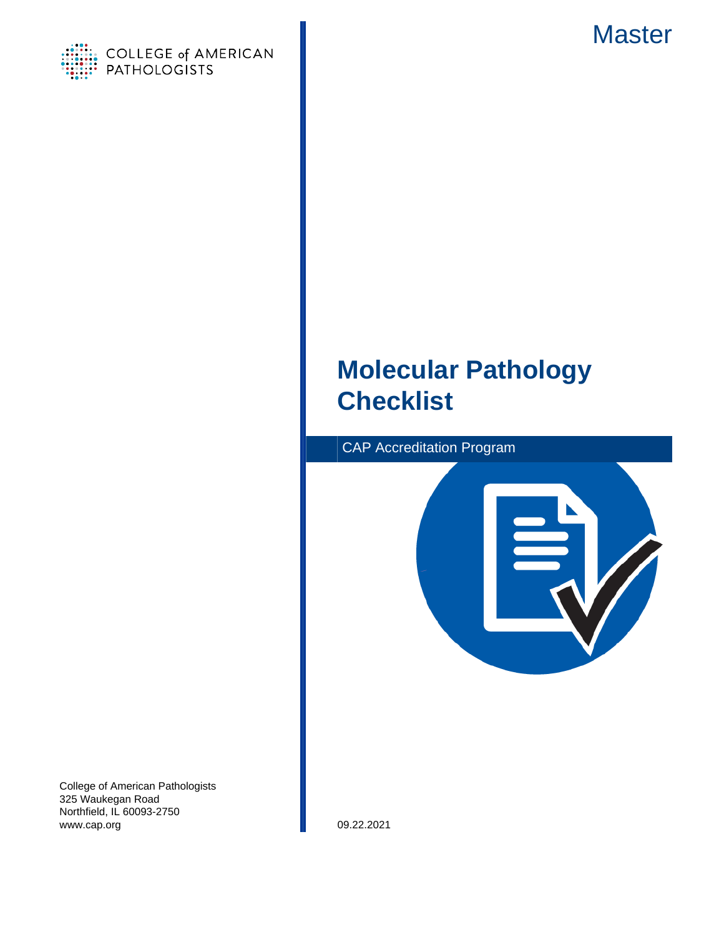



# **Molecular Pathology Checklist**





College of American Pathologists 325 Waukegan Road Northfield, IL 60093-2750 www.cap.org 09.22.2021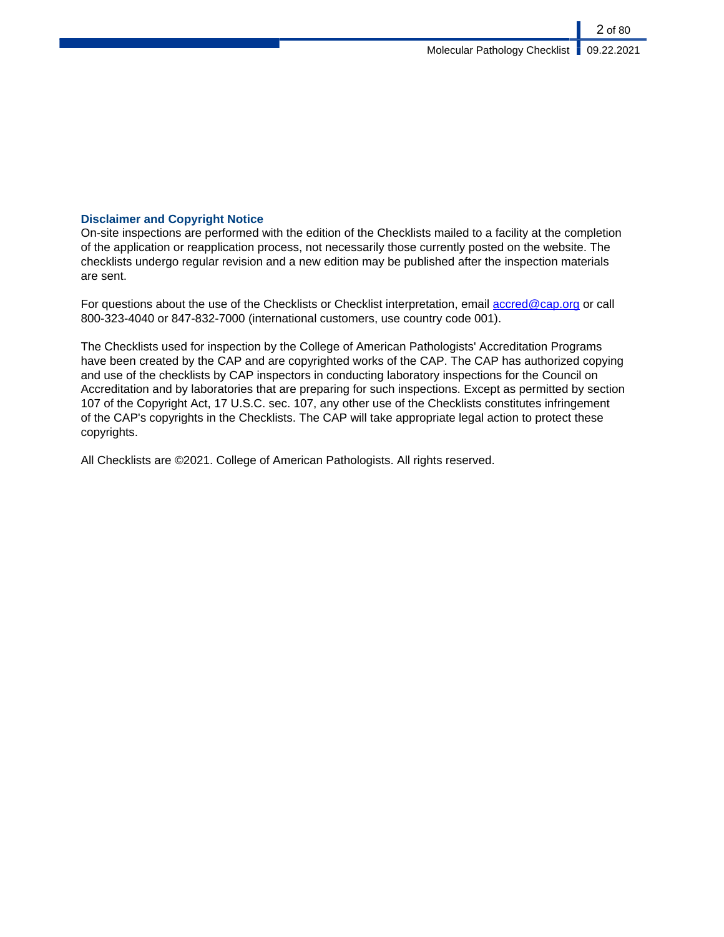# **Disclaimer and Copyright Notice**

On-site inspections are performed with the edition of the Checklists mailed to a facility at the completion of the application or reapplication process, not necessarily those currently posted on the website. The checklists undergo regular revision and a new edition may be published after the inspection materials are sent.

For questions about the use of the Checklists or Checklist interpretation, email [accred@cap.org](mailto:accred@cap.org) or call 800-323-4040 or 847-832-7000 (international customers, use country code 001).

The Checklists used for inspection by the College of American Pathologists' Accreditation Programs have been created by the CAP and are copyrighted works of the CAP. The CAP has authorized copying and use of the checklists by CAP inspectors in conducting laboratory inspections for the Council on Accreditation and by laboratories that are preparing for such inspections. Except as permitted by section 107 of the Copyright Act, 17 U.S.C. sec. 107, any other use of the Checklists constitutes infringement of the CAP's copyrights in the Checklists. The CAP will take appropriate legal action to protect these copyrights.

All Checklists are ©2021. College of American Pathologists. All rights reserved.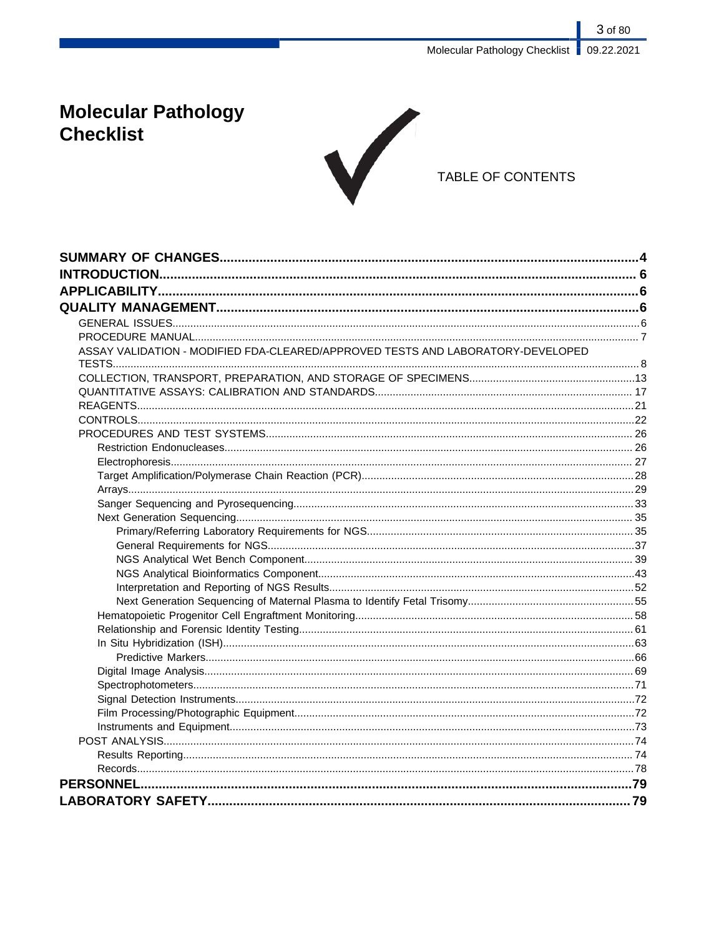3 of 80 Molecular Pathology Checklist | 09.22.2021

# **Molecular Pathology Checklist**



# TABLE OF CONTENTS

| ASSAY VALIDATION - MODIFIED FDA-CLEARED/APPROVED TESTS AND LABORATORY-DEVELOPED |  |
|---------------------------------------------------------------------------------|--|
|                                                                                 |  |
|                                                                                 |  |
|                                                                                 |  |
|                                                                                 |  |
|                                                                                 |  |
|                                                                                 |  |
|                                                                                 |  |
|                                                                                 |  |
|                                                                                 |  |
|                                                                                 |  |
|                                                                                 |  |
|                                                                                 |  |
|                                                                                 |  |
|                                                                                 |  |
|                                                                                 |  |
|                                                                                 |  |
|                                                                                 |  |
|                                                                                 |  |
|                                                                                 |  |
|                                                                                 |  |
|                                                                                 |  |
|                                                                                 |  |
|                                                                                 |  |
|                                                                                 |  |
|                                                                                 |  |
|                                                                                 |  |
|                                                                                 |  |
|                                                                                 |  |
|                                                                                 |  |
|                                                                                 |  |
|                                                                                 |  |
|                                                                                 |  |
|                                                                                 |  |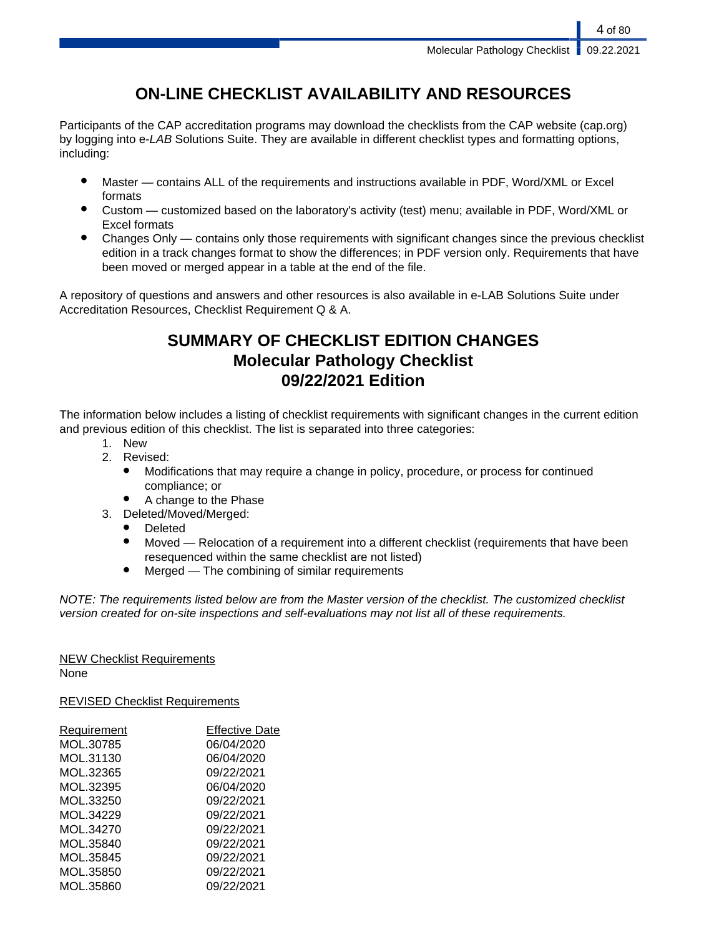# **ON-LINE CHECKLIST AVAILABILITY AND RESOURCES**

Participants of the CAP accreditation programs may download the checklists from the CAP website (cap.org) by logging into e-LAB Solutions Suite. They are available in different checklist types and formatting options, including:

- Master contains ALL of the requirements and instructions available in PDF, Word/XML or Excel formats
- Custom customized based on the laboratory's activity (test) menu; available in PDF, Word/XML or Excel formats
- Changes Only contains only those requirements with significant changes since the previous checklist edition in a track changes format to show the differences; in PDF version only. Requirements that have been moved or merged appear in a table at the end of the file.

A repository of questions and answers and other resources is also available in e-LAB Solutions Suite under Accreditation Resources, Checklist Requirement Q & A.

# **SUMMARY OF CHECKLIST EDITION CHANGES Molecular Pathology Checklist 09/22/2021 Edition**

The information below includes a listing of checklist requirements with significant changes in the current edition and previous edition of this checklist. The list is separated into three categories:

- 1. New
- 2. Revised:
	- Modifications that may require a change in policy, procedure, or process for continued compliance; or
	- A change to the Phase
- 3. Deleted/Moved/Merged:
	- **Deleted**
	- Moved Relocation of a requirement into a different checklist (requirements that have been resequenced within the same checklist are not listed)
	- $Mered$  The combining of similar requirements

NOTE: The requirements listed below are from the Master version of the checklist. The customized checklist version created for on-site inspections and self-evaluations may not list all of these requirements.

# NEW Checklist Requirements

None

REVISED Checklist Requirements

| <b>Requirement</b> | <b>Effective Date</b> |
|--------------------|-----------------------|
| MOL.30785          | 06/04/2020            |
| MOL.31130          | 06/04/2020            |
| MOL.32365          | 09/22/2021            |
| MOL.32395          | 06/04/2020            |
| MOL.33250          | 09/22/2021            |
| MOL.34229          | 09/22/2021            |
| MOL.34270          | 09/22/2021            |
| MOL.35840          | 09/22/2021            |
| MOL.35845          | 09/22/2021            |
| MOL.35850          | 09/22/2021            |
| MOL.35860          | 09/22/2021            |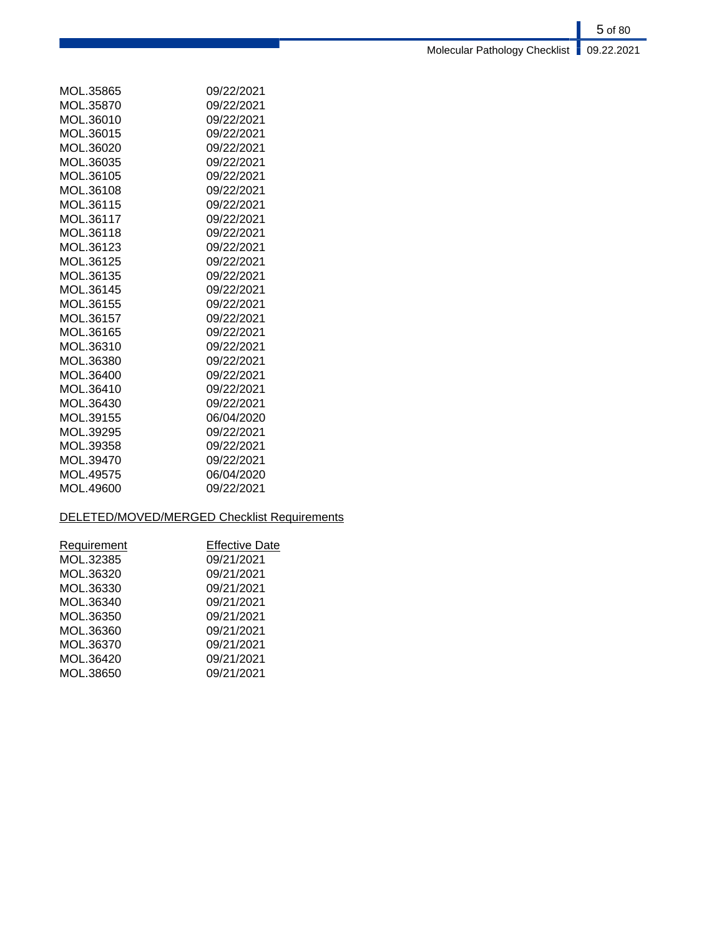# 5 of 80 Molecular Pathology Checklist **09.22.2021**

| MOL.35865 | 09/22/2021 |
|-----------|------------|
| MOL.35870 | 09/22/2021 |
| MOL.36010 | 09/22/2021 |
| MOL.36015 | 09/22/2021 |
| MOL.36020 | 09/22/2021 |
| MOL.36035 | 09/22/2021 |
| MOL.36105 | 09/22/2021 |
| MOL.36108 | 09/22/2021 |
| MOL.36115 | 09/22/2021 |
| MOL.36117 | 09/22/2021 |
| MOL.36118 | 09/22/2021 |
| MOL.36123 | 09/22/2021 |
| MOL.36125 | 09/22/2021 |
| MOL.36135 | 09/22/2021 |
| MOL 36145 | 09/22/2021 |
| MOL.36155 | 09/22/2021 |
| MOL.36157 | 09/22/2021 |
| MOL.36165 | 09/22/2021 |
| MOL.36310 | 09/22/2021 |
| MOL.36380 | 09/22/2021 |
| MOL.36400 | 09/22/2021 |
| MOL.36410 | 09/22/2021 |
| MOL.36430 | 09/22/2021 |
| MOL.39155 | 06/04/2020 |
| MOL.39295 | 09/22/2021 |
| MOL.39358 | 09/22/2021 |
| MOL.39470 | 09/22/2021 |
| MOL.49575 | 06/04/2020 |
| MOL.49600 | 09/22/2021 |

# DELETED/MOVED/MERGED Checklist Requirements

| <b>Requirement</b> | <b>Effective Date</b> |
|--------------------|-----------------------|
| MOL.32385          | 09/21/2021            |
| MOL.36320          | 09/21/2021            |
| MOL.36330          | 09/21/2021            |
| MOL.36340          | 09/21/2021            |
| MOL.36350          | 09/21/2021            |
| MOL.36360          | 09/21/2021            |
| MOL.36370          | 09/21/2021            |
| MOL.36420          | 09/21/2021            |
| MOL.38650          | 09/21/2021            |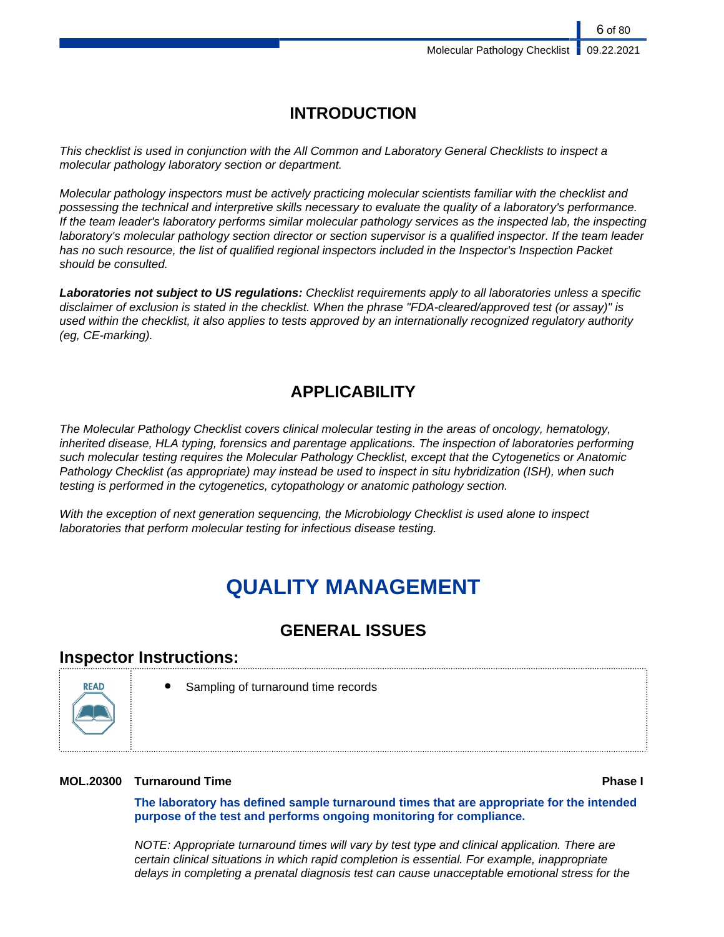# **INTRODUCTION**

This checklist is used in conjunction with the All Common and Laboratory General Checklists to inspect a molecular pathology laboratory section or department.

Molecular pathology inspectors must be actively practicing molecular scientists familiar with the checklist and possessing the technical and interpretive skills necessary to evaluate the quality of a laboratory's performance. If the team leader's laboratory performs similar molecular pathology services as the inspected lab, the inspecting laboratory's molecular pathology section director or section supervisor is a qualified inspector. If the team leader has no such resource, the list of qualified regional inspectors included in the Inspector's Inspection Packet should be consulted.

**Laboratories not subject to US regulations:** Checklist requirements apply to all laboratories unless a specific disclaimer of exclusion is stated in the checklist. When the phrase "FDA-cleared/approved test (or assay)" is used within the checklist, it also applies to tests approved by an internationally recognized regulatory authority (eg, CE-marking).

# **APPLICABILITY**

The Molecular Pathology Checklist covers clinical molecular testing in the areas of oncology, hematology, inherited disease, HLA typing, forensics and parentage applications. The inspection of laboratories performing such molecular testing requires the Molecular Pathology Checklist, except that the Cytogenetics or Anatomic Pathology Checklist (as appropriate) may instead be used to inspect in situ hybridization (ISH), when such testing is performed in the cytogenetics, cytopathology or anatomic pathology section.

With the exception of next generation sequencing, the Microbiology Checklist is used alone to inspect laboratories that perform molecular testing for infectious disease testing.

# **QUALITY MANAGEMENT**

# **GENERAL ISSUES**

# **Inspector Instructions:**



Sampling of turnaround time records

# **MOL.20300 Turnaround Time Phase I**

**The laboratory has defined sample turnaround times that are appropriate for the intended purpose of the test and performs ongoing monitoring for compliance.**

NOTE: Appropriate turnaround times will vary by test type and clinical application. There are certain clinical situations in which rapid completion is essential. For example, inappropriate delays in completing a prenatal diagnosis test can cause unacceptable emotional stress for the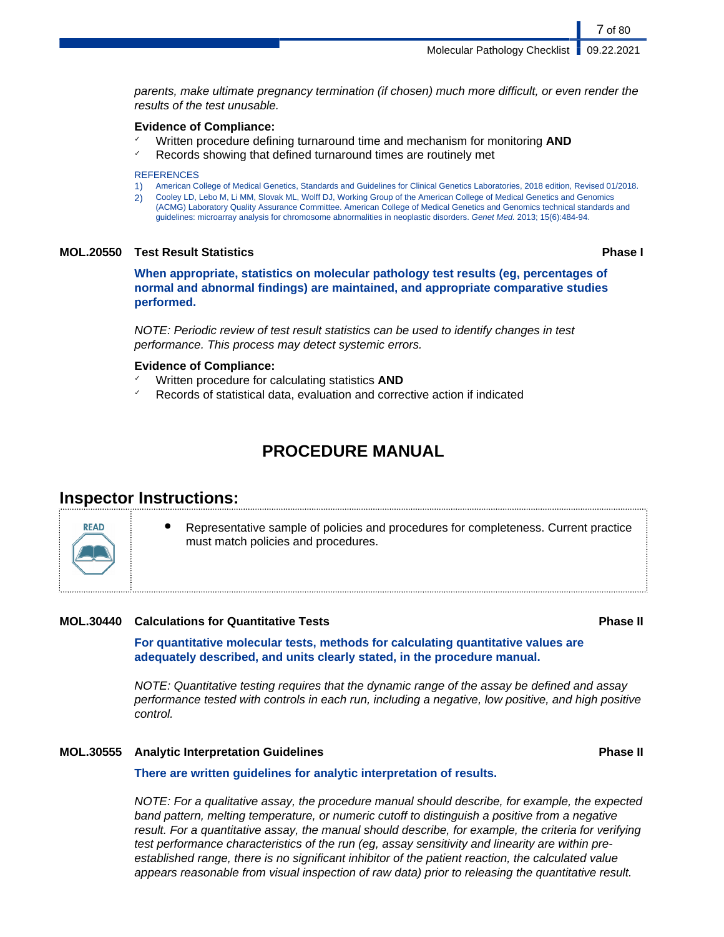parents, make ultimate pregnancy termination (if chosen) much more difficult, or even render the results of the test unusable.

### **Evidence of Compliance:**

✓ Written procedure defining turnaround time and mechanism for monitoring **AND** Records showing that defined turnaround times are routinely met

#### **REFERENCES**

- 1) American College of Medical Genetics, Standards and Guidelines for Clinical Genetics Laboratories, 2018 edition, Revised 01/2018.
- 2) Cooley LD, Lebo M, Li MM, Slovak ML, Wolff DJ, Working Group of the American College of Medical Genetics and Genomics (ACMG) Laboratory Quality Assurance Committee. American College of Medical Genetics and Genomics technical standards and guidelines: microarray analysis for chromosome abnormalities in neoplastic disorders. Genet Med. 2013; 15(6):484-94.

# **MOL.20550 Test Result Statistics Phase I**

7 of 80

**When appropriate, statistics on molecular pathology test results (eg, percentages of normal and abnormal findings) are maintained, and appropriate comparative studies performed.**

NOTE: Periodic review of test result statistics can be used to identify changes in test performance. This process may detect systemic errors.

# **Evidence of Compliance:**

- ✓ Written procedure for calculating statistics **AND**
- Records of statistical data, evaluation and corrective action if indicated

# **PROCEDURE MANUAL**

# **Inspector Instructions:**

**READ** 

Representative sample of policies and procedures for completeness. Current practice must match policies and procedures.

# **MOL.30440 Calculations for Quantitative Tests Phase II**

**For quantitative molecular tests, methods for calculating quantitative values are adequately described, and units clearly stated, in the procedure manual.**

NOTE: Quantitative testing requires that the dynamic range of the assay be defined and assay performance tested with controls in each run, including a negative, low positive, and high positive control.

# **MOL.30555 Analytic Interpretation Guidelines Phase II**

## **There are written guidelines for analytic interpretation of results.**

NOTE: For a qualitative assay, the procedure manual should describe, for example, the expected band pattern, melting temperature, or numeric cutoff to distinguish a positive from a negative result. For a quantitative assay, the manual should describe, for example, the criteria for verifying test performance characteristics of the run (eg, assay sensitivity and linearity are within preestablished range, there is no significant inhibitor of the patient reaction, the calculated value appears reasonable from visual inspection of raw data) prior to releasing the quantitative result.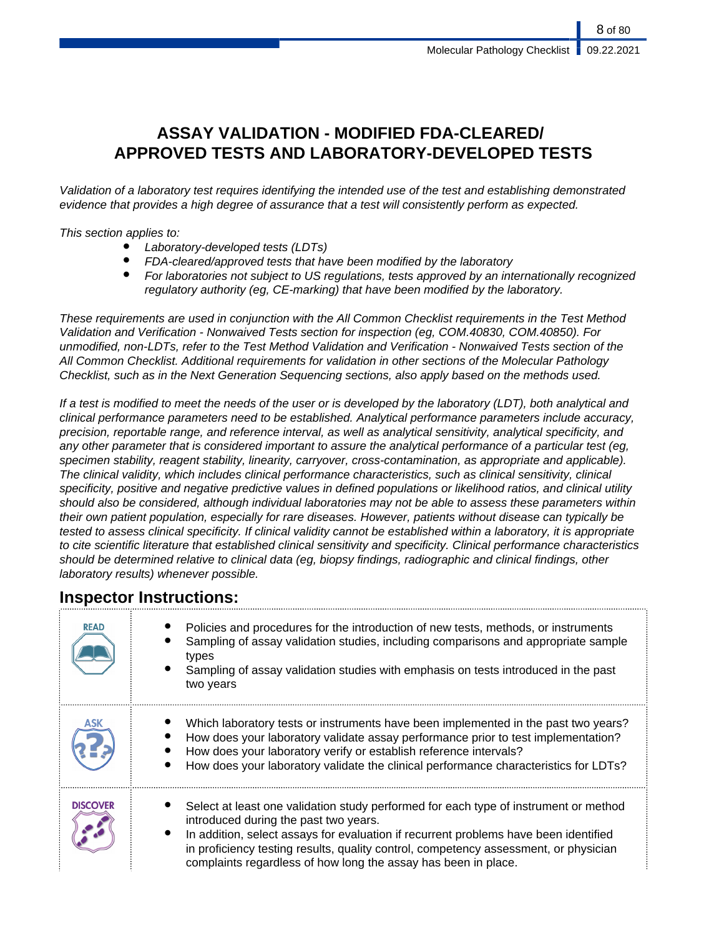8 of 80

# **ASSAY VALIDATION - MODIFIED FDA-CLEARED/ APPROVED TESTS AND LABORATORY-DEVELOPED TESTS**

Validation of a laboratory test requires identifying the intended use of the test and establishing demonstrated evidence that provides a high degree of assurance that a test will consistently perform as expected.

This section applies to:

- Laboratory-developed tests (LDTs)
- FDA-cleared/approved tests that have been modified by the laboratory
- For laboratories not subject to US regulations, tests approved by an internationally recognized regulatory authority (eg, CE-marking) that have been modified by the laboratory.

These requirements are used in conjunction with the All Common Checklist requirements in the Test Method Validation and Verification - Nonwaived Tests section for inspection (eg, COM.40830, COM.40850). For unmodified, non-LDTs, refer to the Test Method Validation and Verification - Nonwaived Tests section of the All Common Checklist. Additional requirements for validation in other sections of the Molecular Pathology Checklist, such as in the Next Generation Sequencing sections, also apply based on the methods used.

If a test is modified to meet the needs of the user or is developed by the laboratory (LDT), both analytical and clinical performance parameters need to be established. Analytical performance parameters include accuracy, precision, reportable range, and reference interval, as well as analytical sensitivity, analytical specificity, and any other parameter that is considered important to assure the analytical performance of a particular test (eg, specimen stability, reagent stability, linearity, carryover, cross-contamination, as appropriate and applicable). The clinical validity, which includes clinical performance characteristics, such as clinical sensitivity, clinical specificity, positive and negative predictive values in defined populations or likelihood ratios, and clinical utility should also be considered, although individual laboratories may not be able to assess these parameters within their own patient population, especially for rare diseases. However, patients without disease can typically be tested to assess clinical specificity. If clinical validity cannot be established within a laboratory, it is appropriate to cite scientific literature that established clinical sensitivity and specificity. Clinical performance characteristics should be determined relative to clinical data (eg, biopsy findings, radiographic and clinical findings, other laboratory results) whenever possible.

# **Inspector Instructions:**

| <b>READ</b>     | Policies and procedures for the introduction of new tests, methods, or instruments<br>Sampling of assay validation studies, including comparisons and appropriate sample<br>types<br>Sampling of assay validation studies with emphasis on tests introduced in the past<br>two years                                                                                            |
|-----------------|---------------------------------------------------------------------------------------------------------------------------------------------------------------------------------------------------------------------------------------------------------------------------------------------------------------------------------------------------------------------------------|
|                 | Which laboratory tests or instruments have been implemented in the past two years?<br>How does your laboratory validate assay performance prior to test implementation?<br>How does your laboratory verify or establish reference intervals?<br>How does your laboratory validate the clinical performance characteristics for LDTs?                                            |
| <b>DISCOVER</b> | Select at least one validation study performed for each type of instrument or method<br>introduced during the past two years.<br>In addition, select assays for evaluation if recurrent problems have been identified<br>in proficiency testing results, quality control, competency assessment, or physician<br>complaints regardless of how long the assay has been in place. |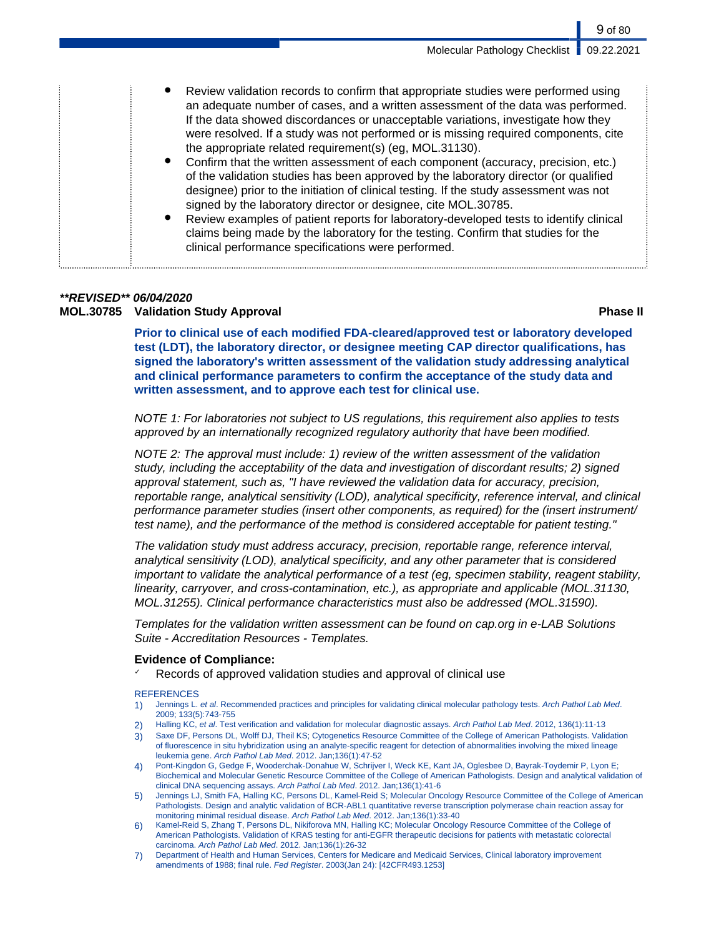| Review validation records to confirm that appropriate studies were performed using<br>an adequate number of cases, and a written assessment of the data was performed.<br>If the data showed discordances or unacceptable variations, investigate how they<br>were resolved. If a study was not performed or is missing required components, cite<br>the appropriate related requirement(s) (eg, MOL.31130).<br>Confirm that the written assessment of each component (accuracy, precision, etc.)<br>of the validation studies has been approved by the laboratory director (or qualified<br>designee) prior to the initiation of clinical testing. If the study assessment was not<br>signed by the laboratory director or designee, cite MOL.30785.<br>Review examples of patient reports for laboratory-developed tests to identify clinical<br>claims being made by the laboratory for the testing. Confirm that studies for the |
|--------------------------------------------------------------------------------------------------------------------------------------------------------------------------------------------------------------------------------------------------------------------------------------------------------------------------------------------------------------------------------------------------------------------------------------------------------------------------------------------------------------------------------------------------------------------------------------------------------------------------------------------------------------------------------------------------------------------------------------------------------------------------------------------------------------------------------------------------------------------------------------------------------------------------------------|
| clinical performance specifications were performed.                                                                                                                                                                                                                                                                                                                                                                                                                                                                                                                                                                                                                                                                                                                                                                                                                                                                                  |

# **\*\*REVISED\*\* 06/04/2020 MOL.30785 Validation Study Approval Phase II**

**Prior to clinical use of each modified FDA-cleared/approved test or laboratory developed test (LDT), the laboratory director, or designee meeting CAP director qualifications, has signed the laboratory's written assessment of the validation study addressing analytical and clinical performance parameters to confirm the acceptance of the study data and written assessment, and to approve each test for clinical use.**

NOTE 1: For laboratories not subject to US regulations, this requirement also applies to tests approved by an internationally recognized regulatory authority that have been modified.

NOTE 2: The approval must include: 1) review of the written assessment of the validation study, including the acceptability of the data and investigation of discordant results; 2) signed approval statement, such as, "I have reviewed the validation data for accuracy, precision, reportable range, analytical sensitivity (LOD), analytical specificity, reference interval, and clinical performance parameter studies (insert other components, as required) for the (insert instrument/ test name), and the performance of the method is considered acceptable for patient testing."

The validation study must address accuracy, precision, reportable range, reference interval, analytical sensitivity (LOD), analytical specificity, and any other parameter that is considered important to validate the analytical performance of a test (eg, specimen stability, reagent stability, linearity, carryover, and cross-contamination, etc.), as appropriate and applicable (MOL.31130, MOL.31255). Clinical performance characteristics must also be addressed (MOL.31590).

Templates for the validation written assessment can be found on cap.org in e-LAB Solutions Suite - Accreditation Resources - Templates.

# **Evidence of Compliance:**

Records of approved validation studies and approval of clinical use

### **REFERENCES**

- 1) Jennings L. et al. Recommended practices and principles for validating clinical molecular pathology tests. Arch Pathol Lab Med. 2009; 133(5):743-755
- 2) Halling KC, et al. Test verification and validation for molecular diagnostic assays. Arch Pathol Lab Med. 2012, 136(1):11-13
- 3) Saxe DF, Persons DL, Wolff DJ, Theil KS; Cytogenetics Resource Committee of the College of American Pathologists. Validation of fluorescence in situ hybridization using an analyte-specific reagent for detection of abnormalities involving the mixed lineage leukemia gene. Arch Pathol Lab Med. 2012. Jan;136(1):47-52
- 4) Pont-Kingdon G, Gedge F, Wooderchak-Donahue W, Schrijver I, Weck KE, Kant JA, Oglesbee D, Bayrak-Toydemir P, Lyon E; Biochemical and Molecular Genetic Resource Committee of the College of American Pathologists. Design and analytical validation of clinical DNA sequencing assays. Arch Pathol Lab Med. 2012. Jan;136(1):41-6
- 5) Jennings LJ, Smith FA, Halling KC, Persons DL, Kamel-Reid S; Molecular Oncology Resource Committee of the College of American Pathologists. Design and analytic validation of BCR-ABL1 quantitative reverse transcription polymerase chain reaction assay for monitoring minimal residual disease. Arch Pathol Lab Med. 2012. Jan;136(1):33-40
- 6) Kamel-Reid S, Zhang T, Persons DL, Nikiforova MN, Halling KC; Molecular Oncology Resource Committee of the College of American Pathologists. Validation of KRAS testing for anti-EGFR therapeutic decisions for patients with metastatic colorectal carcinoma. Arch Pathol Lab Med. 2012. Jan;136(1):26-32
- 7) Department of Health and Human Services, Centers for Medicare and Medicaid Services, Clinical laboratory improvement amendments of 1988; final rule. Fed Register. 2003(Jan 24): [42CFR493.1253]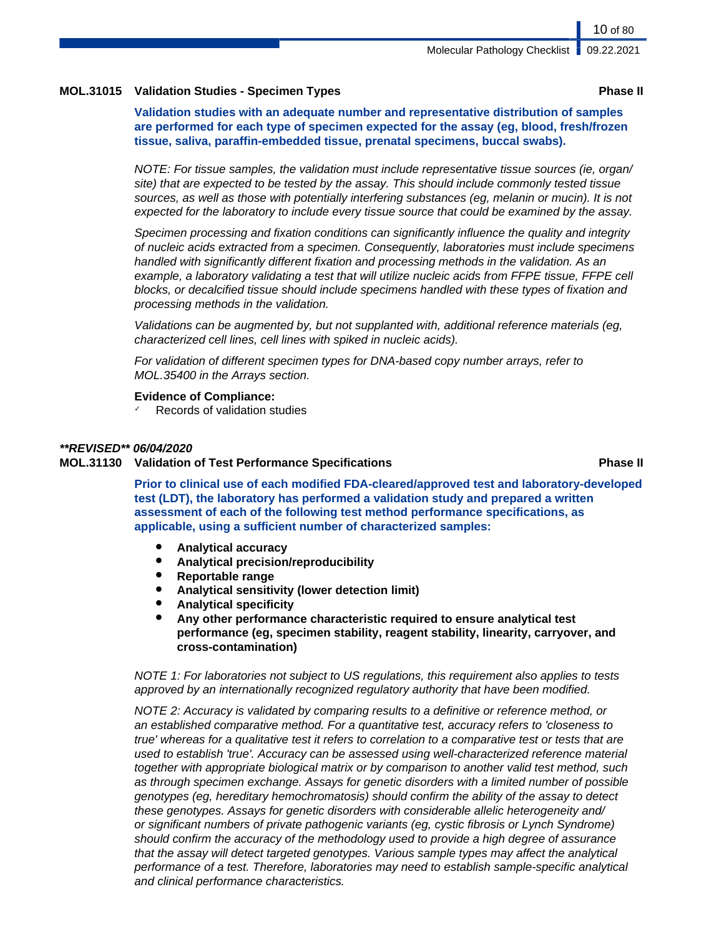# **MOL.31015 Validation Studies - Specimen Types Phase II**

**Validation studies with an adequate number and representative distribution of samples are performed for each type of specimen expected for the assay (eg, blood, fresh/frozen tissue, saliva, paraffin-embedded tissue, prenatal specimens, buccal swabs).**

NOTE: For tissue samples, the validation must include representative tissue sources (ie, organ/ site) that are expected to be tested by the assay. This should include commonly tested tissue sources, as well as those with potentially interfering substances (eg, melanin or mucin). It is not expected for the laboratory to include every tissue source that could be examined by the assay.

Specimen processing and fixation conditions can significantly influence the quality and integrity of nucleic acids extracted from a specimen. Consequently, laboratories must include specimens handled with significantly different fixation and processing methods in the validation. As an example, a laboratory validating a test that will utilize nucleic acids from FFPE tissue, FFPE cell blocks, or decalcified tissue should include specimens handled with these types of fixation and processing methods in the validation.

Validations can be augmented by, but not supplanted with, additional reference materials (eg, characterized cell lines, cell lines with spiked in nucleic acids).

For validation of different specimen types for DNA-based copy number arrays, refer to MOL.35400 in the Arrays section.

### **Evidence of Compliance:**

Records of validation studies

### **\*\*REVISED\*\* 06/04/2020**

**MOL.31130 Validation of Test Performance Specifications Phase II**

**Prior to clinical use of each modified FDA-cleared/approved test and laboratory-developed test (LDT), the laboratory has performed a validation study and prepared a written assessment of each of the following test method performance specifications, as applicable, using a sufficient number of characterized samples:**

- **Analytical accuracy**
- **Analytical precision/reproducibility**
- **Reportable range**
- **Analytical sensitivity (lower detection limit)**
- **Analytical specificity**
- **Any other performance characteristic required to ensure analytical test performance (eg, specimen stability, reagent stability, linearity, carryover, and cross-contamination)**

NOTE 1: For laboratories not subject to US regulations, this requirement also applies to tests approved by an internationally recognized regulatory authority that have been modified.

NOTE 2: Accuracy is validated by comparing results to a definitive or reference method, or an established comparative method. For a quantitative test, accuracy refers to 'closeness to true' whereas for a qualitative test it refers to correlation to a comparative test or tests that are used to establish 'true'. Accuracy can be assessed using well-characterized reference material together with appropriate biological matrix or by comparison to another valid test method, such as through specimen exchange. Assays for genetic disorders with a limited number of possible genotypes (eg, hereditary hemochromatosis) should confirm the ability of the assay to detect these genotypes. Assays for genetic disorders with considerable allelic heterogeneity and/ or significant numbers of private pathogenic variants (eg, cystic fibrosis or Lynch Syndrome) should confirm the accuracy of the methodology used to provide a high degree of assurance that the assay will detect targeted genotypes. Various sample types may affect the analytical performance of a test. Therefore, laboratories may need to establish sample-specific analytical and clinical performance characteristics.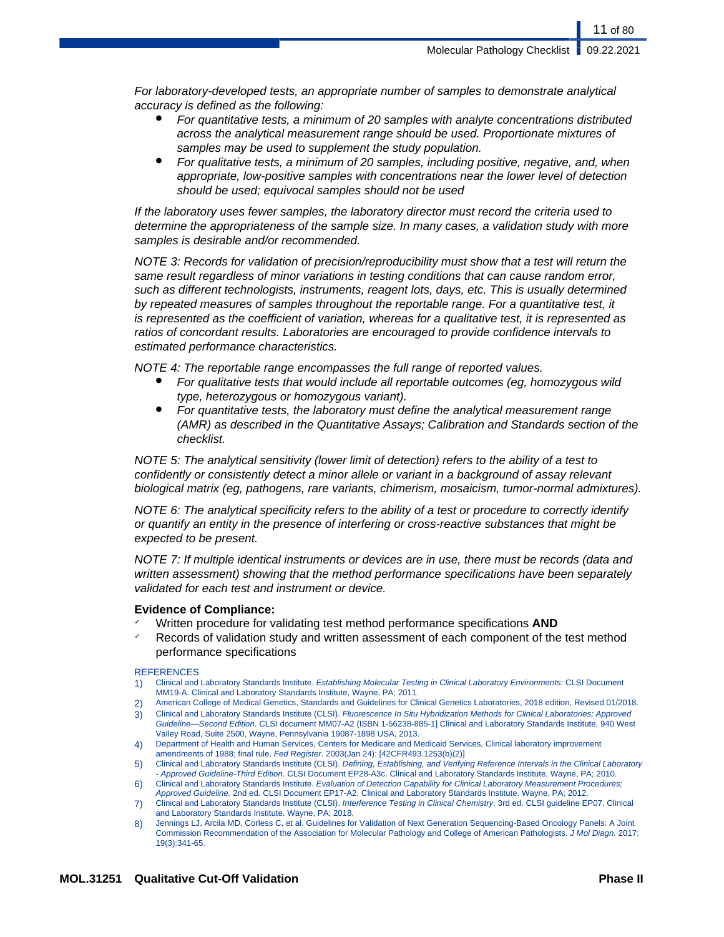11 of 80

For laboratory-developed tests, an appropriate number of samples to demonstrate analytical accuracy is defined as the following:

- For quantitative tests, a minimum of 20 samples with analyte concentrations distributed across the analytical measurement range should be used. Proportionate mixtures of samples may be used to supplement the study population.
- For qualitative tests, a minimum of 20 samples, including positive, negative, and, when appropriate, low-positive samples with concentrations near the lower level of detection should be used; equivocal samples should not be used

If the laboratory uses fewer samples, the laboratory director must record the criteria used to determine the appropriateness of the sample size. In many cases, a validation study with more samples is desirable and/or recommended.

NOTE 3: Records for validation of precision/reproducibility must show that a test will return the same result regardless of minor variations in testing conditions that can cause random error, such as different technologists, instruments, reagent lots, days, etc. This is usually determined by repeated measures of samples throughout the reportable range. For a quantitative test, it is represented as the coefficient of variation, whereas for a qualitative test, it is represented as ratios of concordant results. Laboratories are encouraged to provide confidence intervals to estimated performance characteristics.

NOTE 4: The reportable range encompasses the full range of reported values.

- For qualitative tests that would include all reportable outcomes (eg, homozygous wild type, heterozygous or homozygous variant).
- For quantitative tests, the laboratory must define the analytical measurement range (AMR) as described in the Quantitative Assays; Calibration and Standards section of the checklist.

NOTE 5: The analytical sensitivity (lower limit of detection) refers to the ability of a test to confidently or consistently detect a minor allele or variant in a background of assay relevant biological matrix (eg, pathogens, rare variants, chimerism, mosaicism, tumor-normal admixtures).

NOTE 6: The analytical specificity refers to the ability of a test or procedure to correctly identify or quantify an entity in the presence of interfering or cross-reactive substances that might be expected to be present.

NOTE 7: If multiple identical instruments or devices are in use, there must be records (data and written assessment) showing that the method performance specifications have been separately validated for each test and instrument or device.

# **Evidence of Compliance:**

- Written procedure for validating test method performance specifications **AND**
- Records of validation study and written assessment of each component of the test method performance specifications

### **REFERENCES**

- 1) Clinical and Laboratory Standards Institute. Establishing Molecular Testing in Clinical Laboratory Environments: CLSI Document MM19-A. Clinical and Laboratory Standards Institute, Wayne, PA; 2011.
- 2) American College of Medical Genetics, Standards and Guidelines for Clinical Genetics Laboratories, 2018 edition, Revised 01/2018.
- 3) Clinical and Laboratory Standards Institute (CLSI). Fluorescence In Situ Hybridization Methods for Clinical Laboratories; Approved Guideline—Second Edition. CLSI document MM07-A2 (ISBN 1-56238-885-1] Clinical and Laboratory Standards Institute, 940 West Valley Road, Suite 2500, Wayne, Pennsylvania 19087-1898 USA, 2013.
- 4) Department of Health and Human Services, Centers for Medicare and Medicaid Services, Clinical laboratory improvement amendments of 1988; final rule. Fed Register. 2003(Jan 24): [42CFR493.1253(b)(2)]
- 5) Clinical and Laboratory Standards Institute (CLSI). Defining, Establishing, and Verifying Reference Intervals in the Clinical Laboratory - Approved Guideline-Third Edition. CLSI Document EP28-A3c. Clinical and Laboratory Standards Institute, Wayne, PA; 2010.
- 6) Clinical and Laboratory Standards Institute. Evaluation of Detection Capability for Clinical Laboratory Measurement Procedures; Approved Guideline. 2nd ed. CLSI Document EP17-A2. Clinical and Laboratory Standards Institute. Wayne, PA; 2012.
- 7) Clinical and Laboratory Standards Institute (CLSI). Interference Testing in Clinical Chemistry. 3rd ed. CLSI guideline EP07. Clinical and Laboratory Standards Institute. Wayne, PA; 2018.
- 8) Jennings LJ, Arcila MD, Corless C, et al. Guidelines for Validation of Next Generation Sequencing-Based Oncology Panels: A Joint Commission Recommendation of the Association for Molecular Pathology and College of American Pathologists. J Mol Diagn. 2017; 19(3):341-65.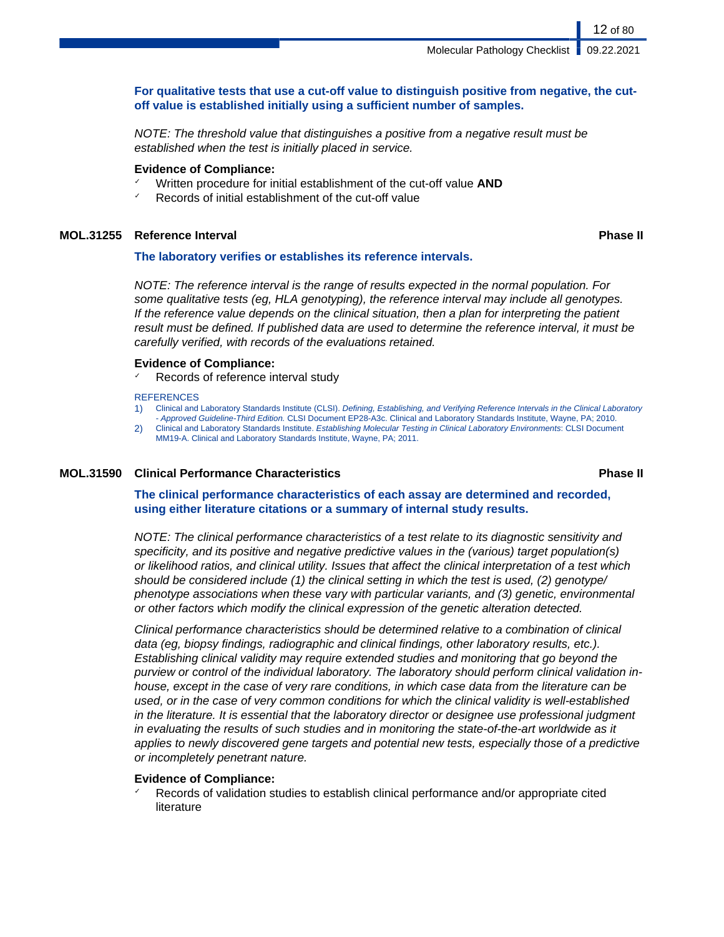# **For qualitative tests that use a cut-off value to distinguish positive from negative, the cutoff value is established initially using a sufficient number of samples.**

NOTE: The threshold value that distinguishes a positive from a negative result must be established when the test is initially placed in service.

# **Evidence of Compliance:**

- ✓ Written procedure for initial establishment of the cut-off value **AND**
- Records of initial establishment of the cut-off value

# **MOL.31255 Reference Interval Phase II**

# **The laboratory verifies or establishes its reference intervals.**

NOTE: The reference interval is the range of results expected in the normal population. For some qualitative tests (eg, HLA genotyping), the reference interval may include all genotypes. If the reference value depends on the clinical situation, then a plan for interpreting the patient result must be defined. If published data are used to determine the reference interval, it must be carefully verified, with records of the evaluations retained.

# **Evidence of Compliance:**

Records of reference interval study

### **REFERENCES**

- 1) Clinical and Laboratory Standards Institute (CLSI). Defining, Establishing, and Verifying Reference Intervals in the Clinical Laboratory - Approved Guideline-Third Edition. CLSI Document EP28-A3c. Clinical and Laboratory Standards Institute, Wayne, PA; 2010.
- 2) Clinical and Laboratory Standards Institute. Establishing Molecular Testing in Clinical Laboratory Environments: CLSI Document MM19-A. Clinical and Laboratory Standards Institute, Wayne, PA; 2011.

# **MOL.31590 Clinical Performance Characteristics Phase II**

# **The clinical performance characteristics of each assay are determined and recorded, using either literature citations or a summary of internal study results.**

NOTE: The clinical performance characteristics of a test relate to its diagnostic sensitivity and specificity, and its positive and negative predictive values in the (various) target population(s) or likelihood ratios, and clinical utility. Issues that affect the clinical interpretation of a test which should be considered include (1) the clinical setting in which the test is used, (2) genotype/ phenotype associations when these vary with particular variants, and (3) genetic, environmental or other factors which modify the clinical expression of the genetic alteration detected.

Clinical performance characteristics should be determined relative to a combination of clinical data (eg, biopsy findings, radiographic and clinical findings, other laboratory results, etc.). Establishing clinical validity may require extended studies and monitoring that go beyond the purview or control of the individual laboratory. The laboratory should perform clinical validation inhouse, except in the case of very rare conditions, in which case data from the literature can be used, or in the case of very common conditions for which the clinical validity is well-established in the literature. It is essential that the laboratory director or designee use professional judgment in evaluating the results of such studies and in monitoring the state-of-the-art worldwide as it applies to newly discovered gene targets and potential new tests, especially those of a predictive or incompletely penetrant nature.

# **Evidence of Compliance:**

Records of validation studies to establish clinical performance and/or appropriate cited literature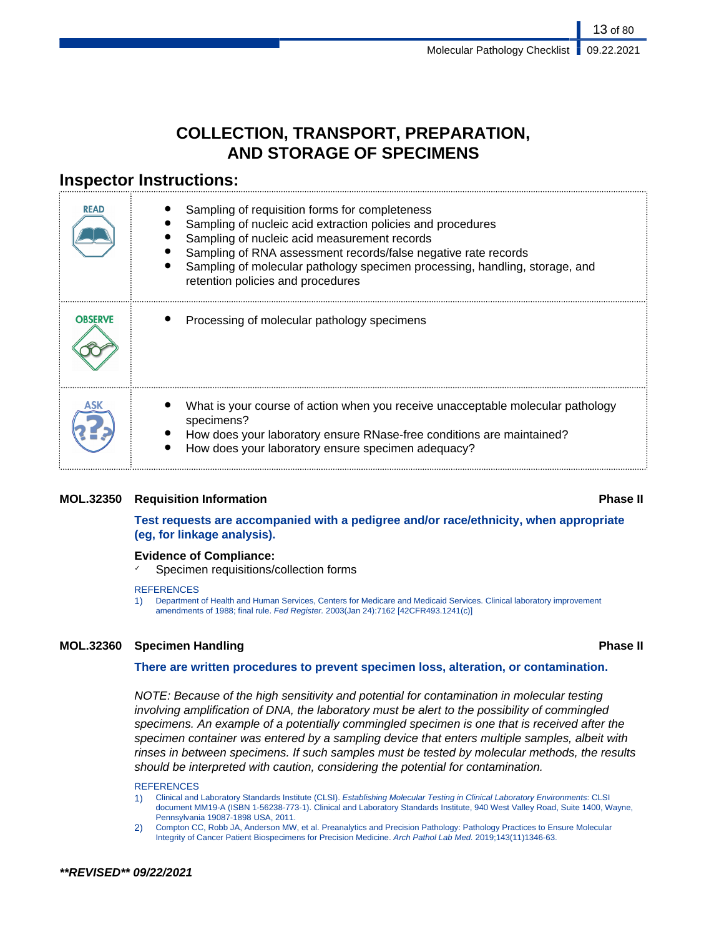13 of 80

# **COLLECTION, TRANSPORT, PREPARATION, AND STORAGE OF SPECIMENS**

# **Inspector Instructions:**

| <b>READ</b>    | Sampling of requisition forms for completeness<br>Sampling of nucleic acid extraction policies and procedures<br>Sampling of nucleic acid measurement records<br>Sampling of RNA assessment records/false negative rate records<br>Sampling of molecular pathology specimen processing, handling, storage, and<br>retention policies and procedures |
|----------------|-----------------------------------------------------------------------------------------------------------------------------------------------------------------------------------------------------------------------------------------------------------------------------------------------------------------------------------------------------|
| <b>OBSERVE</b> | Processing of molecular pathology specimens                                                                                                                                                                                                                                                                                                         |
|                | What is your course of action when you receive unacceptable molecular pathology<br>specimens?<br>How does your laboratory ensure RNase-free conditions are maintained?<br>How does your laboratory ensure specimen adequacy?                                                                                                                        |

# **MOL.32350 Requisition Information Phase II**

# **Test requests are accompanied with a pedigree and/or race/ethnicity, when appropriate (eg, for linkage analysis).**

# **Evidence of Compliance:**

Specimen requisitions/collection forms

### **REFERENCES**

1) Department of Health and Human Services, Centers for Medicare and Medicaid Services. Clinical laboratory improvement amendments of 1988; final rule. Fed Register. 2003(Jan 24):7162 [42CFR493.1241(c)]

# **MOL.32360 Specimen Handling Phase II**

# **There are written procedures to prevent specimen loss, alteration, or contamination.**

NOTE: Because of the high sensitivity and potential for contamination in molecular testing involving amplification of DNA, the laboratory must be alert to the possibility of commingled specimens. An example of a potentially commingled specimen is one that is received after the specimen container was entered by a sampling device that enters multiple samples, albeit with rinses in between specimens. If such samples must be tested by molecular methods, the results should be interpreted with caution, considering the potential for contamination.

### **REFERENCES**

- 1) Clinical and Laboratory Standards Institute (CLSI). Establishing Molecular Testing in Clinical Laboratory Environments: CLSI document MM19-A (ISBN 1-56238-773-1). Clinical and Laboratory Standards Institute, 940 West Valley Road, Suite 1400, Wayne, Pennsylvania 19087-1898 USA, 2011.
- 2) Compton CC, Robb JA, Anderson MW, et al. Preanalytics and Precision Pathology: Pathology Practices to Ensure Molecular Integrity of Cancer Patient Biospecimens for Precision Medicine. Arch Pathol Lab Med. 2019;143(11)1346-63.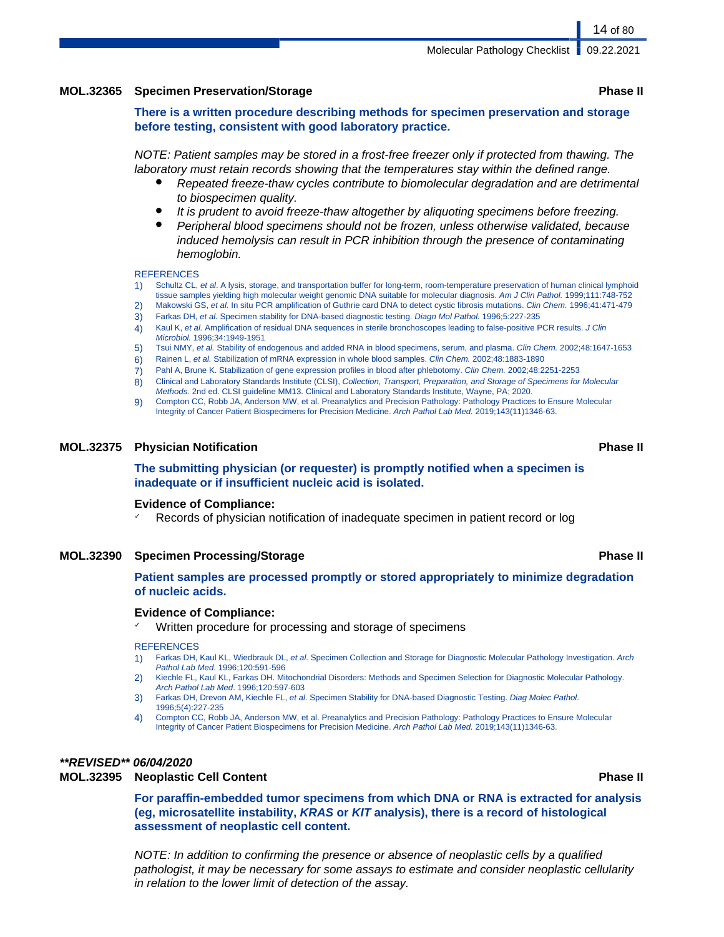# **MOL.32365 Specimen Preservation/Storage Phase II**

14 of 80

**There is a written procedure describing methods for specimen preservation and storage before testing, consistent with good laboratory practice.**

NOTE: Patient samples may be stored in a frost-free freezer only if protected from thawing. The laboratory must retain records showing that the temperatures stay within the defined range.

- Repeated freeze-thaw cycles contribute to biomolecular degradation and are detrimental to biospecimen quality.
- It is prudent to avoid freeze-thaw altogether by aliquoting specimens before freezing.
- Peripheral blood specimens should not be frozen, unless otherwise validated, because induced hemolysis can result in PCR inhibition through the presence of contaminating hemoglobin.

#### **REFERENCES**

- 1) Schultz CL, et al. A lysis, storage, and transportation buffer for long-term, room-temperature preservation of human clinical lymphoid tissue samples yielding high molecular weight genomic DNA suitable for molecular diagnosis. Am J Clin Pathol. 1999;111:748-752
- 2) Makowski GS, et al. In situ PCR amplification of Guthrie card DNA to detect cystic fibrosis mutations. Clin Chem. 1996;41:471-479
- 3) Farkas DH, et al. Specimen stability for DNA-based diagnostic testing. Diagn Mol Pathol. 1996;5:227-235
- 4) Kaul K, et al. Amplification of residual DNA sequences in sterile bronchoscopes leading to false-positive PCR results. J Clin Microbiol. 1996;34:1949-1951
- 5) Tsui NMY, et al. Stability of endogenous and added RNA in blood specimens, serum, and plasma. Clin Chem. 2002;48:1647-1653
- 6) Rainen L, et al. Stabilization of mRNA expression in whole blood samples. Clin Chem. 2002;48:1883-1890
- 7) Pahl A, Brune K. Stabilization of gene expression profiles in blood after phlebotomy. Clin Chem. 2002;48:2251-2253
- 8) Clinical and Laboratory Standards Institute (CLSI), Collection, Transport, Preparation, and Storage of Specimens for Molecular Methods. 2nd ed. CLSI guideline MM13. Clinical and Laboratory Standards Institute, Wayne, PA; 2020.
- 9) Compton CC, Robb JA, Anderson MW, et al. Preanalytics and Precision Pathology: Pathology Practices to Ensure Molecular Integrity of Cancer Patient Biospecimens for Precision Medicine. Arch Pathol Lab Med. 2019;143(11)1346-63.

#### **MOL.32375 Physician Notification Phase II**

**The submitting physician (or requester) is promptly notified when a specimen is inadequate or if insufficient nucleic acid is isolated.**

#### **Evidence of Compliance:**

Records of physician notification of inadequate specimen in patient record or log

#### **MOL.32390 Specimen Processing/Storage Phase II**

# **Patient samples are processed promptly or stored appropriately to minimize degradation of nucleic acids.**

# **Evidence of Compliance:**

Written procedure for processing and storage of specimens

#### **REFERENCES**

- 1) Farkas DH, Kaul KL, Wiedbrauk DL, et al. Specimen Collection and Storage for Diagnostic Molecular Pathology Investigation. Arch Pathol Lab Med. 1996;120:591-596
- 2) Kiechle FL, Kaul KL, Farkas DH. Mitochondrial Disorders: Methods and Specimen Selection for Diagnostic Molecular Pathology. Arch Pathol Lab Med. 1996;120:597-603
- 3) Farkas DH, Drevon AM, Kiechle FL, et al. Specimen Stability for DNA-based Diagnostic Testing. Diag Molec Pathol. 1996;5(4):227-235
- 4) Compton CC, Robb JA, Anderson MW, et al. Preanalytics and Precision Pathology: Pathology Practices to Ensure Molecular Integrity of Cancer Patient Biospecimens for Precision Medicine. Arch Pathol Lab Med. 2019;143(11)1346-63.

# **\*\*REVISED\*\* 06/04/2020**

### **MOL.32395 Neoplastic Cell Content Phase II**

**For paraffin-embedded tumor specimens from which DNA or RNA is extracted for analysis (eg, microsatellite instability, KRAS or KIT analysis), there is a record of histological assessment of neoplastic cell content.**

NOTE: In addition to confirming the presence or absence of neoplastic cells by a qualified pathologist, it may be necessary for some assays to estimate and consider neoplastic cellularity in relation to the lower limit of detection of the assay.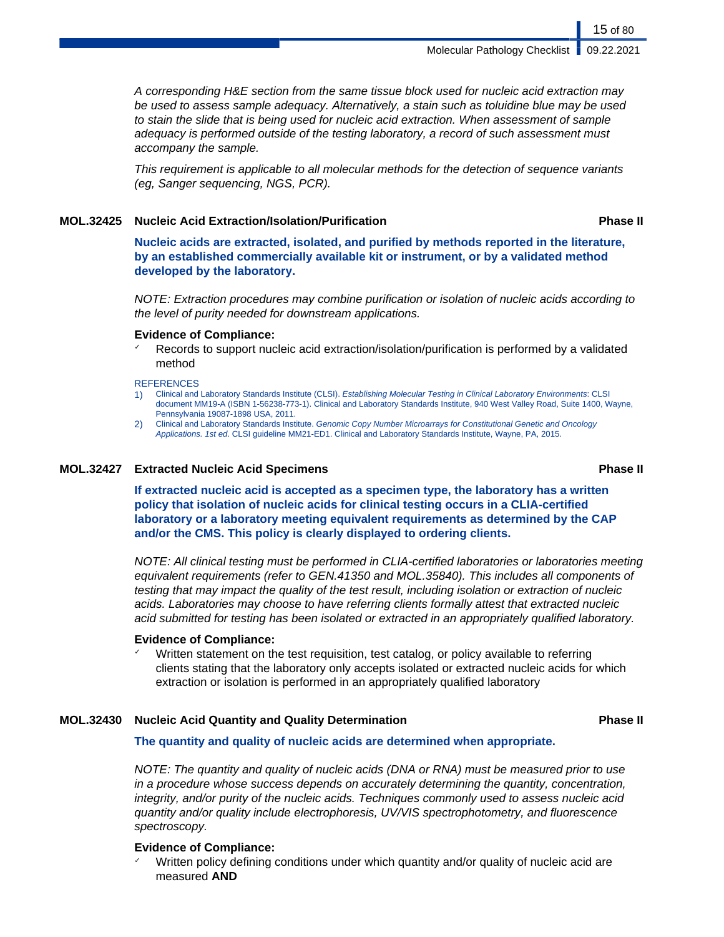A corresponding H&E section from the same tissue block used for nucleic acid extraction may be used to assess sample adequacy. Alternatively, a stain such as toluidine blue may be used to stain the slide that is being used for nucleic acid extraction. When assessment of sample adequacy is performed outside of the testing laboratory, a record of such assessment must accompany the sample.

This requirement is applicable to all molecular methods for the detection of sequence variants (eg, Sanger sequencing, NGS, PCR).

# **MOL.32425 Nucleic Acid Extraction/Isolation/Purification Phase II**

**Nucleic acids are extracted, isolated, and purified by methods reported in the literature, by an established commercially available kit or instrument, or by a validated method developed by the laboratory.**

NOTE: Extraction procedures may combine purification or isolation of nucleic acids according to the level of purity needed for downstream applications.

# **Evidence of Compliance:**

Records to support nucleic acid extraction/isolation/purification is performed by a validated method

#### **REFERENCES**

- 1) Clinical and Laboratory Standards Institute (CLSI). Establishing Molecular Testing in Clinical Laboratory Environments: CLSI document MM19-A (ISBN 1-56238-773-1). Clinical and Laboratory Standards Institute, 940 West Valley Road, Suite 1400, Wayne, Pennsylvania 19087-1898 USA, 2011.
- 2) Clinical and Laboratory Standards Institute. Genomic Copy Number Microarrays for Constitutional Genetic and Oncology Applications. 1st ed. CLSI guideline MM21-ED1. Clinical and Laboratory Standards Institute, Wayne, PA, 2015.

# **MOL.32427 Extracted Nucleic Acid Specimens Phase II**

**If extracted nucleic acid is accepted as a specimen type, the laboratory has a written policy that isolation of nucleic acids for clinical testing occurs in a CLIA-certified laboratory or a laboratory meeting equivalent requirements as determined by the CAP and/or the CMS. This policy is clearly displayed to ordering clients.**

NOTE: All clinical testing must be performed in CLIA-certified laboratories or laboratories meeting equivalent requirements (refer to GEN.41350 and MOL.35840). This includes all components of testing that may impact the quality of the test result, including isolation or extraction of nucleic acids. Laboratories may choose to have referring clients formally attest that extracted nucleic acid submitted for testing has been isolated or extracted in an appropriately qualified laboratory.

# **Evidence of Compliance:**

Written statement on the test requisition, test catalog, or policy available to referring clients stating that the laboratory only accepts isolated or extracted nucleic acids for which extraction or isolation is performed in an appropriately qualified laboratory

# **MOL.32430 Nucleic Acid Quantity and Quality Determination Phase II**

# **The quantity and quality of nucleic acids are determined when appropriate.**

NOTE: The quantity and quality of nucleic acids (DNA or RNA) must be measured prior to use in a procedure whose success depends on accurately determining the quantity, concentration, integrity, and/or purity of the nucleic acids. Techniques commonly used to assess nucleic acid quantity and/or quality include electrophoresis, UV/VIS spectrophotometry, and fluorescence spectroscopy.

# **Evidence of Compliance:**

Written policy defining conditions under which quantity and/or quality of nucleic acid are measured **AND**

15 of 80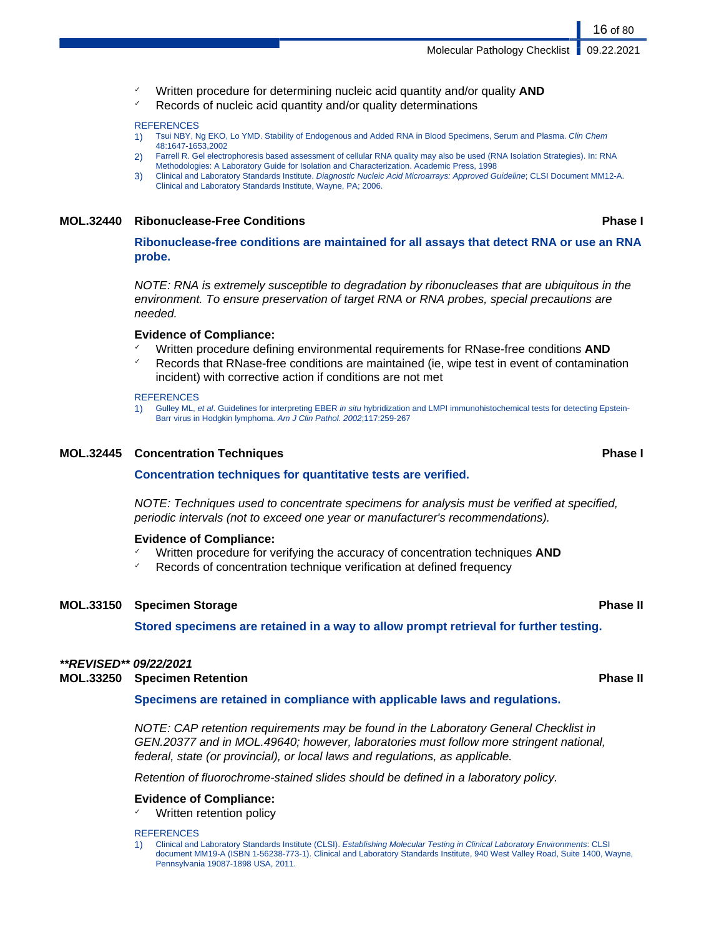- Written procedure for determining nucleic acid quantity and/or quality **AND**
- Records of nucleic acid quantity and/or quality determinations

#### **REFERENCES**

- 1) Tsui NBY, Ng EKO, Lo YMD. Stability of Endogenous and Added RNA in Blood Specimens, Serum and Plasma. Clin Chem 48:1647-1653,2002
- 2) Farrell R. Gel electrophoresis based assessment of cellular RNA quality may also be used (RNA Isolation Strategies). In: RNA Methodologies: A Laboratory Guide for Isolation and Characterization. Academic Press, 1998
- 3) Clinical and Laboratory Standards Institute. Diagnostic Nucleic Acid Microarrays: Approved Guideline; CLSI Document MM12-A. Clinical and Laboratory Standards Institute, Wayne, PA; 2006.

# **MOL.32440 Ribonuclease-Free Conditions Phase I**

**Ribonuclease-free conditions are maintained for all assays that detect RNA or use an RNA probe.**

NOTE: RNA is extremely susceptible to degradation by ribonucleases that are ubiquitous in the environment. To ensure preservation of target RNA or RNA probes, special precautions are needed.

### **Evidence of Compliance:**

- ✓ Written procedure defining environmental requirements for RNase-free conditions **AND**
- Records that RNase-free conditions are maintained (ie, wipe test in event of contamination incident) with corrective action if conditions are not met

#### **REFERENCES**

1) Gulley ML, et al. Guidelines for interpreting EBER in situ hybridization and LMPI immunohistochemical tests for detecting Epstein-Barr virus in Hodgkin lymphoma. Am J Clin Pathol. 2002;117:259-267

# **MOL.32445 Concentration Techniques Phase I**

### **Concentration techniques for quantitative tests are verified.**

NOTE: Techniques used to concentrate specimens for analysis must be verified at specified, periodic intervals (not to exceed one year or manufacturer's recommendations).

### **Evidence of Compliance:**

- Written procedure for verifying the accuracy of concentration techniques **AND**
- Records of concentration technique verification at defined frequency

# **MOL.33150 Specimen Storage Phase II**

**Stored specimens are retained in a way to allow prompt retrieval for further testing.**

## **\*\*REVISED\*\* 09/22/2021**

**MOL.33250 Specimen Retention Phase II**

**Specimens are retained in compliance with applicable laws and regulations.**

NOTE: CAP retention requirements may be found in the Laboratory General Checklist in GEN.20377 and in MOL.49640; however, laboratories must follow more stringent national, federal, state (or provincial), or local laws and regulations, as applicable.

Retention of fluorochrome-stained slides should be defined in a laboratory policy.

### **Evidence of Compliance:**

Written retention policy

#### **REFERENCES**

1) Clinical and Laboratory Standards Institute (CLSI). Establishing Molecular Testing in Clinical Laboratory Environments: CLSI document MM19-A (ISBN 1-56238-773-1). Clinical and Laboratory Standards Institute, 940 West Valley Road, Suite 1400, Wayne, Pennsylvania 19087-1898 USA, 2011.

16 of 80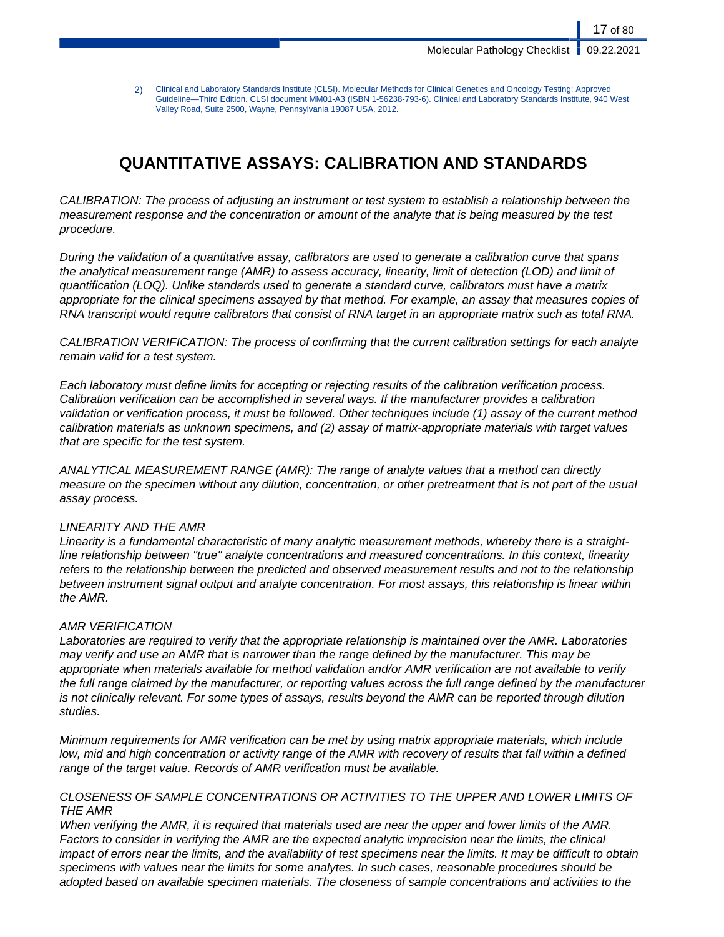17 of 80

2) Clinical and Laboratory Standards Institute (CLSI). Molecular Methods for Clinical Genetics and Oncology Testing; Approved Guideline—Third Edition. CLSI document MM01-A3 (ISBN 1-56238-793-6). Clinical and Laboratory Standards Institute, 940 West Valley Road, Suite 2500, Wayne, Pennsylvania 19087 USA, 2012.

# **QUANTITATIVE ASSAYS: CALIBRATION AND STANDARDS**

CALIBRATION: The process of adjusting an instrument or test system to establish a relationship between the measurement response and the concentration or amount of the analyte that is being measured by the test procedure.

During the validation of a quantitative assay, calibrators are used to generate a calibration curve that spans the analytical measurement range (AMR) to assess accuracy, linearity, limit of detection (LOD) and limit of quantification (LOQ). Unlike standards used to generate a standard curve, calibrators must have a matrix appropriate for the clinical specimens assayed by that method. For example, an assay that measures copies of RNA transcript would require calibrators that consist of RNA target in an appropriate matrix such as total RNA.

CALIBRATION VERIFICATION: The process of confirming that the current calibration settings for each analyte remain valid for a test system.

Each laboratory must define limits for accepting or rejecting results of the calibration verification process. Calibration verification can be accomplished in several ways. If the manufacturer provides a calibration validation or verification process, it must be followed. Other techniques include (1) assay of the current method calibration materials as unknown specimens, and (2) assay of matrix-appropriate materials with target values that are specific for the test system.

ANALYTICAL MEASUREMENT RANGE (AMR): The range of analyte values that a method can directly measure on the specimen without any dilution, concentration, or other pretreatment that is not part of the usual assay process.

# LINEARITY AND THE AMR

Linearity is a fundamental characteristic of many analytic measurement methods, whereby there is a straightline relationship between "true" analyte concentrations and measured concentrations. In this context, linearity refers to the relationship between the predicted and observed measurement results and not to the relationship between instrument signal output and analyte concentration. For most assays, this relationship is linear within the AMR.

# AMR VERIFICATION

Laboratories are required to verify that the appropriate relationship is maintained over the AMR. Laboratories may verify and use an AMR that is narrower than the range defined by the manufacturer. This may be appropriate when materials available for method validation and/or AMR verification are not available to verify the full range claimed by the manufacturer, or reporting values across the full range defined by the manufacturer is not clinically relevant. For some types of assays, results beyond the AMR can be reported through dilution studies.

Minimum requirements for AMR verification can be met by using matrix appropriate materials, which include low, mid and high concentration or activity range of the AMR with recovery of results that fall within a defined range of the target value. Records of AMR verification must be available.

# CLOSENESS OF SAMPLE CONCENTRATIONS OR ACTIVITIES TO THE UPPER AND LOWER LIMITS OF THE AMR

When verifying the AMR, it is required that materials used are near the upper and lower limits of the AMR. Factors to consider in verifying the AMR are the expected analytic imprecision near the limits, the clinical impact of errors near the limits, and the availability of test specimens near the limits. It may be difficult to obtain specimens with values near the limits for some analytes. In such cases, reasonable procedures should be adopted based on available specimen materials. The closeness of sample concentrations and activities to the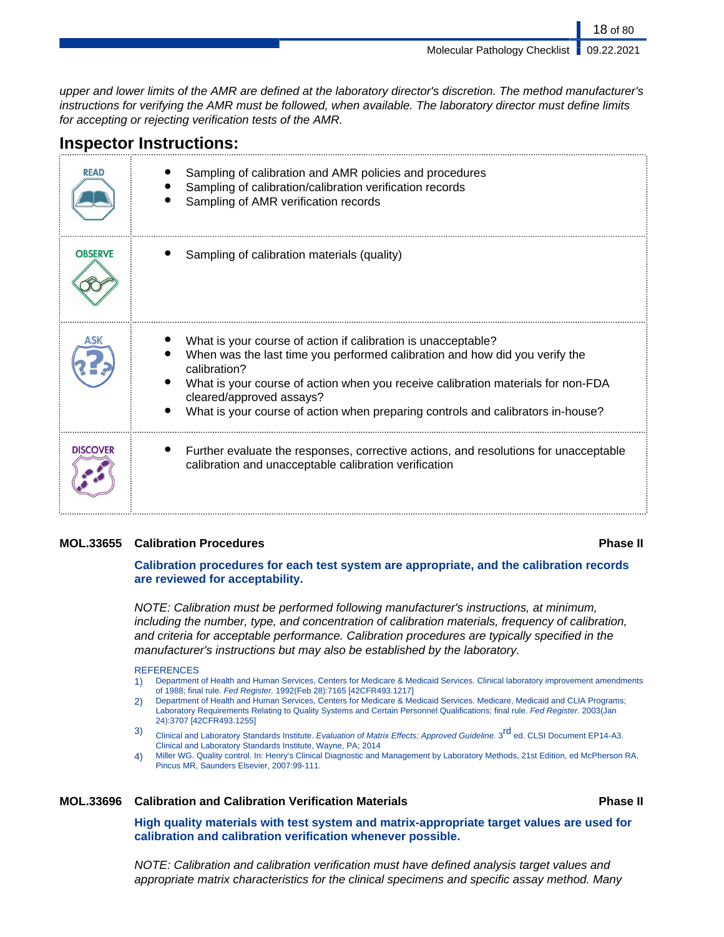Molecular Pathology Checklist | 09.22.2021

18 of 80

upper and lower limits of the AMR are defined at the laboratory director's discretion. The method manufacturer's instructions for verifying the AMR must be followed, when available. The laboratory director must define limits for accepting or rejecting verification tests of the AMR.

# **Inspector Instructions:**

| <b>READ</b>     | Sampling of calibration and AMR policies and procedures<br>Sampling of calibration/calibration verification records<br>Sampling of AMR verification records                                                                                                                                                                                                     |
|-----------------|-----------------------------------------------------------------------------------------------------------------------------------------------------------------------------------------------------------------------------------------------------------------------------------------------------------------------------------------------------------------|
| <b>OBSERVE</b>  | Sampling of calibration materials (quality)                                                                                                                                                                                                                                                                                                                     |
|                 | What is your course of action if calibration is unacceptable?<br>When was the last time you performed calibration and how did you verify the<br>calibration?<br>What is your course of action when you receive calibration materials for non-FDA<br>cleared/approved assays?<br>What is your course of action when preparing controls and calibrators in-house? |
| <b>DISCOVER</b> | Further evaluate the responses, corrective actions, and resolutions for unacceptable<br>calibration and unacceptable calibration verification                                                                                                                                                                                                                   |

# **MOL.33655 Calibration Procedures Phase II**

# **Calibration procedures for each test system are appropriate, and the calibration records are reviewed for acceptability.**

NOTE: Calibration must be performed following manufacturer's instructions, at minimum, including the number, type, and concentration of calibration materials, frequency of calibration, and criteria for acceptable performance. Calibration procedures are typically specified in the manufacturer's instructions but may also be established by the laboratory.

### **REFERENCES**

- 1) Department of Health and Human Services, Centers for Medicare & Medicaid Services. Clinical laboratory improvement amendments of 1988; final rule. Fed Register. 1992(Feb 28):7165 [42CFR493.1217]
- 2) Department of Health and Human Services, Centers for Medicare & Medicaid Services. Medicare, Medicaid and CLIA Programs; Laboratory Requirements Relating to Quality Systems and Certain Personnel Qualifications; final rule. Fed Register. 2003(Jan 24):3707 [42CFR493.1255]
- 3) Clinical and Laboratory Standards Institute. Evaluation of Matrix Effects; Approved Guideline. 3<sup>rd</sup> ed. CLSI Document EP14-A3. Clinical and Laboratory Standards Institute, Wayne, PA; 2014
- 4) Miller WG. Quality control. In: Henry's Clinical Diagnostic and Management by Laboratory Methods, 21st Edition, ed McPherson RA, Pincus MR, Saunders Elsevier, 2007:99-111.

# **MOL.33696 Calibration and Calibration Verification Materials Phase II**

**High quality materials with test system and matrix-appropriate target values are used for calibration and calibration verification whenever possible.**

NOTE: Calibration and calibration verification must have defined analysis target values and appropriate matrix characteristics for the clinical specimens and specific assay method. Many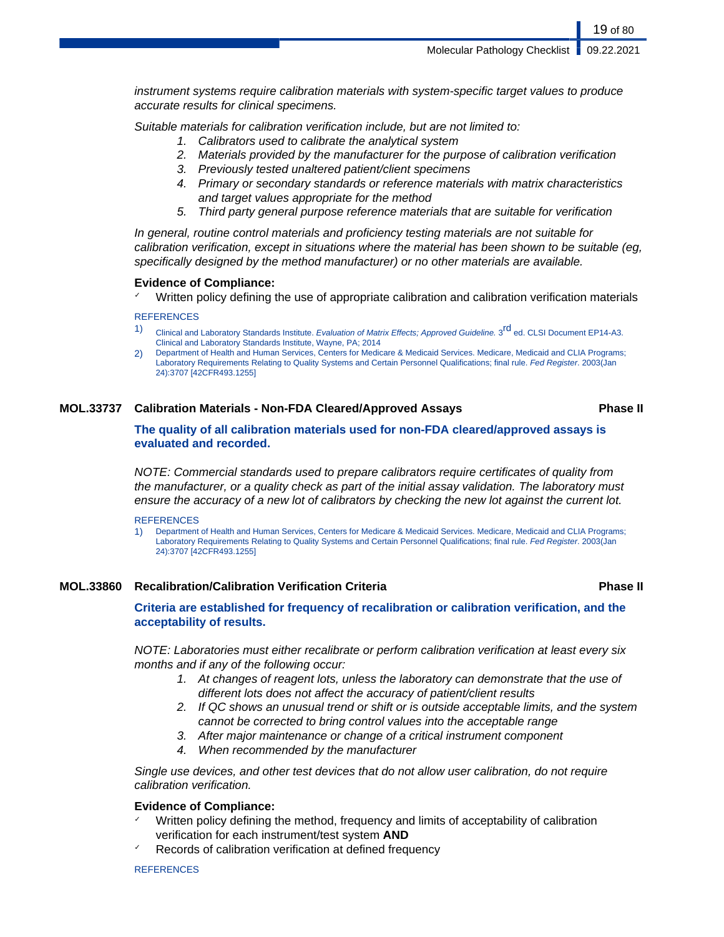instrument systems require calibration materials with system-specific target values to produce accurate results for clinical specimens.

Suitable materials for calibration verification include, but are not limited to:

- 1. Calibrators used to calibrate the analytical system
- 2. Materials provided by the manufacturer for the purpose of calibration verification
- 3. Previously tested unaltered patient/client specimens
- 4. Primary or secondary standards or reference materials with matrix characteristics and target values appropriate for the method
- 5. Third party general purpose reference materials that are suitable for verification

In general, routine control materials and proficiency testing materials are not suitable for calibration verification, except in situations where the material has been shown to be suitable (eg, specifically designed by the method manufacturer) or no other materials are available.

# **Evidence of Compliance:**

Written policy defining the use of appropriate calibration and calibration verification materials

# **REFERENCES**

- 1) Clinical and Laboratory Standards Institute. Evaluation of Matrix Effects; Approved Guideline. 3<sup>rd</sup> ed. CLSI Document EP14-A3. Clinical and Laboratory Standards Institute, Wayne, PA; 2014
- 2) Department of Health and Human Services, Centers for Medicare & Medicaid Services. Medicare, Medicaid and CLIA Programs; Laboratory Requirements Relating to Quality Systems and Certain Personnel Qualifications; final rule. Fed Register. 2003(Jan 24):3707 [42CFR493.1255]

# **MOL.33737 Calibration Materials - Non-FDA Cleared/Approved Assays Phase II**

# **The quality of all calibration materials used for non-FDA cleared/approved assays is evaluated and recorded.**

NOTE: Commercial standards used to prepare calibrators require certificates of quality from the manufacturer, or a quality check as part of the initial assay validation. The laboratory must ensure the accuracy of a new lot of calibrators by checking the new lot against the current lot.

### **REFERENCES**

1) Department of Health and Human Services, Centers for Medicare & Medicaid Services. Medicare, Medicaid and CLIA Programs; Laboratory Requirements Relating to Quality Systems and Certain Personnel Qualifications; final rule. Fed Register. 2003(Jan 24):3707 [42CFR493.1255]

# **MOL.33860 Recalibration/Calibration Verification Criteria Phase II**

# **Criteria are established for frequency of recalibration or calibration verification, and the acceptability of results.**

NOTE: Laboratories must either recalibrate or perform calibration verification at least every six months and if any of the following occur:

- 1. At changes of reagent lots, unless the laboratory can demonstrate that the use of different lots does not affect the accuracy of patient/client results
- 2. If QC shows an unusual trend or shift or is outside acceptable limits, and the system cannot be corrected to bring control values into the acceptable range
- 3. After major maintenance or change of a critical instrument component
- 4. When recommended by the manufacturer

Single use devices, and other test devices that do not allow user calibration, do not require calibration verification.

# **Evidence of Compliance:**

- Written policy defining the method, frequency and limits of acceptability of calibration verification for each instrument/test system **AND**
- Records of calibration verification at defined frequency

# **REFERENCES**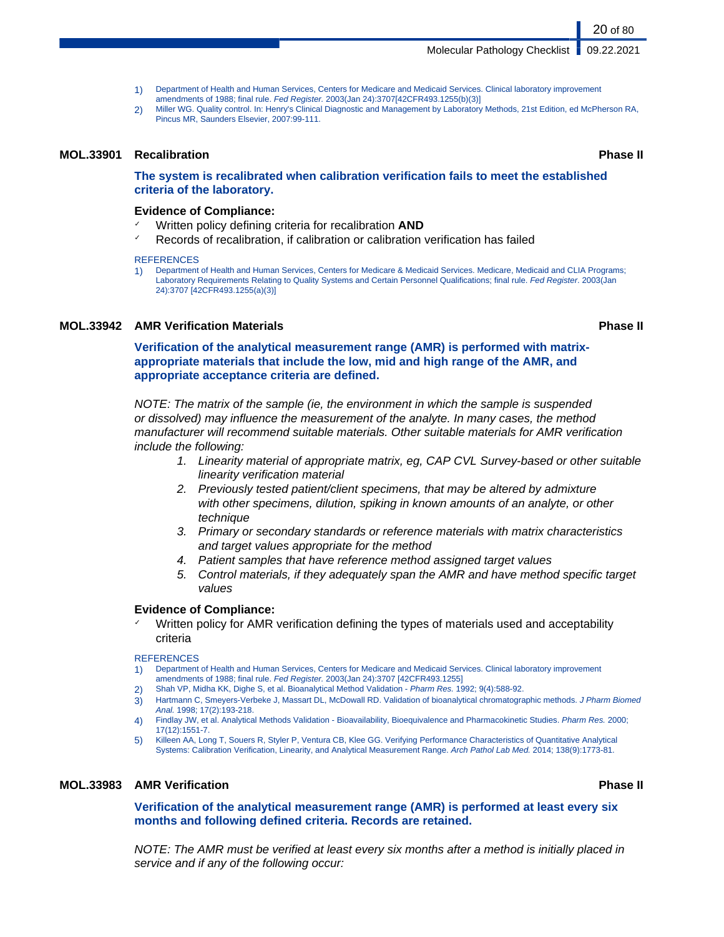Molecular Pathology Checklist | 09.22.2021

- 1) Department of Health and Human Services, Centers for Medicare and Medicaid Services. Clinical laboratory improvement amendments of 1988; final rule. Fed Register. 2003(Jan 24):3707[42CFR493.1255(b)(3)]
- 2) Miller WG. Quality control. In: Henry's Clinical Diagnostic and Management by Laboratory Methods, 21st Edition, ed McPherson RA, Pincus MR, Saunders Elsevier, 2007:99-111.

# **MOL.33901 Recalibration Phase II**

**The system is recalibrated when calibration verification fails to meet the established criteria of the laboratory.**

# **Evidence of Compliance:**

- Written policy defining criteria for recalibration **AND**
- Records of recalibration, if calibration or calibration verification has failed

### **REFERENCES**

1) Department of Health and Human Services, Centers for Medicare & Medicaid Services. Medicare, Medicaid and CLIA Programs; Laboratory Requirements Relating to Quality Systems and Certain Personnel Qualifications; final rule. Fed Register. 2003(Jan 24):3707 [42CFR493.1255(a)(3)]

# **MOL.33942 AMR Verification Materials Phase II**

**Verification of the analytical measurement range (AMR) is performed with matrixappropriate materials that include the low, mid and high range of the AMR, and appropriate acceptance criteria are defined.**

NOTE: The matrix of the sample (ie, the environment in which the sample is suspended or dissolved) may influence the measurement of the analyte. In many cases, the method manufacturer will recommend suitable materials. Other suitable materials for AMR verification include the following:

- 1. Linearity material of appropriate matrix, eg, CAP CVL Survey-based or other suitable linearity verification material
- 2. Previously tested patient/client specimens, that may be altered by admixture with other specimens, dilution, spiking in known amounts of an analyte, or other technique
- 3. Primary or secondary standards or reference materials with matrix characteristics and target values appropriate for the method
- 4. Patient samples that have reference method assigned target values
- 5. Control materials, if they adequately span the AMR and have method specific target values

# **Evidence of Compliance:**

Written policy for AMR verification defining the types of materials used and acceptability criteria

#### REFERENCES

- 1) Department of Health and Human Services, Centers for Medicare and Medicaid Services. Clinical laboratory improvement amendments of 1988; final rule. Fed Register. 2003(Jan 24):3707 [42CFR493.1255]
- 2) Shah VP, Midha KK, Dighe S, et al. Bioanalytical Method Validation Pharm Res. 1992; 9(4):588-92.
- 3) Hartmann C, Smeyers-Verbeke J, Massart DL, McDowall RD. Validation of bioanalytical chromatographic methods. J Pharm Biomed Anal. 1998; 17(2):193-218.
- 4) Findlay JW, et al. Analytical Methods Validation Bioavailability, Bioequivalence and Pharmacokinetic Studies. Pharm Res. 2000; 17(12):1551-7.
- 5) Killeen AA, Long T, Souers R, Styler P, Ventura CB, Klee GG. Verifying Performance Characteristics of Quantitative Analytical Systems: Calibration Verification, Linearity, and Analytical Measurement Range. Arch Pathol Lab Med. 2014; 138(9):1773-81.

# **MOL.33983 AMR Verification Phase II**

**Verification of the analytical measurement range (AMR) is performed at least every six months and following defined criteria. Records are retained.**

NOTE: The AMR must be verified at least every six months after a method is initially placed in service and if any of the following occur:

# 20 of 80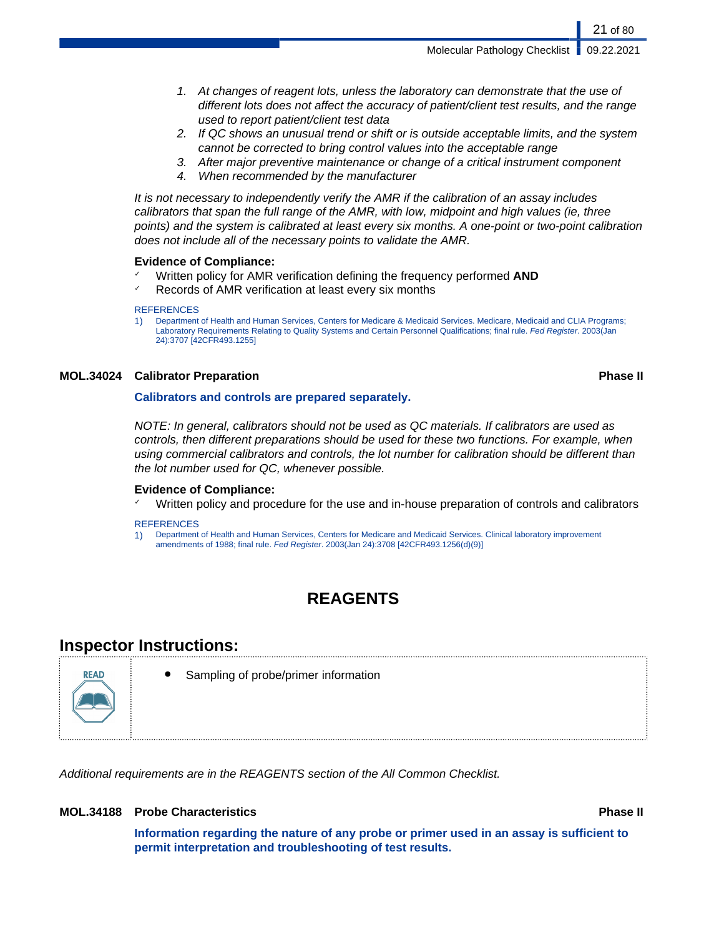Molecular Pathology Checklist | 09.22.2021

- 1. At changes of reagent lots, unless the laboratory can demonstrate that the use of different lots does not affect the accuracy of patient/client test results, and the range used to report patient/client test data
- 2. If QC shows an unusual trend or shift or is outside acceptable limits, and the system cannot be corrected to bring control values into the acceptable range
- 3. After major preventive maintenance or change of a critical instrument component
- 4. When recommended by the manufacturer

It is not necessary to independently verify the AMR if the calibration of an assay includes calibrators that span the full range of the AMR, with low, midpoint and high values (ie, three points) and the system is calibrated at least every six months. A one-point or two-point calibration does not include all of the necessary points to validate the AMR.

# **Evidence of Compliance:**

- Written policy for AMR verification defining the frequency performed **AND**
- Records of AMR verification at least every six months

#### **REFERENCES**

1) Department of Health and Human Services, Centers for Medicare & Medicaid Services. Medicare, Medicaid and CLIA Programs; Laboratory Requirements Relating to Quality Systems and Certain Personnel Qualifications; final rule. Fed Register. 2003(Jan 24):3707 [42CFR493.1255]

### **MOL.34024 Calibrator Preparation Phase II**

# **Calibrators and controls are prepared separately.**

NOTE: In general, calibrators should not be used as QC materials. If calibrators are used as controls, then different preparations should be used for these two functions. For example, when using commercial calibrators and controls, the lot number for calibration should be different than the lot number used for QC, whenever possible.

# **Evidence of Compliance:**

Written policy and procedure for the use and in-house preparation of controls and calibrators

### **REFERENCES**

1) Department of Health and Human Services, Centers for Medicare and Medicaid Services. Clinical laboratory improvement amendments of 1988; final rule. Fed Register. 2003(Jan 24):3708 [42CFR493.1256(d)(9)]

# **REAGENTS**

# **Inspector Instructions:**



Sampling of probe/primer information

Additional requirements are in the REAGENTS section of the All Common Checklist.

# **MOL.34188 Probe Characteristics Phase II**

**Information regarding the nature of any probe or primer used in an assay is sufficient to permit interpretation and troubleshooting of test results.**

### 21 of 80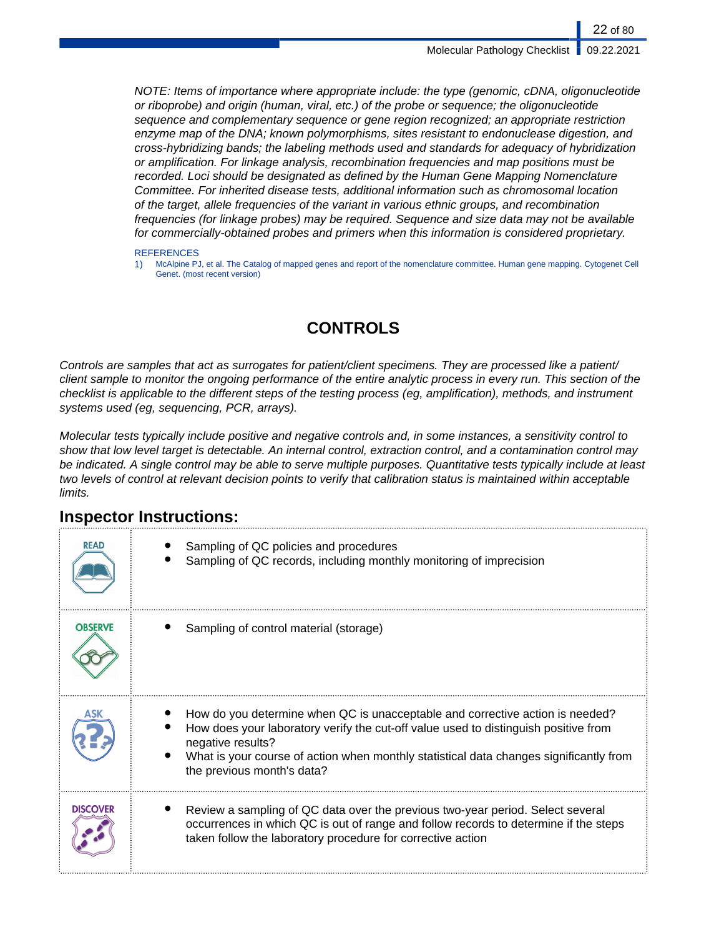NOTE: Items of importance where appropriate include: the type (genomic, cDNA, oligonucleotide or riboprobe) and origin (human, viral, etc.) of the probe or sequence; the oligonucleotide sequence and complementary sequence or gene region recognized; an appropriate restriction enzyme map of the DNA; known polymorphisms, sites resistant to endonuclease digestion, and cross-hybridizing bands; the labeling methods used and standards for adequacy of hybridization or amplification. For linkage analysis, recombination frequencies and map positions must be recorded. Loci should be designated as defined by the Human Gene Mapping Nomenclature Committee. For inherited disease tests, additional information such as chromosomal location of the target, allele frequencies of the variant in various ethnic groups, and recombination frequencies (for linkage probes) may be required. Sequence and size data may not be available for commercially-obtained probes and primers when this information is considered proprietary.

#### **REFERENCES**

1) McAlpine PJ, et al. The Catalog of mapped genes and report of the nomenclature committee. Human gene mapping. Cytogenet Cell Genet. (most recent version)

# **CONTROLS**

Controls are samples that act as surrogates for patient/client specimens. They are processed like a patient/ client sample to monitor the ongoing performance of the entire analytic process in every run. This section of the checklist is applicable to the different steps of the testing process (eg, amplification), methods, and instrument systems used (eg, sequencing, PCR, arrays).

Molecular tests typically include positive and negative controls and, in some instances, a sensitivity control to show that low level target is detectable. An internal control, extraction control, and a contamination control may be indicated. A single control may be able to serve multiple purposes. Quantitative tests typically include at least two levels of control at relevant decision points to verify that calibration status is maintained within acceptable limits.

| <b>READ</b>     | Sampling of QC policies and procedures<br>Sampling of QC records, including monthly monitoring of imprecision                                                                                                                                                                                                     |
|-----------------|-------------------------------------------------------------------------------------------------------------------------------------------------------------------------------------------------------------------------------------------------------------------------------------------------------------------|
| <b>OBSERVE</b>  | Sampling of control material (storage)                                                                                                                                                                                                                                                                            |
|                 | How do you determine when QC is unacceptable and corrective action is needed?<br>How does your laboratory verify the cut-off value used to distinguish positive from<br>negative results?<br>What is your course of action when monthly statistical data changes significantly from<br>the previous month's data? |
| <b>DISCOVER</b> | Review a sampling of QC data over the previous two-year period. Select several<br>occurrences in which QC is out of range and follow records to determine if the steps<br>taken follow the laboratory procedure for corrective action                                                                             |

# **Inspector Instructions:**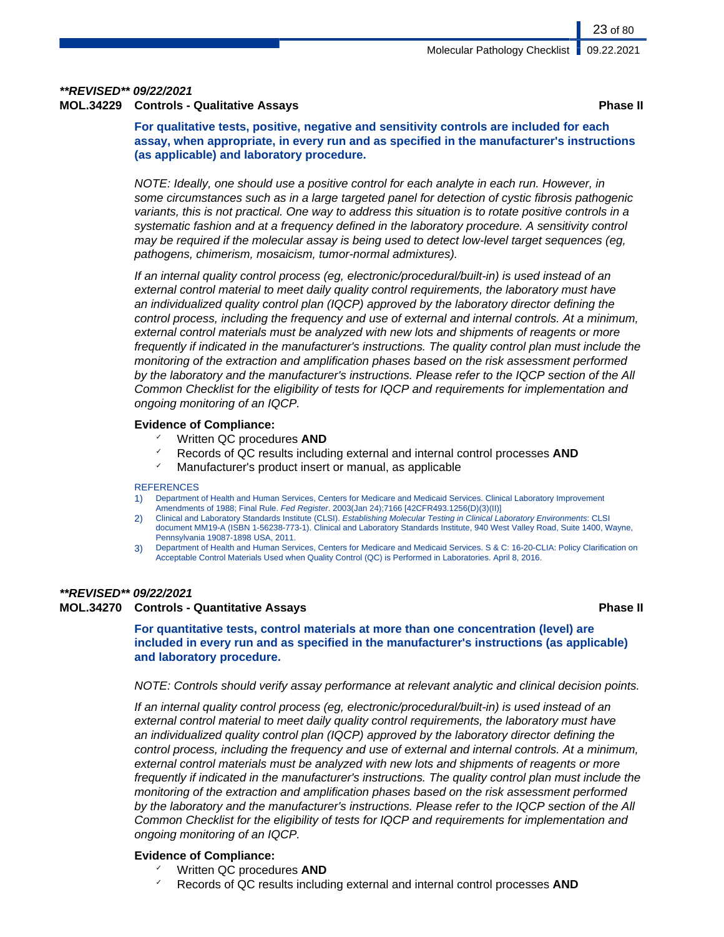# **\*\*REVISED\*\* 09/22/2021**

# **MOL.34229 Controls - Qualitative Assays Phase II**

**For qualitative tests, positive, negative and sensitivity controls are included for each assay, when appropriate, in every run and as specified in the manufacturer's instructions (as applicable) and laboratory procedure.**

NOTE: Ideally, one should use a positive control for each analyte in each run. However, in some circumstances such as in a large targeted panel for detection of cystic fibrosis pathogenic variants, this is not practical. One way to address this situation is to rotate positive controls in a systematic fashion and at a frequency defined in the laboratory procedure. A sensitivity control may be required if the molecular assay is being used to detect low-level target sequences (eg, pathogens, chimerism, mosaicism, tumor-normal admixtures).

If an internal quality control process (eg, electronic/procedural/built-in) is used instead of an external control material to meet daily quality control requirements, the laboratory must have an individualized quality control plan (IQCP) approved by the laboratory director defining the control process, including the frequency and use of external and internal controls. At a minimum, external control materials must be analyzed with new lots and shipments of reagents or more frequently if indicated in the manufacturer's instructions. The quality control plan must include the monitoring of the extraction and amplification phases based on the risk assessment performed by the laboratory and the manufacturer's instructions. Please refer to the IQCP section of the All Common Checklist for the eligibility of tests for IQCP and requirements for implementation and ongoing monitoring of an IQCP.

# **Evidence of Compliance:**

- ✓ Written QC procedures **AND**
- ✓ Records of QC results including external and internal control processes **AND**
- ✓ Manufacturer's product insert or manual, as applicable

### **REFERENCES**

- 1) Department of Health and Human Services, Centers for Medicare and Medicaid Services. Clinical Laboratory Improvement Amendments of 1988; Final Rule. Fed Register. 2003(Jan 24);7166 [42CFR493.1256(D)(3)(II)]
- 2) Clinical and Laboratory Standards Institute (CLSI). Establishing Molecular Testing in Clinical Laboratory Environments: CLSI document MM19-A (ISBN 1-56238-773-1). Clinical and Laboratory Standards Institute, 940 West Valley Road, Suite 1400, Wayne, Pennsylvania 19087-1898 USA, 2011.
- 3) Department of Health and Human Services, Centers for Medicare and Medicaid Services. S & C: 16-20-CLIA: Policy Clarification on Acceptable Control Materials Used when Quality Control (QC) is Performed in Laboratories. April 8, 2016.

# **\*\*REVISED\*\* 09/22/2021**

# **MOL.34270 Controls - Quantitative Assays Phase II**

**For quantitative tests, control materials at more than one concentration (level) are included in every run and as specified in the manufacturer's instructions (as applicable) and laboratory procedure.**

# NOTE: Controls should verify assay performance at relevant analytic and clinical decision points.

If an internal quality control process (eg, electronic/procedural/built-in) is used instead of an external control material to meet daily quality control requirements, the laboratory must have an individualized quality control plan (IQCP) approved by the laboratory director defining the control process, including the frequency and use of external and internal controls. At a minimum, external control materials must be analyzed with new lots and shipments of reagents or more frequently if indicated in the manufacturer's instructions. The quality control plan must include the monitoring of the extraction and amplification phases based on the risk assessment performed by the laboratory and the manufacturer's instructions. Please refer to the IQCP section of the All Common Checklist for the eligibility of tests for IQCP and requirements for implementation and ongoing monitoring of an IQCP.

# **Evidence of Compliance:**

- Written QC procedures **AND**
- Records of QC results including external and internal control processes **AND**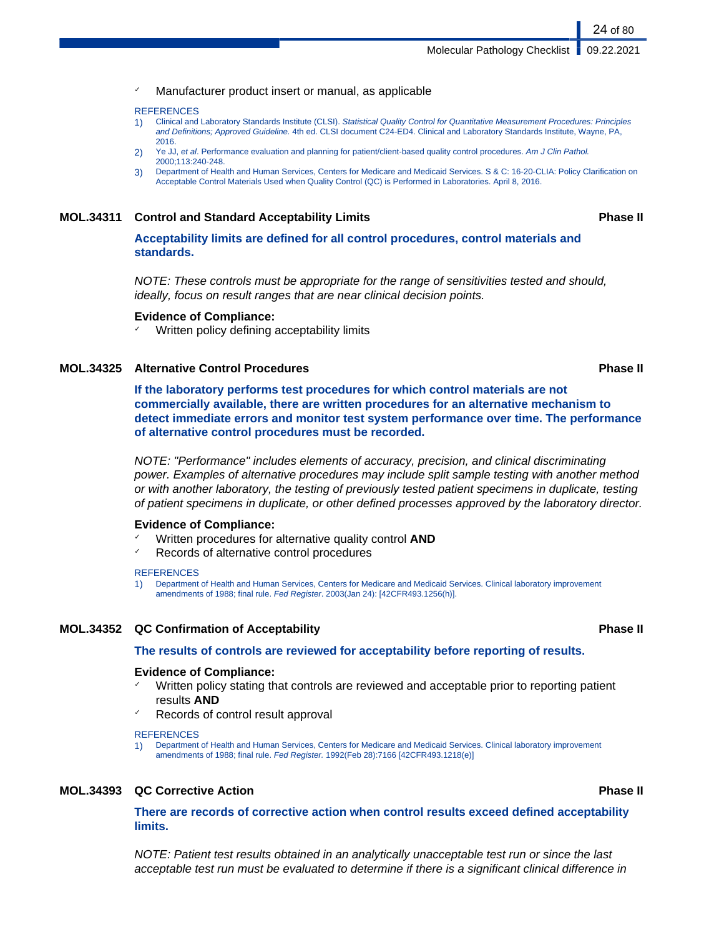Manufacturer product insert or manual, as applicable

#### **REFERENCES**

- 1) Clinical and Laboratory Standards Institute (CLSI). Statistical Quality Control for Quantitative Measurement Procedures: Principles and Definitions; Approved Guideline. 4th ed. CLSI document C24-ED4. Clinical and Laboratory Standards Institute, Wayne, PA, 2016.
- 2) Ye JJ, et al. Performance evaluation and planning for patient/client-based quality control procedures. Am J Clin Pathol. 2000;113:240-248.
- 3) Department of Health and Human Services, Centers for Medicare and Medicaid Services. S & C: 16-20-CLIA: Policy Clarification on Acceptable Control Materials Used when Quality Control (QC) is Performed in Laboratories. April 8, 2016.

### **MOL.34311 Control and Standard Acceptability Limits Phase II**

**Acceptability limits are defined for all control procedures, control materials and standards.**

NOTE: These controls must be appropriate for the range of sensitivities tested and should, ideally, focus on result ranges that are near clinical decision points.

#### **Evidence of Compliance:**

Written policy defining acceptability limits

## **MOL.34325 Alternative Control Procedures Phase II**

**If the laboratory performs test procedures for which control materials are not commercially available, there are written procedures for an alternative mechanism to detect immediate errors and monitor test system performance over time. The performance of alternative control procedures must be recorded.**

NOTE: "Performance" includes elements of accuracy, precision, and clinical discriminating power. Examples of alternative procedures may include split sample testing with another method or with another laboratory, the testing of previously tested patient specimens in duplicate, testing of patient specimens in duplicate, or other defined processes approved by the laboratory director.

#### **Evidence of Compliance:**

- ✓ Written procedures for alternative quality control **AND**
- Records of alternative control procedures

#### **REFERENCES**

1) Department of Health and Human Services, Centers for Medicare and Medicaid Services. Clinical laboratory improvement amendments of 1988; final rule. Fed Register. 2003(Jan 24): [42CFR493.1256(h)].

# **MOL.34352 QC Confirmation of Acceptability Phase II**

### **The results of controls are reviewed for acceptability before reporting of results.**

### **Evidence of Compliance:**

- Written policy stating that controls are reviewed and acceptable prior to reporting patient results **AND**
- Records of control result approval

#### **REFERENCES**

1) Department of Health and Human Services, Centers for Medicare and Medicaid Services. Clinical laboratory improvement amendments of 1988; final rule. Fed Register. 1992(Feb 28):7166 [42CFR493.1218(e)]

### **MOL.34393 QC Corrective Action Phase II**

**There are records of corrective action when control results exceed defined acceptability limits.**

NOTE: Patient test results obtained in an analytically unacceptable test run or since the last acceptable test run must be evaluated to determine if there is a significant clinical difference in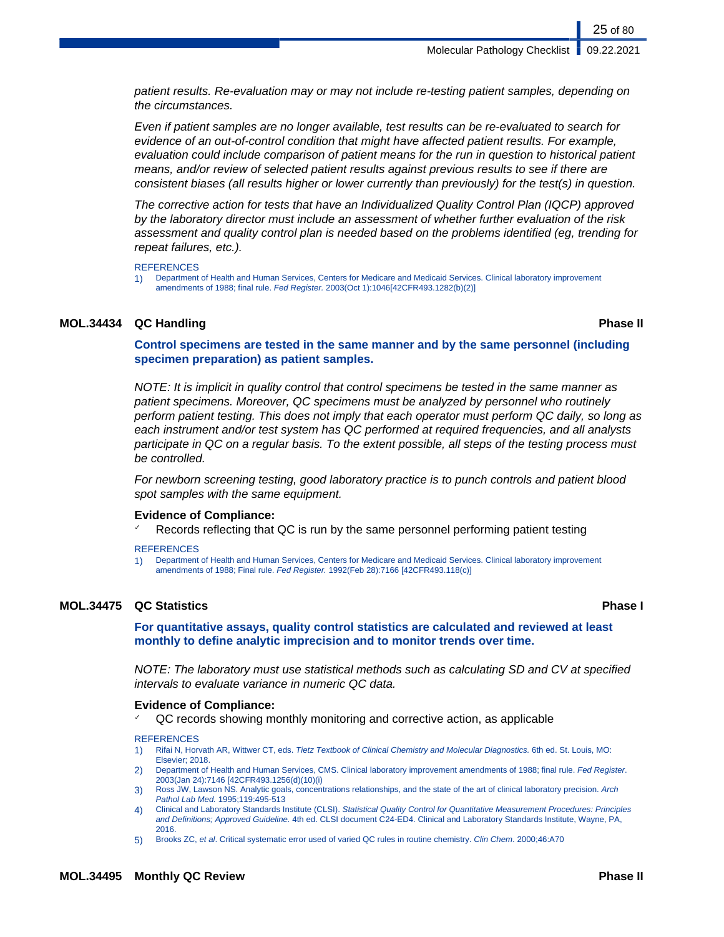Even if patient samples are no longer available, test results can be re-evaluated to search for evidence of an out-of-control condition that might have affected patient results. For example, evaluation could include comparison of patient means for the run in question to historical patient means, and/or review of selected patient results against previous results to see if there are consistent biases (all results higher or lower currently than previously) for the test(s) in question.

The corrective action for tests that have an Individualized Quality Control Plan (IQCP) approved by the laboratory director must include an assessment of whether further evaluation of the risk assessment and quality control plan is needed based on the problems identified (eg, trending for repeat failures, etc.).

### **REFERENCES**

1) Department of Health and Human Services, Centers for Medicare and Medicaid Services. Clinical laboratory improvement amendments of 1988; final rule. Fed Register. 2003(Oct 1):1046[42CFR493.1282(b)(2)]

# **MOL.34434 QC Handling Phase II**

25 of 80

# **Control specimens are tested in the same manner and by the same personnel (including specimen preparation) as patient samples.**

NOTE: It is implicit in quality control that control specimens be tested in the same manner as patient specimens. Moreover, QC specimens must be analyzed by personnel who routinely perform patient testing. This does not imply that each operator must perform QC daily, so long as each instrument and/or test system has QC performed at required frequencies, and all analysts participate in QC on a regular basis. To the extent possible, all steps of the testing process must be controlled.

For newborn screening testing, good laboratory practice is to punch controls and patient blood spot samples with the same equipment.

# **Evidence of Compliance:**

Records reflecting that QC is run by the same personnel performing patient testing

### **REFERENCES**

1) Department of Health and Human Services, Centers for Medicare and Medicaid Services. Clinical laboratory improvement amendments of 1988; Final rule. Fed Register. 1992(Feb 28):7166 [42CFR493.118(c)]

# **MOL.34475 QC Statistics Phase I**

**For quantitative assays, quality control statistics are calculated and reviewed at least monthly to define analytic imprecision and to monitor trends over time.**

NOTE: The laboratory must use statistical methods such as calculating SD and CV at specified intervals to evaluate variance in numeric QC data.

# **Evidence of Compliance:**

✓ QC records showing monthly monitoring and corrective action, as applicable

### **REFERENCES**

- 1) Rifai N, Horvath AR, Wittwer CT, eds. Tietz Textbook of Clinical Chemistry and Molecular Diagnostics. 6th ed. St. Louis, MO: Elsevier; 2018.
- 2) Department of Health and Human Services, CMS. Clinical laboratory improvement amendments of 1988; final rule. Fed Register. 2003(Jan 24):7146 [42CFR493.1256(d)(10)(i)
- 3) Ross JW, Lawson NS. Analytic goals, concentrations relationships, and the state of the art of clinical laboratory precision. Arch Pathol Lab Med. 1995;119:495-513
- 4) Clinical and Laboratory Standards Institute (CLSI). Statistical Quality Control for Quantitative Measurement Procedures: Principles and Definitions; Approved Guideline. 4th ed. CLSI document C24-ED4. Clinical and Laboratory Standards Institute, Wayne, PA, 2016.
- 5) Brooks ZC, et al. Critical systematic error used of varied QC rules in routine chemistry. Clin Chem. 2000;46:A70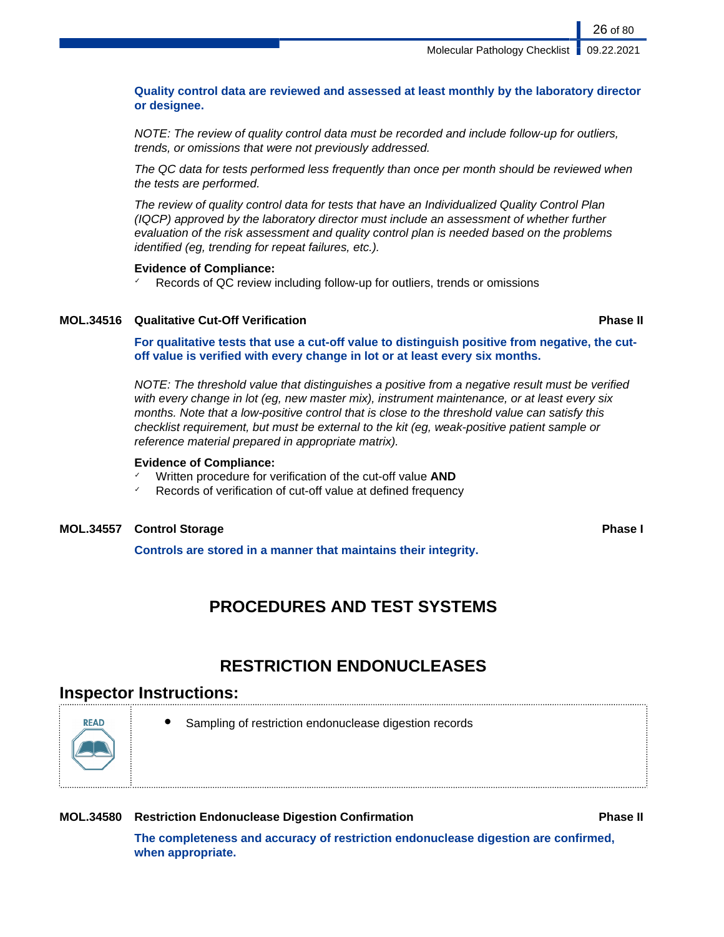**Quality control data are reviewed and assessed at least monthly by the laboratory director or designee.**

NOTE: The review of quality control data must be recorded and include follow-up for outliers, trends, or omissions that were not previously addressed.

The QC data for tests performed less frequently than once per month should be reviewed when the tests are performed.

The review of quality control data for tests that have an Individualized Quality Control Plan (IQCP) approved by the laboratory director must include an assessment of whether further evaluation of the risk assessment and quality control plan is needed based on the problems identified (eg, trending for repeat failures, etc.).

# **Evidence of Compliance:**

✓ Records of QC review including follow-up for outliers, trends or omissions

# **MOL.34516 Qualitative Cut-Off Verification Phase II**

**For qualitative tests that use a cut-off value to distinguish positive from negative, the cutoff value is verified with every change in lot or at least every six months.**

NOTE: The threshold value that distinguishes a positive from a negative result must be verified with every change in lot (eg, new master mix), instrument maintenance, or at least every six months. Note that a low-positive control that is close to the threshold value can satisfy this checklist requirement, but must be external to the kit (eg, weak-positive patient sample or reference material prepared in appropriate matrix).

# **Evidence of Compliance:**

- Written procedure for verification of the cut-off value **AND**
- Records of verification of cut-off value at defined frequency

# **MOL.34557 Control Storage Phase I**

**Controls are stored in a manner that maintains their integrity.**

# **PROCEDURES AND TEST SYSTEMS**

# **RESTRICTION ENDONUCLEASES**

# **Inspector Instructions:**

Sampling of restriction endonuclease digestion records

# **MOL.34580 Restriction Endonuclease Digestion Confirmation Phase II**

**The completeness and accuracy of restriction endonuclease digestion are confirmed, when appropriate.**



26 of 80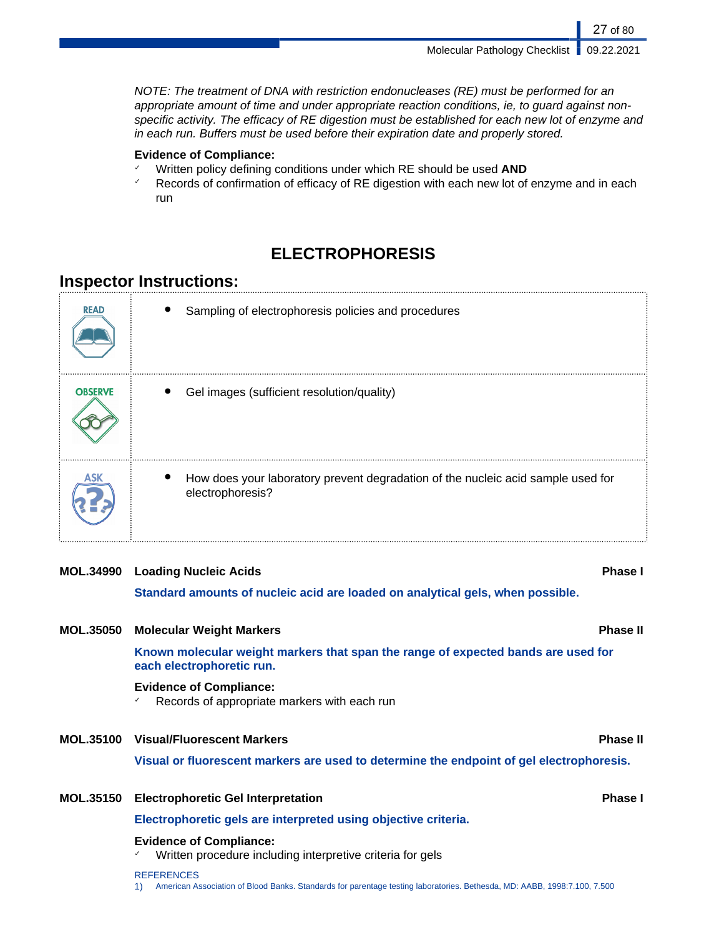NOTE: The treatment of DNA with restriction endonucleases (RE) must be performed for an appropriate amount of time and under appropriate reaction conditions, ie, to guard against nonspecific activity. The efficacy of RE digestion must be established for each new lot of enzyme and in each run. Buffers must be used before their expiration date and properly stored.

# **Evidence of Compliance:**

- ✓ Written policy defining conditions under which RE should be used **AND**
- $\checkmark$  Records of confirmation of efficacy of RE digestion with each new lot of enzyme and in each run

# **ELECTROPHORESIS**

# **Inspector Instructions:**

| <b>READ</b>    | Sampling of electrophoresis policies and procedures                                                  |
|----------------|------------------------------------------------------------------------------------------------------|
| <b>OBSERVE</b> | Gel images (sufficient resolution/quality)                                                           |
|                | How does your laboratory prevent degradation of the nucleic acid sample used for<br>electrophoresis? |

# **MOL.34990 Loading Nucleic Acids Phase I**

**Standard amounts of nucleic acid are loaded on analytical gels, when possible.**

| <b>MOL.35050</b> | <b>Molecular Weight Markers</b>                                                                                | <b>Phase II</b> |
|------------------|----------------------------------------------------------------------------------------------------------------|-----------------|
|                  | Known molecular weight markers that span the range of expected bands are used for<br>each electrophoretic run. |                 |
|                  | <b>Evidence of Compliance:</b><br>Records of appropriate markers with each run                                 |                 |
|                  | <b>MOL.35100 Visual/Fluorescent Markers</b>                                                                    | <b>Phase II</b> |
|                  | Visual or fluorescent markers are used to determine the endpoint of gel electrophoresis.                       |                 |
| <b>MOL.35150</b> | <b>Electrophoretic Gel Interpretation</b>                                                                      | <b>Phase I</b>  |
|                  | Electrophoretic gels are interpreted using objective criteria.                                                 |                 |
|                  | <b>Evidence of Compliance:</b><br>Written procedure including interpretive criteria for gels                   |                 |
|                  | <b>REFERENCES</b>                                                                                              |                 |

1) American Association of Blood Banks. Standards for parentage testing laboratories. Bethesda, MD: AABB, 1998:7.100, 7.500

27 of 80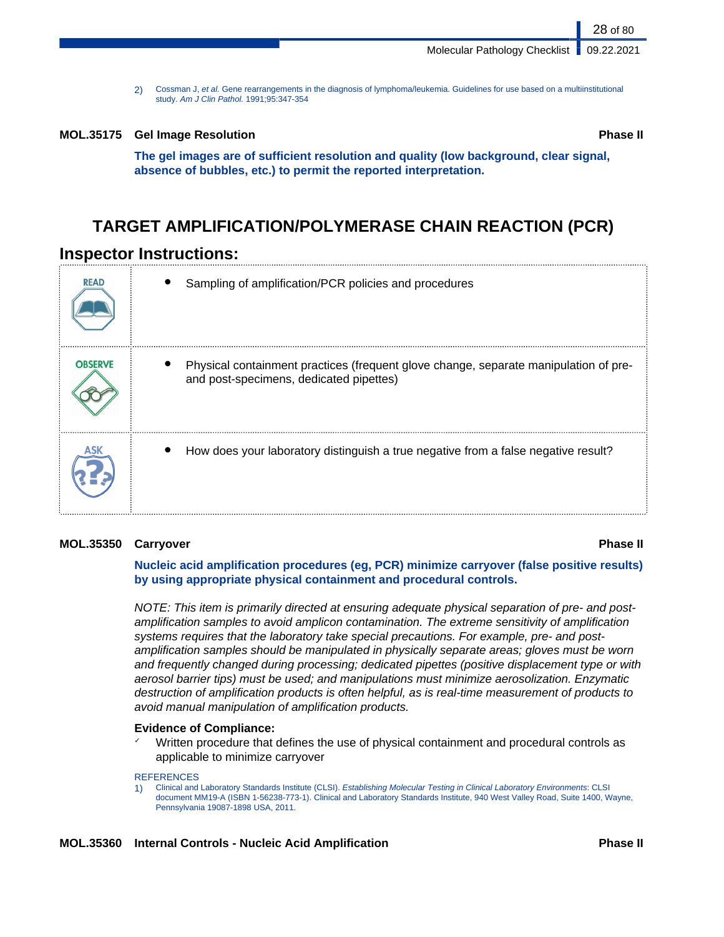2) Cossman J, et al. Gene rearrangements in the diagnosis of lymphoma/leukemia. Guidelines for use based on a multiinstitutional study. Am J Clin Pathol. 1991;95:347-354

#### **MOL.35175 Gel Image Resolution Phase II**

**The gel images are of sufficient resolution and quality (low background, clear signal, absence of bubbles, etc.) to permit the reported interpretation.**

# **TARGET AMPLIFICATION/POLYMERASE CHAIN REACTION (PCR)**

# **Inspector Instructions:**

| <b>READ</b>    | Sampling of amplification/PCR policies and procedures                                                                           |
|----------------|---------------------------------------------------------------------------------------------------------------------------------|
| <b>OBSERVE</b> | Physical containment practices (frequent glove change, separate manipulation of pre-<br>and post-specimens, dedicated pipettes) |
|                | How does your laboratory distinguish a true negative from a false negative result?                                              |

### **MOL.35350 Carryover Phase II**

**Nucleic acid amplification procedures (eg, PCR) minimize carryover (false positive results) by using appropriate physical containment and procedural controls.**

NOTE: This item is primarily directed at ensuring adequate physical separation of pre- and postamplification samples to avoid amplicon contamination. The extreme sensitivity of amplification systems requires that the laboratory take special precautions. For example, pre- and postamplification samples should be manipulated in physically separate areas; gloves must be worn and frequently changed during processing; dedicated pipettes (positive displacement type or with aerosol barrier tips) must be used; and manipulations must minimize aerosolization. Enzymatic destruction of amplification products is often helpful, as is real-time measurement of products to avoid manual manipulation of amplification products.

# **Evidence of Compliance:**

Written procedure that defines the use of physical containment and procedural controls as applicable to minimize carryover

#### **REFERENCES**

1) Clinical and Laboratory Standards Institute (CLSI). Establishing Molecular Testing in Clinical Laboratory Environments: CLSI document MM19-A (ISBN 1-56238-773-1). Clinical and Laboratory Standards Institute, 940 West Valley Road, Suite 1400, Wayne, Pennsylvania 19087-1898 USA, 2011.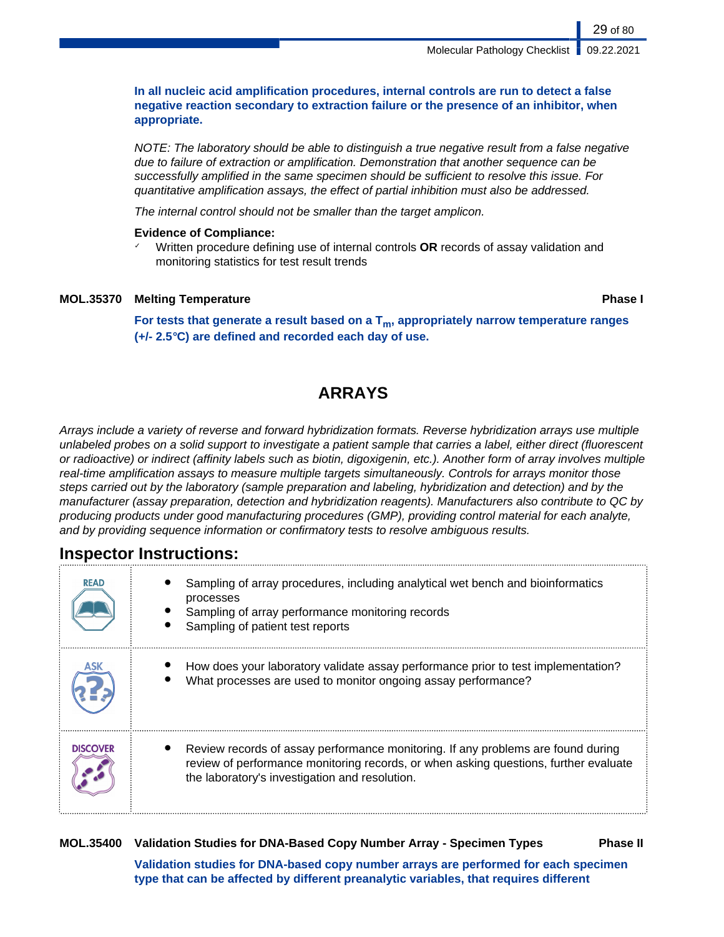**In all nucleic acid amplification procedures, internal controls are run to detect a false negative reaction secondary to extraction failure or the presence of an inhibitor, when appropriate.**

NOTE: The laboratory should be able to distinguish a true negative result from a false negative due to failure of extraction or amplification. Demonstration that another sequence can be successfully amplified in the same specimen should be sufficient to resolve this issue. For quantitative amplification assays, the effect of partial inhibition must also be addressed.

The internal control should not be smaller than the target amplicon.

# **Evidence of Compliance:**

✓ Written procedure defining use of internal controls **OR** records of assay validation and monitoring statistics for test result trends

# **MOL.35370 Melting Temperature Phase I**

**For tests that generate a result based on a Tm, appropriately narrow temperature ranges (+/- 2.5°C) are defined and recorded each day of use.**

# **ARRAYS**

Arrays include a variety of reverse and forward hybridization formats. Reverse hybridization arrays use multiple unlabeled probes on a solid support to investigate a patient sample that carries a label, either direct (fluorescent or radioactive) or indirect (affinity labels such as biotin, digoxigenin, etc.). Another form of array involves multiple real-time amplification assays to measure multiple targets simultaneously. Controls for arrays monitor those steps carried out by the laboratory (sample preparation and labeling, hybridization and detection) and by the manufacturer (assay preparation, detection and hybridization reagents). Manufacturers also contribute to QC by producing products under good manufacturing procedures (GMP), providing control material for each analyte, and by providing sequence information or confirmatory tests to resolve ambiguous results.

# **Inspector Instructions:**

| <b>READ</b>     | Sampling of array procedures, including analytical wet bench and bioinformatics<br>processes<br>Sampling of array performance monitoring records<br>Sampling of patient test reports                                       |
|-----------------|----------------------------------------------------------------------------------------------------------------------------------------------------------------------------------------------------------------------------|
|                 | How does your laboratory validate assay performance prior to test implementation?<br>What processes are used to monitor ongoing assay performance?                                                                         |
| <b>DISCOVER</b> | Review records of assay performance monitoring. If any problems are found during<br>review of performance monitoring records, or when asking questions, further evaluate<br>the laboratory's investigation and resolution. |

# **MOL.35400 Validation Studies for DNA-Based Copy Number Array - Specimen Types Phase II**

**Validation studies for DNA-based copy number arrays are performed for each specimen type that can be affected by different preanalytic variables, that requires different**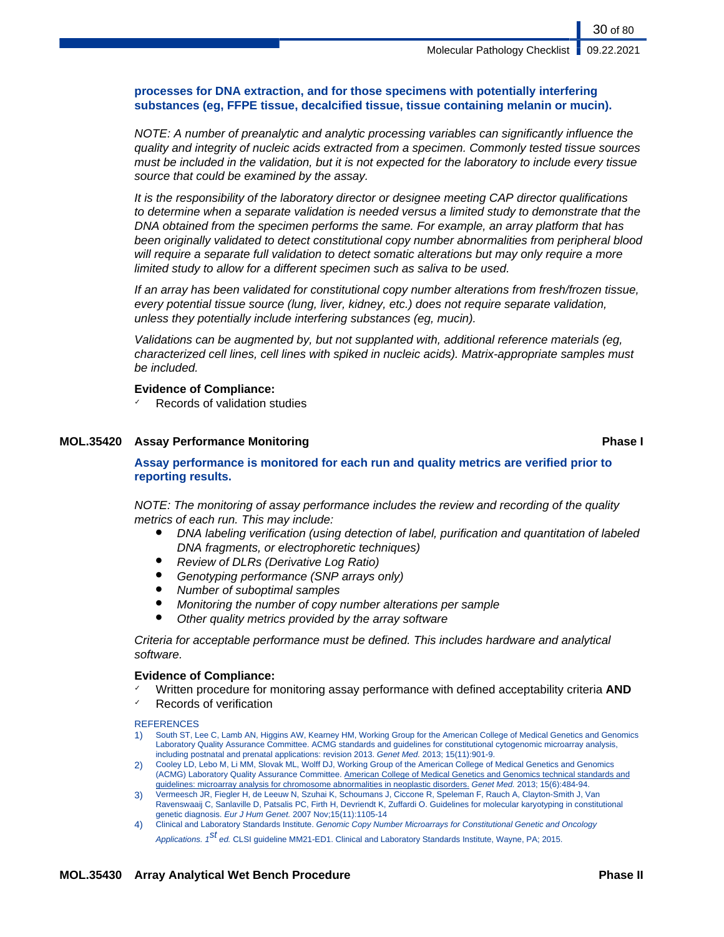# **processes for DNA extraction, and for those specimens with potentially interfering substances (eg, FFPE tissue, decalcified tissue, tissue containing melanin or mucin).**

NOTE: A number of preanalytic and analytic processing variables can significantly influence the quality and integrity of nucleic acids extracted from a specimen. Commonly tested tissue sources must be included in the validation, but it is not expected for the laboratory to include every tissue source that could be examined by the assay.

It is the responsibility of the laboratory director or designee meeting CAP director qualifications to determine when a separate validation is needed versus a limited study to demonstrate that the DNA obtained from the specimen performs the same. For example, an array platform that has been originally validated to detect constitutional copy number abnormalities from peripheral blood will require a separate full validation to detect somatic alterations but may only require a more limited study to allow for a different specimen such as saliva to be used.

If an array has been validated for constitutional copy number alterations from fresh/frozen tissue, every potential tissue source (lung, liver, kidney, etc.) does not require separate validation, unless they potentially include interfering substances (eg, mucin).

Validations can be augmented by, but not supplanted with, additional reference materials (eg, characterized cell lines, cell lines with spiked in nucleic acids). Matrix-appropriate samples must be included.

# **Evidence of Compliance:**

Records of validation studies

# **MOL.35420 Assay Performance Monitoring <b>Phase I Phase I Phase I Phase I**

# **Assay performance is monitored for each run and quality metrics are verified prior to reporting results.**

NOTE: The monitoring of assay performance includes the review and recording of the quality metrics of each run. This may include:

- DNA labeling verification (using detection of label, purification and quantitation of labeled DNA fragments, or electrophoretic techniques)
- Review of DLRs (Derivative Log Ratio)
- Genotyping performance (SNP arrays only)
- Number of suboptimal samples
- Monitoring the number of copy number alterations per sample
- Other quality metrics provided by the array software

Criteria for acceptable performance must be defined. This includes hardware and analytical software.

# **Evidence of Compliance:**

- ✓ Written procedure for monitoring assay performance with defined acceptability criteria **AND**
- Records of verification

**REFERENCES** 

- 1) South ST, Lee C, Lamb AN, Higgins AW, Kearney HM, Working Group for the American College of Medical Genetics and Genomics Laboratory Quality Assurance Committee. ACMG standards and guidelines for constitutional cytogenomic microarray analysis, including postnatal and prenatal applications: revision 2013. Genet Med. 2013; 15(11):901-9.
- 2) Cooley LD, Lebo M, Li MM, Slovak ML, Wolff DJ, Working Group of the American College of Medical Genetics and Genomics (ACMG) Laboratory Quality Assurance Committee. American College of Medical Genetics and Genomics technical standards and guidelines: microarray analysis for chromosome abnormalities in neoplastic disorders. Genet Med. 2013; 15(6):484-94.
- 3) Vermeesch JR, Fiegler H, de Leeuw N, Szuhai K, Schoumans J, Ciccone R, Speleman F, Rauch A, Clayton-Smith J, Van Ravenswaaij C, Sanlaville D, Patsalis PC, Firth H, Devriendt K, Zuffardi O. Guidelines for molecular karyotyping in constitutional genetic diagnosis. Eur J Hum Genet. 2007 Nov;15(11):1105-14
- 4) Clinical and Laboratory Standards Institute. Genomic Copy Number Microarrays for Constitutional Genetic and Oncology Applications. 1<sup>St</sup> ed. CLSI guideline MM21-ED1. Clinical and Laboratory Standards Institute, Wayne, PA; 2015.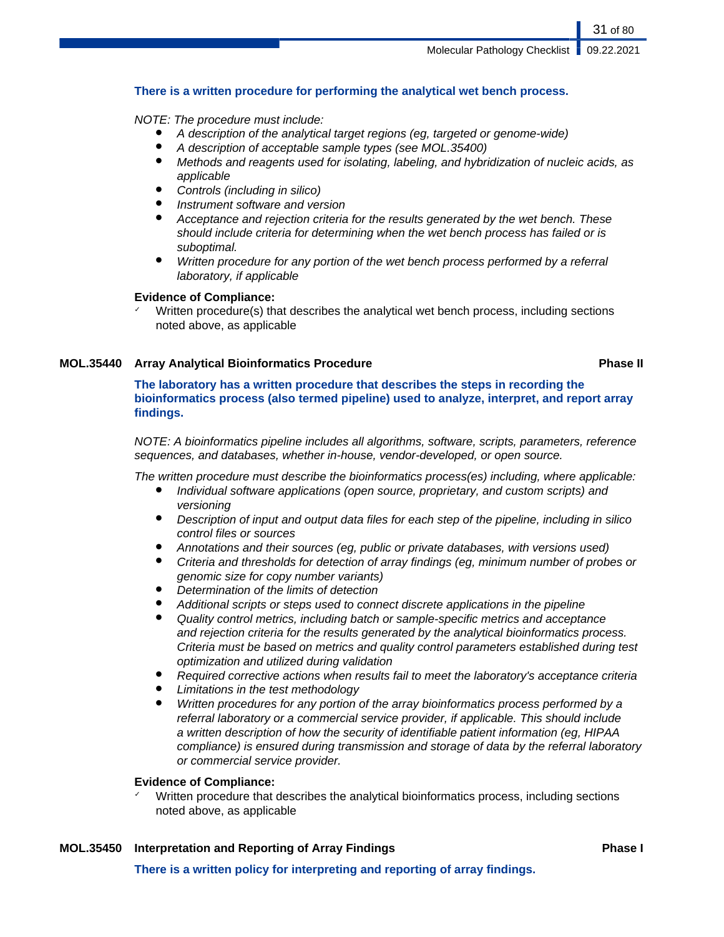# **There is a written procedure for performing the analytical wet bench process.**

# NOTE: The procedure must include:

- A description of the analytical target regions (eg, targeted or genome-wide)
- A description of acceptable sample types (see MOL.35400)
- Methods and reagents used for isolating, labeling, and hybridization of nucleic acids, as applicable
- Controls (including in silico)
- Instrument software and version
- Acceptance and rejection criteria for the results generated by the wet bench. These should include criteria for determining when the wet bench process has failed or is suboptimal.
- Written procedure for any portion of the wet bench process performed by a referral laboratory, if applicable

# **Evidence of Compliance:**

Written procedure(s) that describes the analytical wet bench process, including sections noted above, as applicable

# **MOL.35440 Array Analytical Bioinformatics Procedure Phase II**

**The laboratory has a written procedure that describes the steps in recording the bioinformatics process (also termed pipeline) used to analyze, interpret, and report array findings.**

NOTE: A bioinformatics pipeline includes all algorithms, software, scripts, parameters, reference sequences, and databases, whether in-house, vendor-developed, or open source.

The written procedure must describe the bioinformatics process(es) including, where applicable:

- Individual software applications (open source, proprietary, and custom scripts) and versioning
- Description of input and output data files for each step of the pipeline, including in silico control files or sources
- Annotations and their sources (eq, public or private databases, with versions used)
- Criteria and thresholds for detection of array findings (eg, minimum number of probes or genomic size for copy number variants)
- Determination of the limits of detection
- Additional scripts or steps used to connect discrete applications in the pipeline
- Quality control metrics, including batch or sample-specific metrics and acceptance and rejection criteria for the results generated by the analytical bioinformatics process. Criteria must be based on metrics and quality control parameters established during test optimization and utilized during validation
- Required corrective actions when results fail to meet the laboratory's acceptance criteria
- Limitations in the test methodology
- Written procedures for any portion of the array bioinformatics process performed by a referral laboratory or a commercial service provider, if applicable. This should include a written description of how the security of identifiable patient information (eg, HIPAA compliance) is ensured during transmission and storage of data by the referral laboratory or commercial service provider.

# **Evidence of Compliance:**

Written procedure that describes the analytical bioinformatics process, including sections noted above, as applicable

# **MOL.35450 Interpretation and Reporting of Array Findings Phase I**

**There is a written policy for interpreting and reporting of array findings.**

31 of 80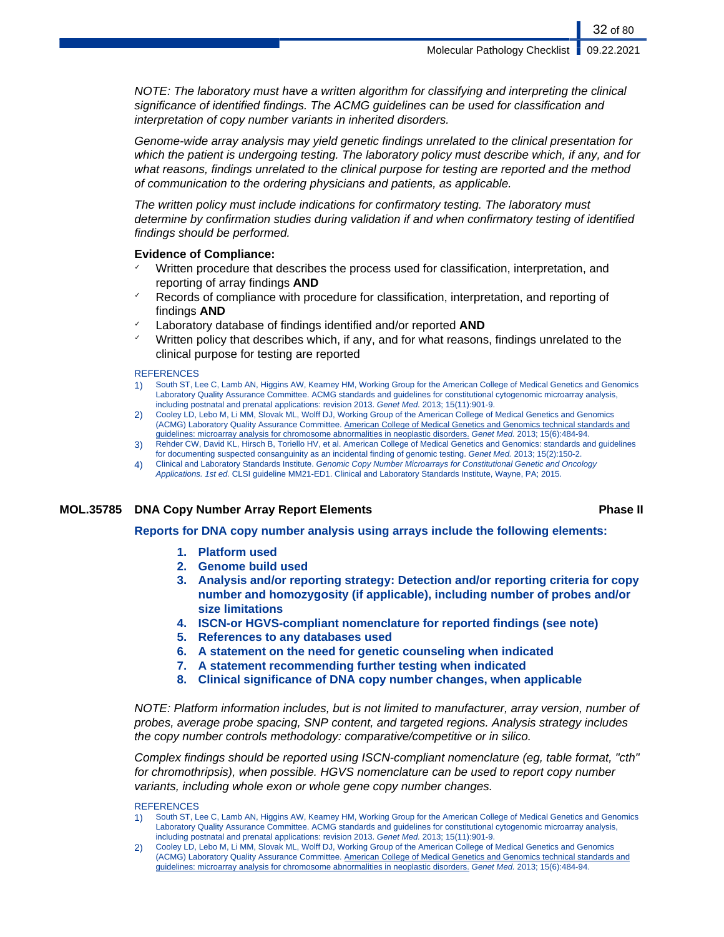NOTE: The laboratory must have a written algorithm for classifying and interpreting the clinical significance of identified findings. The ACMG guidelines can be used for classification and interpretation of copy number variants in inherited disorders.

Genome-wide array analysis may yield genetic findings unrelated to the clinical presentation for which the patient is undergoing testing. The laboratory policy must describe which, if any, and for what reasons, findings unrelated to the clinical purpose for testing are reported and the method of communication to the ordering physicians and patients, as applicable.

The written policy must include indications for confirmatory testing. The laboratory must determine by confirmation studies during validation if and when confirmatory testing of identified findings should be performed.

# **Evidence of Compliance:**

- Written procedure that describes the process used for classification, interpretation, and reporting of array findings **AND**
- Records of compliance with procedure for classification, interpretation, and reporting of findings **AND**
- Laboratory database of findings identified and/or reported **AND**
- Written policy that describes which, if any, and for what reasons, findings unrelated to the clinical purpose for testing are reported

### **REFERENCES**

- 1) South ST, Lee C, Lamb AN, Higgins AW, Kearney HM, Working Group for the American College of Medical Genetics and Genomics Laboratory Quality Assurance Committee. ACMG standards and guidelines for constitutional cytogenomic microarray analysis, including postnatal and prenatal applications: revision 2013. Genet Med. 2013; 15(11):901-9.
- 2) Cooley LD, Lebo M, Li MM, Slovak ML, Wolff DJ, Working Group of the American College of Medical Genetics and Genomics (ACMG) Laboratory Quality Assurance Committee. American College of Medical Genetics and Genomics technical standards and guidelines: microarray analysis for chromosome abnormalities in neoplastic disorders. Genet Med. 2013; 15(6):484-94.
- 3) Rehder CW, David KL, Hirsch B, Toriello HV, et al. American College of Medical Genetics and Genomics: standards and guidelines for documenting suspected consanguinity as an incidental finding of genomic testing. Genet Med. 2013; 15(2):150-2.
- 4) Clinical and Laboratory Standards Institute. Genomic Copy Number Microarrays for Constitutional Genetic and Oncology Applications. 1st ed. CLSI guideline MM21-ED1. Clinical and Laboratory Standards Institute, Wayne, PA; 2015.

# **MOL.35785 DNA Copy Number Array Report Elements Phase II**

**Reports for DNA copy number analysis using arrays include the following elements:**

- **1. Platform used**
- **2. Genome build used**
- **3. Analysis and/or reporting strategy: Detection and/or reporting criteria for copy number and homozygosity (if applicable), including number of probes and/or size limitations**
- **4. ISCN-or HGVS-compliant nomenclature for reported findings (see note)**
- **5. References to any databases used**
- **6. A statement on the need for genetic counseling when indicated**
- **7. A statement recommending further testing when indicated**
- **8. Clinical significance of DNA copy number changes, when applicable**

NOTE: Platform information includes, but is not limited to manufacturer, array version, number of probes, average probe spacing, SNP content, and targeted regions. Analysis strategy includes the copy number controls methodology: comparative/competitive or in silico.

Complex findings should be reported using ISCN-compliant nomenclature (eg, table format, "cth" for chromothripsis), when possible. HGVS nomenclature can be used to report copy number variants, including whole exon or whole gene copy number changes.

### **REFERENCES**

- 1) South ST, Lee C, Lamb AN, Higgins AW, Kearney HM, Working Group for the American College of Medical Genetics and Genomics Laboratory Quality Assurance Committee. ACMG standards and guidelines for constitutional cytogenomic microarray analysis, including postnatal and prenatal applications: revision 2013. Genet Med. 2013; 15(11):901-9.
- 2) Cooley LD, Lebo M, Li MM, Slovak ML, Wolff DJ, Working Group of the American College of Medical Genetics and Genomics (ACMG) Laboratory Quality Assurance Committee. American College of Medical Genetics and Genomics technical standards and guidelines: microarray analysis for chromosome abnormalities in neoplastic disorders. Genet Med. 2013; 15(6):484-94.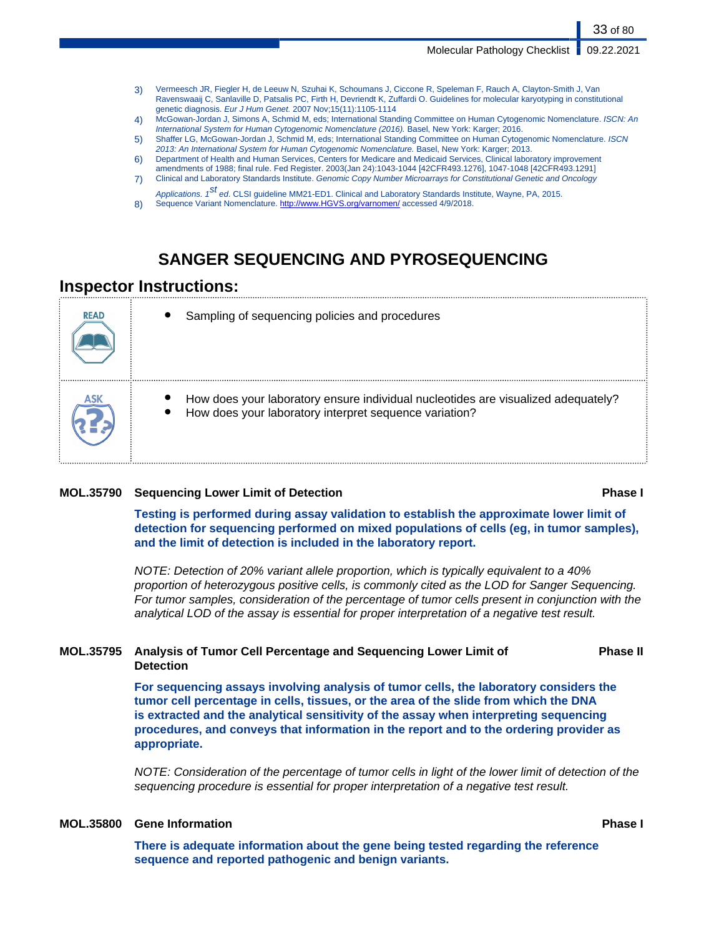33 of 80

- 3) Vermeesch JR, Fiegler H, de Leeuw N, Szuhai K, Schoumans J, Ciccone R, Speleman F, Rauch A, Clayton-Smith J, Van Ravenswaaij C, Sanlaville D, Patsalis PC, Firth H, Devriendt K, Zuffardi O. Guidelines for molecular karyotyping in constitutional genetic diagnosis. Eur J Hum Genet. 2007 Nov;15(11):1105-1114
- 4) McGowan-Jordan J, Simons A, Schmid M, eds; International Standing Committee on Human Cytogenomic Nomenclature. ISCN: An International System for Human Cytogenomic Nomenclature (2016). Basel, New York: Karger; 2016.
- 5) Shaffer LG, McGowan-Jordan J, Schmid M, eds; International Standing Committee on Human Cytogenomic Nomenclature. ISCN 2013: An International System for Human Cytogenomic Nomenclature. Basel, New York: Karger; 2013.
- 6) Department of Health and Human Services, Centers for Medicare and Medicaid Services, Clinical laboratory improvement amendments of 1988; final rule. Fed Register. 2003(Jan 24):1043-1044 [42CFR493.1276], 1047-1048 [42CFR493.1291]
- 7) Clinical and Laboratory Standards Institute. Genomic Copy Number Microarrays for Constitutional Genetic and Oncology Applications. 1<sup>St</sup> ed. CLSI guideline MM21-ED1. Clinical and Laboratory Standards Institute, Wayne, PA, 2015.
- 8) Sequence Variant Nomenclature. <http://www.HGVS.org/varnomen/> accessed 4/9/2018.

# **SANGER SEQUENCING AND PYROSEQUENCING**

# **Inspector Instructions:**

| <b>READ</b> | Sampling of sequencing policies and procedures                                                                                              |
|-------------|---------------------------------------------------------------------------------------------------------------------------------------------|
|             | How does your laboratory ensure individual nucleotides are visualized adequately?<br>How does your laboratory interpret sequence variation? |

# **MOL.35790 Sequencing Lower Limit of Detection Phase I**

**Testing is performed during assay validation to establish the approximate lower limit of detection for sequencing performed on mixed populations of cells (eg, in tumor samples), and the limit of detection is included in the laboratory report.**

NOTE: Detection of 20% variant allele proportion, which is typically equivalent to a 40% proportion of heterozygous positive cells, is commonly cited as the LOD for Sanger Sequencing. For tumor samples, consideration of the percentage of tumor cells present in conjunction with the analytical LOD of the assay is essential for proper interpretation of a negative test result.

# **MOL.35795 Analysis of Tumor Cell Percentage and Sequencing Lower Limit of Detection**

**For sequencing assays involving analysis of tumor cells, the laboratory considers the tumor cell percentage in cells, tissues, or the area of the slide from which the DNA is extracted and the analytical sensitivity of the assay when interpreting sequencing procedures, and conveys that information in the report and to the ordering provider as**

NOTE: Consideration of the percentage of tumor cells in light of the lower limit of detection of the sequencing procedure is essential for proper interpretation of a negative test result.

# **MOL.35800 Gene Information Phase I**

**appropriate.**

**There is adequate information about the gene being tested regarding the reference sequence and reported pathogenic and benign variants.**

**Phase II**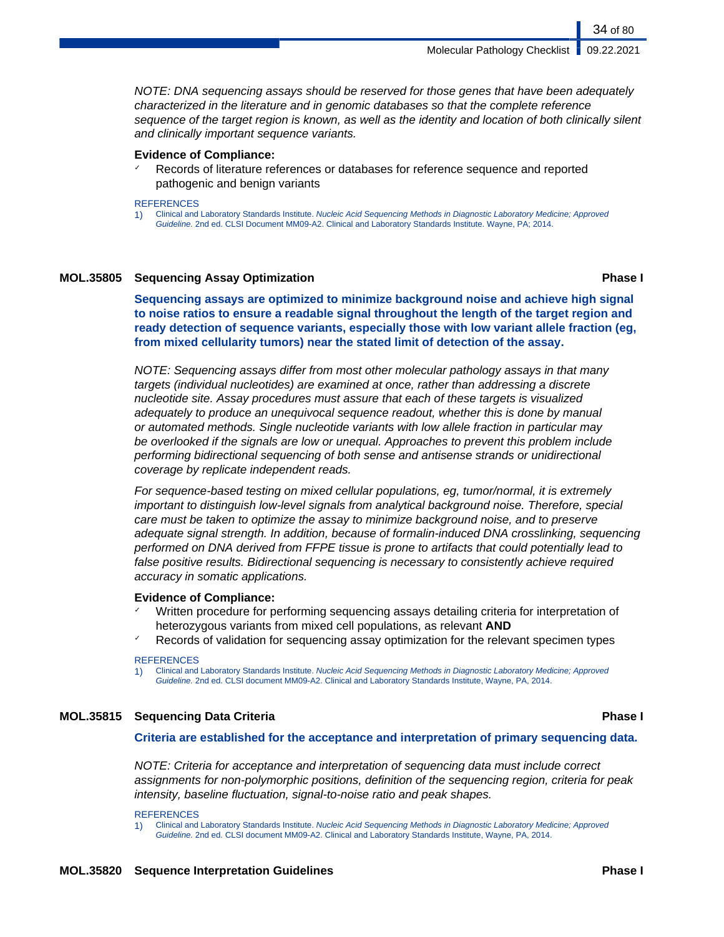Molecular Pathology Checklist | 09.22.2021

34 of 80

NOTE: DNA sequencing assays should be reserved for those genes that have been adequately characterized in the literature and in genomic databases so that the complete reference sequence of the target region is known, as well as the identity and location of both clinically silent and clinically important sequence variants.

### **Evidence of Compliance:**

Records of literature references or databases for reference sequence and reported pathogenic and benign variants

#### **REFERENCES**

1) Clinical and Laboratory Standards Institute. Nucleic Acid Sequencing Methods in Diagnostic Laboratory Medicine; Approved Guideline. 2nd ed. CLSI Document MM09-A2. Clinical and Laboratory Standards Institute. Wayne, PA; 2014.

# **MOL.35805 Sequencing Assay Optimization Phase I**

**Sequencing assays are optimized to minimize background noise and achieve high signal to noise ratios to ensure a readable signal throughout the length of the target region and ready detection of sequence variants, especially those with low variant allele fraction (eg, from mixed cellularity tumors) near the stated limit of detection of the assay.**

NOTE: Sequencing assays differ from most other molecular pathology assays in that many targets (individual nucleotides) are examined at once, rather than addressing a discrete nucleotide site. Assay procedures must assure that each of these targets is visualized adequately to produce an unequivocal sequence readout, whether this is done by manual or automated methods. Single nucleotide variants with low allele fraction in particular may be overlooked if the signals are low or unequal. Approaches to prevent this problem include performing bidirectional sequencing of both sense and antisense strands or unidirectional coverage by replicate independent reads.

For sequence-based testing on mixed cellular populations, eg, tumor/normal, it is extremely important to distinguish low-level signals from analytical background noise. Therefore, special care must be taken to optimize the assay to minimize background noise, and to preserve adequate signal strength. In addition, because of formalin-induced DNA crosslinking, sequencing performed on DNA derived from FFPE tissue is prone to artifacts that could potentially lead to false positive results. Bidirectional sequencing is necessary to consistently achieve required accuracy in somatic applications.

# **Evidence of Compliance:**

- Written procedure for performing sequencing assays detailing criteria for interpretation of heterozygous variants from mixed cell populations, as relevant **AND**
- Records of validation for sequencing assay optimization for the relevant specimen types

# **REFERENCES**

1) Clinical and Laboratory Standards Institute. Nucleic Acid Sequencing Methods in Diagnostic Laboratory Medicine; Approved Guideline. 2nd ed. CLSI document MM09-A2. Clinical and Laboratory Standards Institute, Wayne, PA, 2014.

# **MOL.35815 Sequencing Data Criteria Phase I**

# **Criteria are established for the acceptance and interpretation of primary sequencing data.**

NOTE: Criteria for acceptance and interpretation of sequencing data must include correct assignments for non-polymorphic positions, definition of the sequencing region, criteria for peak intensity, baseline fluctuation, signal-to-noise ratio and peak shapes.

REFERENCES

1) Clinical and Laboratory Standards Institute. Nucleic Acid Sequencing Methods in Diagnostic Laboratory Medicine; Approved Guideline. 2nd ed. CLSI document MM09-A2. Clinical and Laboratory Standards Institute, Wayne, PA, 2014.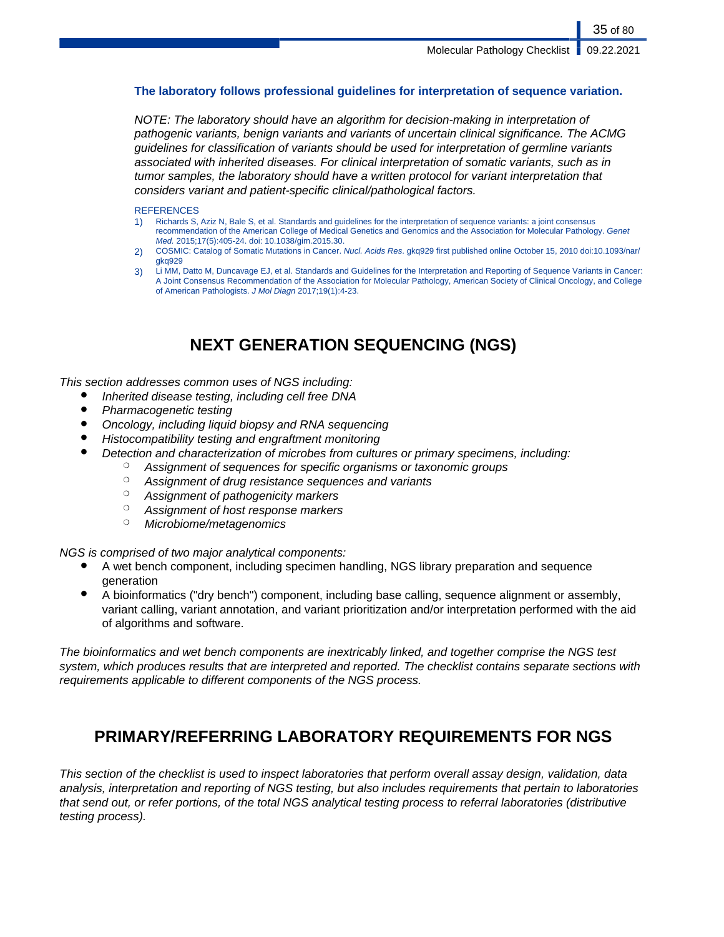# **The laboratory follows professional guidelines for interpretation of sequence variation.**

NOTE: The laboratory should have an algorithm for decision-making in interpretation of pathogenic variants, benign variants and variants of uncertain clinical significance. The ACMG guidelines for classification of variants should be used for interpretation of germline variants associated with inherited diseases. For clinical interpretation of somatic variants, such as in tumor samples, the laboratory should have a written protocol for variant interpretation that considers variant and patient-specific clinical/pathological factors.

### **REFERENCES**

- 1) Richards S, Aziz N, Bale S, et al. Standards and guidelines for the interpretation of sequence variants: a joint consensus recommendation of the American College of Medical Genetics and Genomics and the Association for Molecular Pathology. Genet Med. 2015;17(5):405-24. doi: 10.1038/gim.2015.30.
- 2) COSMIC: Catalog of Somatic Mutations in Cancer. Nucl. Acids Res. gkq929 first published online October 15, 2010 doi:10.1093/nar/ gkq929
- Li MM, Datto M, Duncavage EJ, et al. Standards and Guidelines for the Interpretation and Reporting of Sequence Variants in Cancer: A Joint Consensus Recommendation of the Association for Molecular Pathology, American Society of Clinical Oncology, and College of American Pathologists. J Mol Diagn 2017;19(1):4-23.

# **NEXT GENERATION SEQUENCING (NGS)**

This section addresses common uses of NGS including:

- Inherited disease testing, including cell free DNA
- Pharmacogenetic testing
- Oncology, including liquid biopsy and RNA sequencing
- Histocompatibility testing and engraftment monitoring
- Detection and characterization of microbes from cultures or primary specimens, including:
	- <sup>o</sup> Assignment of sequences for specific organisms or taxonomic groups
	- <sup>o</sup> Assignment of drug resistance sequences and variants
	- ❍ Assignment of pathogenicity markers
	- ❍ Assignment of host response markers
	- ❍ Microbiome/metagenomics

NGS is comprised of two major analytical components:

- A wet bench component, including specimen handling, NGS library preparation and sequence generation
- A bioinformatics ("dry bench") component, including base calling, sequence alignment or assembly, variant calling, variant annotation, and variant prioritization and/or interpretation performed with the aid of algorithms and software.

The bioinformatics and wet bench components are inextricably linked, and together comprise the NGS test system, which produces results that are interpreted and reported. The checklist contains separate sections with requirements applicable to different components of the NGS process.

# **PRIMARY/REFERRING LABORATORY REQUIREMENTS FOR NGS**

This section of the checklist is used to inspect laboratories that perform overall assay design, validation, data analysis, interpretation and reporting of NGS testing, but also includes requirements that pertain to laboratories that send out, or refer portions, of the total NGS analytical testing process to referral laboratories (distributive testing process).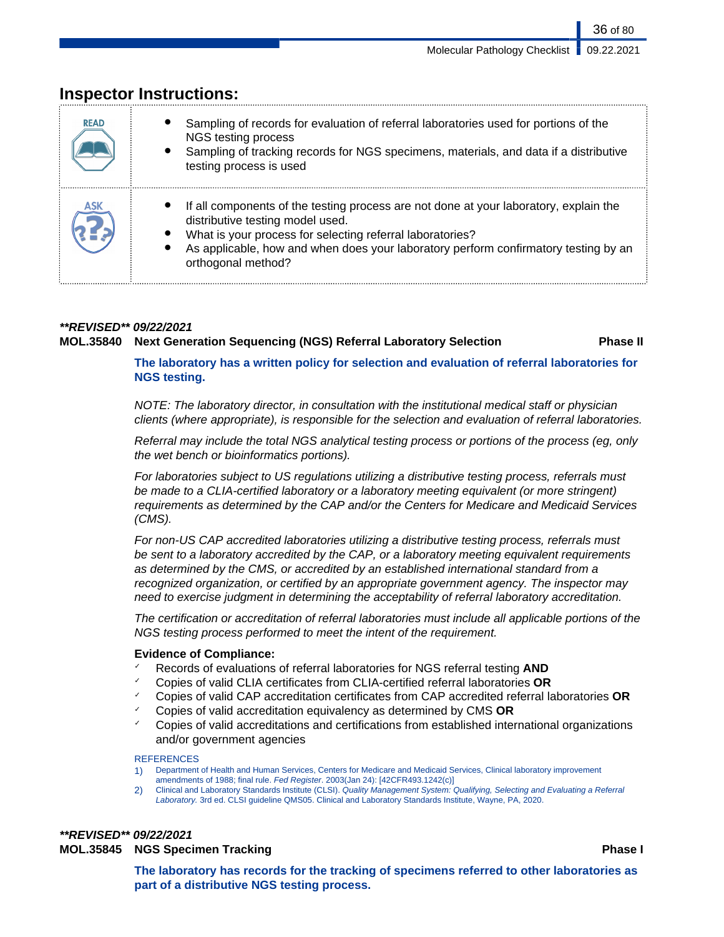| <b>READ</b> | Sampling of records for evaluation of referral laboratories used for portions of the<br>NGS testing process<br>Sampling of tracking records for NGS specimens, materials, and data if a distributive<br>testing process is used                                                                     |
|-------------|-----------------------------------------------------------------------------------------------------------------------------------------------------------------------------------------------------------------------------------------------------------------------------------------------------|
| ASK         | If all components of the testing process are not done at your laboratory, explain the<br>distributive testing model used.<br>What is your process for selecting referral laboratories?<br>As applicable, how and when does your laboratory perform confirmatory testing by an<br>orthogonal method? |

# **Inspector Instructions:**

# **\*\*REVISED\*\* 09/22/2021 MOL.35840 Next Generation Sequencing (NGS) Referral Laboratory Selection Phase II**

36 of 80

**The laboratory has a written policy for selection and evaluation of referral laboratories for NGS testing.**

NOTE: The laboratory director, in consultation with the institutional medical staff or physician clients (where appropriate), is responsible for the selection and evaluation of referral laboratories.

Referral may include the total NGS analytical testing process or portions of the process (eg, only the wet bench or bioinformatics portions).

For laboratories subject to US regulations utilizing a distributive testing process, referrals must be made to a CLIA-certified laboratory or a laboratory meeting equivalent (or more stringent) requirements as determined by the CAP and/or the Centers for Medicare and Medicaid Services (CMS).

For non-US CAP accredited laboratories utilizing a distributive testing process, referrals must be sent to a laboratory accredited by the CAP, or a laboratory meeting equivalent requirements as determined by the CMS, or accredited by an established international standard from a recognized organization, or certified by an appropriate government agency. The inspector may need to exercise judgment in determining the acceptability of referral laboratory accreditation.

The certification or accreditation of referral laboratories must include all applicable portions of the NGS testing process performed to meet the intent of the requirement.

# **Evidence of Compliance:**

- ✓ Records of evaluations of referral laboratories for NGS referral testing **AND**
- ✓ Copies of valid CLIA certificates from CLIA-certified referral laboratories **OR**
- ✓ Copies of valid CAP accreditation certificates from CAP accredited referral laboratories **OR**
- ✓ Copies of valid accreditation equivalency as determined by CMS **OR**
- ✓ Copies of valid accreditations and certifications from established international organizations and/or government agencies

# **REFERENCES**

- 1) Department of Health and Human Services, Centers for Medicare and Medicaid Services, Clinical laboratory improvement amendments of 1988; final rule. Fed Register. 2003(Jan 24): [42CFR493.1242(c)]
- 2) Clinical and Laboratory Standards Institute (CLSI). Quality Management System: Qualifying, Selecting and Evaluating a Referral Laboratory. 3rd ed. CLSI guideline QMS05. Clinical and Laboratory Standards Institute, Wayne, PA, 2020.

# **\*\*REVISED\*\* 09/22/2021**

# **MOL.35845 NGS Specimen Tracking Phase I**

**The laboratory has records for the tracking of specimens referred to other laboratories as part of a distributive NGS testing process.**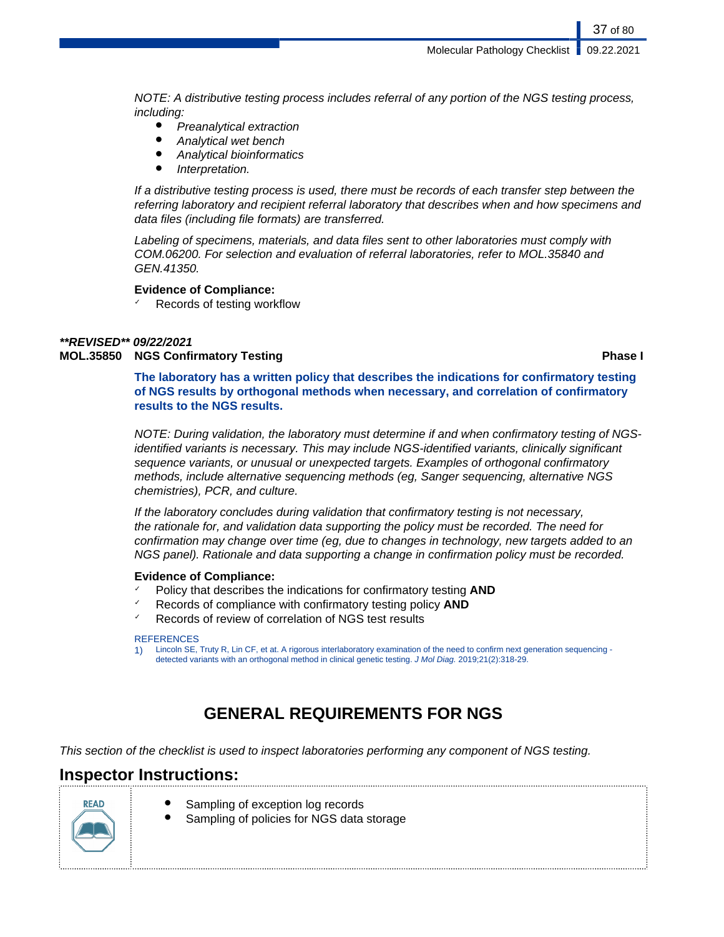NOTE: A distributive testing process includes referral of any portion of the NGS testing process, including:

- Preanalytical extraction
- Analytical wet bench
- **Analytical bioinformatics**
- Interpretation.

If a distributive testing process is used, there must be records of each transfer step between the referring laboratory and recipient referral laboratory that describes when and how specimens and data files (including file formats) are transferred.

Labeling of specimens, materials, and data files sent to other laboratories must comply with COM.06200. For selection and evaluation of referral laboratories, refer to MOL.35840 and GEN.41350.

### **Evidence of Compliance:**

Records of testing workflow

#### **\*\*REVISED\*\* 09/22/2021 MOL.35850 NGS Confirmatory Testing Phase I**

37 of 80

**The laboratory has a written policy that describes the indications for confirmatory testing of NGS results by orthogonal methods when necessary, and correlation of confirmatory results to the NGS results.**

NOTE: During validation, the laboratory must determine if and when confirmatory testing of NGSidentified variants is necessary. This may include NGS-identified variants, clinically significant sequence variants, or unusual or unexpected targets. Examples of orthogonal confirmatory methods, include alternative sequencing methods (eg, Sanger sequencing, alternative NGS chemistries), PCR, and culture.

If the laboratory concludes during validation that confirmatory testing is not necessary, the rationale for, and validation data supporting the policy must be recorded. The need for confirmation may change over time (eg, due to changes in technology, new targets added to an NGS panel). Rationale and data supporting a change in confirmation policy must be recorded.

### **Evidence of Compliance:**

- ✓ Policy that describes the indications for confirmatory testing **AND**
- Records of compliance with confirmatory testing policy **AND**
- Records of review of correlation of NGS test results

#### **REFERENCES**

1) Lincoln SE, Truty R, Lin CF, et at. A rigorous interlaboratory examination of the need to confirm next generation sequencing detected variants with an orthogonal method in clinical genetic testing. J Mol Diag. 2019;21(2):318-29.

# **GENERAL REQUIREMENTS FOR NGS**

This section of the checklist is used to inspect laboratories performing any component of NGS testing.

## **Inspector Instructions:**



- Sampling of exception log records
- Sampling of policies for NGS data storage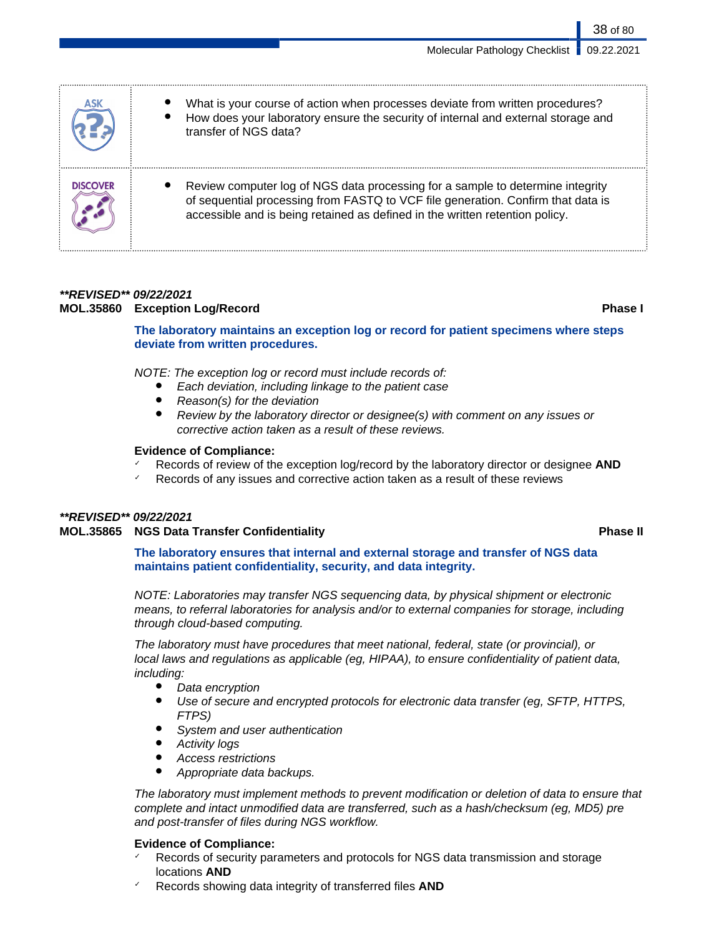|                 | What is your course of action when processes deviate from written procedures?<br>How does your laboratory ensure the security of internal and external storage and<br>transfer of NGS data?                                                        |
|-----------------|----------------------------------------------------------------------------------------------------------------------------------------------------------------------------------------------------------------------------------------------------|
| <b>DISCOVER</b> | Review computer log of NGS data processing for a sample to determine integrity<br>of sequential processing from FASTQ to VCF file generation. Confirm that data is<br>accessible and is being retained as defined in the written retention policy. |

### **\*\*REVISED\*\* 09/22/2021 MOL.35860 Exception Log/Record Phase I**

**The laboratory maintains an exception log or record for patient specimens where steps deviate from written procedures.**

NOTE: The exception log or record must include records of:

- Each deviation, including linkage to the patient case
- $Reason(s)$  for the deviation
- Review by the laboratory director or designee(s) with comment on any issues or corrective action taken as a result of these reviews.

#### **Evidence of Compliance:**

- Records of review of the exception log/record by the laboratory director or designee **AND**
- Records of any issues and corrective action taken as a result of these reviews

### **\*\*REVISED\*\* 09/22/2021**

### **MOL.35865 NGS Data Transfer Confidentiality Phase II**

**The laboratory ensures that internal and external storage and transfer of NGS data maintains patient confidentiality, security, and data integrity.**

NOTE: Laboratories may transfer NGS sequencing data, by physical shipment or electronic means, to referral laboratories for analysis and/or to external companies for storage, including through cloud-based computing.

The laboratory must have procedures that meet national, federal, state (or provincial), or local laws and regulations as applicable (eg, HIPAA), to ensure confidentiality of patient data, including:

- Data encryption
- Use of secure and encrypted protocols for electronic data transfer (eg, SFTP, HTTPS, FTPS)
- System and user authentication
- **Activity logs**
- Access restrictions
- Appropriate data backups.

The laboratory must implement methods to prevent modification or deletion of data to ensure that complete and intact unmodified data are transferred, such as a hash/checksum (eg, MD5) pre and post-transfer of files during NGS workflow.

### **Evidence of Compliance:**

- Records of security parameters and protocols for NGS data transmission and storage locations **AND**
- Records showing data integrity of transferred files **AND**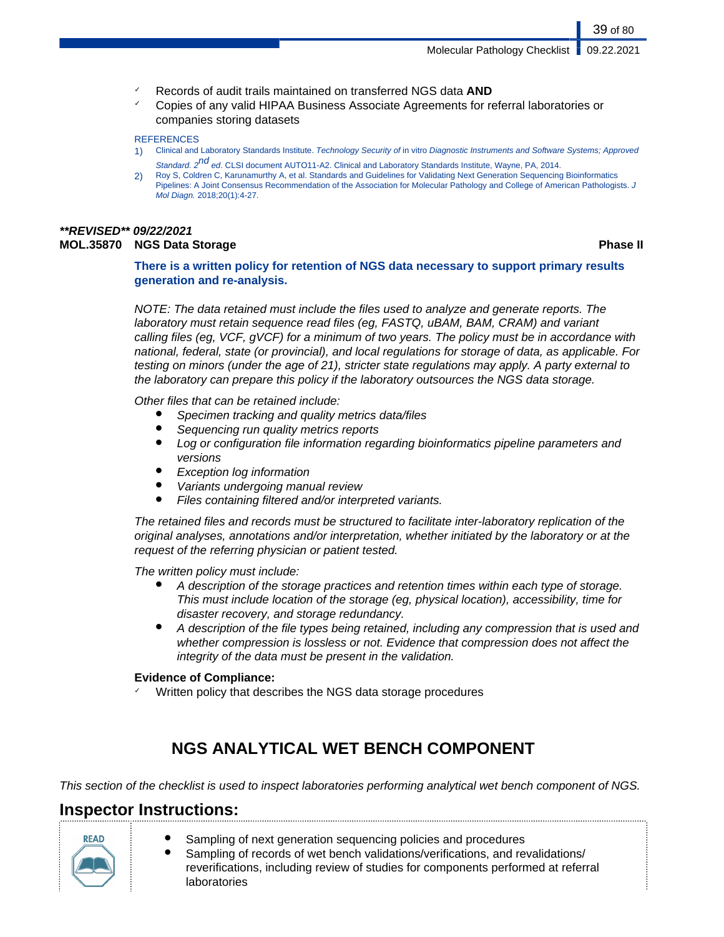- ✓ Records of audit trails maintained on transferred NGS data **AND**
- ✓ Copies of any valid HIPAA Business Associate Agreements for referral laboratories or companies storing datasets

#### **REFERENCES**

- 1) Clinical and Laboratory Standards Institute. Technology Security of in vitro Diagnostic Instruments and Software Systems; Approved Standard. 2<sup>nd</sup> ed. CLSI document AUTO11-A2. Clinical and Laboratory Standards Institute, Wayne, PA, 2014.
- 2) Roy S, Coldren C, Karunamurthy A, et al. Standards and Guidelines for Validating Next Generation Sequencing Bioinformatics Pipelines: A Joint Consensus Recommendation of the Association for Molecular Pathology and College of American Pathologists. J Mol Diagn. 2018;20(1):4-27.

## **\*\*REVISED\*\* 09/22/2021**

## **MOL.35870 NGS Data Storage Phase II**

39 of 80

### **There is a written policy for retention of NGS data necessary to support primary results generation and re-analysis.**

NOTE: The data retained must include the files used to analyze and generate reports. The laboratory must retain sequence read files (eg, FASTQ, uBAM, BAM, CRAM) and variant calling files (eg, VCF, gVCF) for a minimum of two years. The policy must be in accordance with national, federal, state (or provincial), and local regulations for storage of data, as applicable. For testing on minors (under the age of 21), stricter state regulations may apply. A party external to the laboratory can prepare this policy if the laboratory outsources the NGS data storage.

Other files that can be retained include:

- Specimen tracking and quality metrics data/files
- Sequencing run quality metrics reports
- Log or configuration file information regarding bioinformatics pipeline parameters and versions
- **Exception log information**
- Variants undergoing manual review
- Files containing filtered and/or interpreted variants.

The retained files and records must be structured to facilitate inter-laboratory replication of the original analyses, annotations and/or interpretation, whether initiated by the laboratory or at the request of the referring physician or patient tested.

The written policy must include:

- A description of the storage practices and retention times within each type of storage. This must include location of the storage (eg, physical location), accessibility, time for disaster recovery, and storage redundancy.
- A description of the file types being retained, including any compression that is used and whether compression is lossless or not. Evidence that compression does not affect the integrity of the data must be present in the validation.

### **Evidence of Compliance:**

Written policy that describes the NGS data storage procedures

# **NGS ANALYTICAL WET BENCH COMPONENT**

This section of the checklist is used to inspect laboratories performing analytical wet bench component of NGS.

## **Inspector Instructions:**



- Sampling of next generation sequencing policies and procedures
- Sampling of records of wet bench validations/verifications, and revalidations/ reverifications, including review of studies for components performed at referral laboratories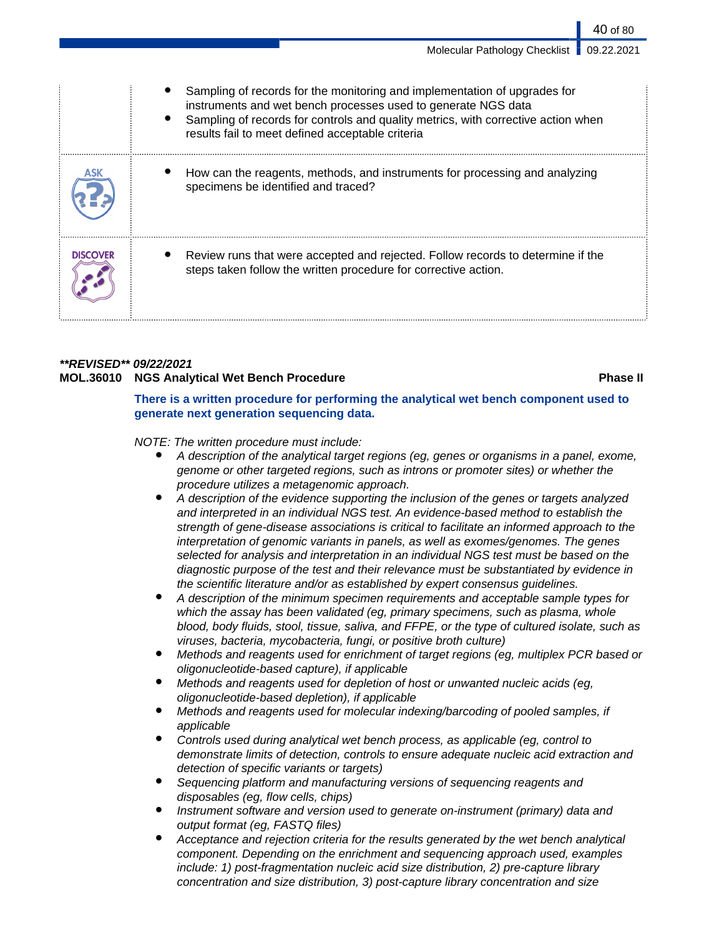|                 | Sampling of records for the monitoring and implementation of upgrades for<br>instruments and wet bench processes used to generate NGS data<br>Sampling of records for controls and quality metrics, with corrective action when<br>results fail to meet defined acceptable criteria |
|-----------------|-------------------------------------------------------------------------------------------------------------------------------------------------------------------------------------------------------------------------------------------------------------------------------------|
|                 | How can the reagents, methods, and instruments for processing and analyzing<br>specimens be identified and traced?                                                                                                                                                                  |
| <b>DISCOVER</b> | Review runs that were accepted and rejected. Follow records to determine if the<br>steps taken follow the written procedure for corrective action.                                                                                                                                  |

### **\*\*REVISED\*\* 09/22/2021**

## **MOL.36010 NGS Analytical Wet Bench Procedure Phase II**

40 of 80

**There is a written procedure for performing the analytical wet bench component used to generate next generation sequencing data.**

### NOTE: The written procedure must include:

- A description of the analytical target regions (eg, genes or organisms in a panel, exome, genome or other targeted regions, such as introns or promoter sites) or whether the procedure utilizes a metagenomic approach.
- A description of the evidence supporting the inclusion of the genes or targets analyzed and interpreted in an individual NGS test. An evidence-based method to establish the strength of gene-disease associations is critical to facilitate an informed approach to the interpretation of genomic variants in panels, as well as exomes/genomes. The genes selected for analysis and interpretation in an individual NGS test must be based on the diagnostic purpose of the test and their relevance must be substantiated by evidence in the scientific literature and/or as established by expert consensus guidelines.
- A description of the minimum specimen requirements and acceptable sample types for which the assay has been validated (eg, primary specimens, such as plasma, whole blood, body fluids, stool, tissue, saliva, and FFPE, or the type of cultured isolate, such as viruses, bacteria, mycobacteria, fungi, or positive broth culture)
- Methods and reagents used for enrichment of target regions (eg, multiplex PCR based or oligonucleotide-based capture), if applicable
- Methods and reagents used for depletion of host or unwanted nucleic acids (eg, oligonucleotide-based depletion), if applicable
- Methods and reagents used for molecular indexing/barcoding of pooled samples, if applicable
- Controls used during analytical wet bench process, as applicable (eg, control to demonstrate limits of detection, controls to ensure adequate nucleic acid extraction and detection of specific variants or targets)
- Sequencing platform and manufacturing versions of sequencing reagents and disposables (eg, flow cells, chips)
- Instrument software and version used to generate on-instrument (primary) data and output format (eg, FASTQ files)
- Acceptance and rejection criteria for the results generated by the wet bench analytical component. Depending on the enrichment and sequencing approach used, examples include: 1) post-fragmentation nucleic acid size distribution, 2) pre-capture library concentration and size distribution, 3) post-capture library concentration and size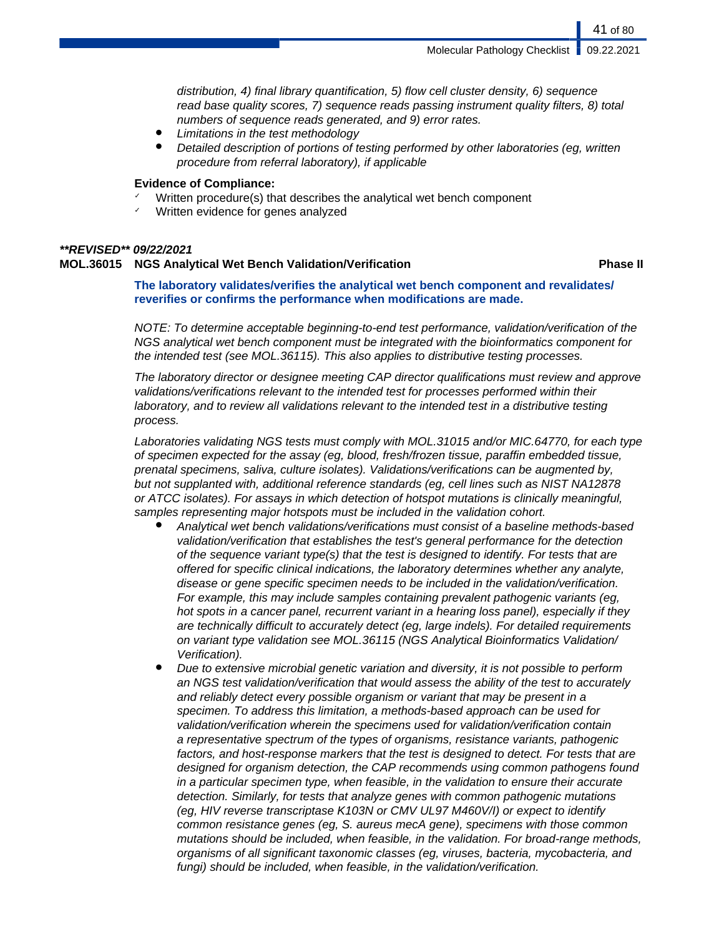distribution, 4) final library quantification, 5) flow cell cluster density, 6) sequence read base quality scores, 7) sequence reads passing instrument quality filters, 8) total numbers of sequence reads generated, and 9) error rates.

- Limitations in the test methodology
- Detailed description of portions of testing performed by other laboratories (eg, written procedure from referral laboratory), if applicable

#### **Evidence of Compliance:**

- Written procedure(s) that describes the analytical wet bench component
- Written evidence for genes analyzed

#### **\*\*REVISED\*\* 09/22/2021**

#### **MOL.36015 NGS Analytical Wet Bench Validation/Verification Phase II**

**The laboratory validates/verifies the analytical wet bench component and revalidates/ reverifies or confirms the performance when modifications are made.**

NOTE: To determine acceptable beginning-to-end test performance, validation/verification of the NGS analytical wet bench component must be integrated with the bioinformatics component for the intended test (see MOL.36115). This also applies to distributive testing processes.

The laboratory director or designee meeting CAP director qualifications must review and approve validations/verifications relevant to the intended test for processes performed within their laboratory, and to review all validations relevant to the intended test in a distributive testing process.

Laboratories validating NGS tests must comply with MOL.31015 and/or MIC.64770, for each type of specimen expected for the assay (eg, blood, fresh/frozen tissue, paraffin embedded tissue, prenatal specimens, saliva, culture isolates). Validations/verifications can be augmented by, but not supplanted with, additional reference standards (eg, cell lines such as NIST NA12878 or ATCC isolates). For assays in which detection of hotspot mutations is clinically meaningful, samples representing major hotspots must be included in the validation cohort.

- Analytical wet bench validations/verifications must consist of a baseline methods-based validation/verification that establishes the test's general performance for the detection of the sequence variant type(s) that the test is designed to identify. For tests that are offered for specific clinical indications, the laboratory determines whether any analyte, disease or gene specific specimen needs to be included in the validation/verification. For example, this may include samples containing prevalent pathogenic variants (eg, hot spots in a cancer panel, recurrent variant in a hearing loss panel), especially if they are technically difficult to accurately detect (eg, large indels). For detailed requirements on variant type validation see MOL.36115 (NGS Analytical Bioinformatics Validation/ Verification).
- Due to extensive microbial genetic variation and diversity, it is not possible to perform an NGS test validation/verification that would assess the ability of the test to accurately and reliably detect every possible organism or variant that may be present in a specimen. To address this limitation, a methods-based approach can be used for validation/verification wherein the specimens used for validation/verification contain a representative spectrum of the types of organisms, resistance variants, pathogenic factors, and host-response markers that the test is designed to detect. For tests that are designed for organism detection, the CAP recommends using common pathogens found in a particular specimen type, when feasible, in the validation to ensure their accurate detection. Similarly, for tests that analyze genes with common pathogenic mutations (eg, HIV reverse transcriptase K103N or CMV UL97 M460V/I) or expect to identify common resistance genes (eg, S. aureus mecA gene), specimens with those common mutations should be included, when feasible, in the validation. For broad-range methods, organisms of all significant taxonomic classes (eg, viruses, bacteria, mycobacteria, and fungi) should be included, when feasible, in the validation/verification.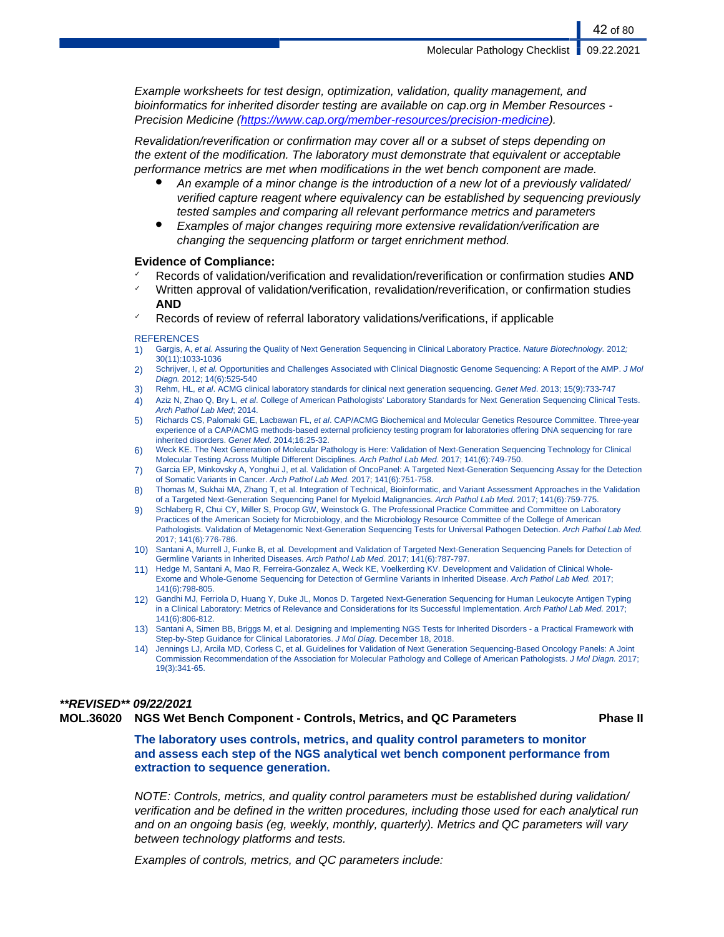Example worksheets for test design, optimization, validation, quality management, and bioinformatics for inherited disorder testing are available on cap.org in Member Resources - Precision Medicine (<https://www.cap.org/member-resources/precision-medicine>).

Revalidation/reverification or confirmation may cover all or a subset of steps depending on the extent of the modification. The laboratory must demonstrate that equivalent or acceptable performance metrics are met when modifications in the wet bench component are made.

- An example of a minor change is the introduction of a new lot of a previously validated/ verified capture reagent where equivalency can be established by sequencing previously tested samples and comparing all relevant performance metrics and parameters
- Examples of major changes requiring more extensive revalidation/verification are changing the sequencing platform or target enrichment method.

#### **Evidence of Compliance:**

- ✓ Records of validation/verification and revalidation/reverification or confirmation studies **AND**
- ✓ Written approval of validation/verification, revalidation/reverification, or confirmation studies **AND**
- Records of review of referral laboratory validations/verifications, if applicable

#### **REFERENCES**

- 1) Gargis, A, et al. Assuring the Quality of Next Generation Sequencing in Clinical Laboratory Practice. Nature Biotechnology. 2012; 30(11):1033-1036
- 2) Schrijver, I, et al. Opportunities and Challenges Associated with Clinical Diagnostic Genome Sequencing: A Report of the AMP. J Mol Diagn. 2012; 14(6):525-540
- 3) Rehm, HL, et al. ACMG clinical laboratory standards for clinical next generation sequencing. Genet Med. 2013; 15(9):733-747
- 4) Aziz N, Zhao Q, Bry L, et al. College of American Pathologists' Laboratory Standards for Next Generation Sequencing Clinical Tests. Arch Pathol Lab Med; 2014.
- 5) Richards CS, Palomaki GE, Lacbawan FL, et al. CAP/ACMG Biochemical and Molecular Genetics Resource Committee. Three-year experience of a CAP/ACMG methods-based external proficiency testing program for laboratories offering DNA sequencing for rare inherited disorders. Genet Med. 2014;16:25-32.
- 6) Weck KE. The Next Generation of Molecular Pathology is Here: Validation of Next-Generation Sequencing Technology for Clinical Molecular Testing Across Multiple Different Disciplines. Arch Pathol Lab Med. 2017; 141(6):749-750.
- 7) Garcia EP, Minkovsky A, Yonghui J, et al. Validation of OncoPanel: A Targeted Next-Generation Sequencing Assay for the Detection of Somatic Variants in Cancer. Arch Pathol Lab Med. 2017; 141(6):751-758.
- 8) Thomas M, Sukhai MA, Zhang T, et al. Integration of Technical, Bioinformatic, and Variant Assessment Approaches in the Validation of a Targeted Next-Generation Sequencing Panel for Myeloid Malignancies. Arch Pathol Lab Med. 2017; 141(6):759-775.
- 9) Schlaberg R, Chui CY, Miller S, Procop GW, Weinstock G. The Professional Practice Committee and Committee on Laboratory Practices of the American Society for Microbiology, and the Microbiology Resource Committee of the College of American Pathologists. Validation of Metagenomic Next-Generation Sequencing Tests for Universal Pathogen Detection. Arch Pathol Lab Med. 2017; 141(6):776-786.
- 10) Santani A, Murrell J, Funke B, et al. Development and Validation of Targeted Next-Generation Sequencing Panels for Detection of Germline Variants in Inherited Diseases. Arch Pathol Lab Med. 2017; 141(6):787-797.
- 11) Hedge M, Santani A, Mao R, Ferreira-Gonzalez A, Weck KE, Voelkerding KV. Development and Validation of Clinical Whole-Exome and Whole-Genome Sequencing for Detection of Germline Variants in Inherited Disease. Arch Pathol Lab Med. 2017; 141(6):798-805.
- 12) Gandhi MJ, Ferriola D, Huang Y, Duke JL, Monos D. Targeted Next-Generation Sequencing for Human Leukocyte Antigen Typing in a Clinical Laboratory: Metrics of Relevance and Considerations for Its Successful Implementation. Arch Pathol Lab Med. 2017; 141(6):806-812.
- 13) Santani A, Simen BB, Briggs M, et al. Designing and Implementing NGS Tests for Inherited Disorders a Practical Framework with Step-by-Step Guidance for Clinical Laboratories. J Mol Diag. December 18, 2018.
- 14) Jennings LJ, Arcila MD, Corless C, et al. Guidelines for Validation of Next Generation Sequencing-Based Oncology Panels: A Joint Commission Recommendation of the Association for Molecular Pathology and College of American Pathologists. J Mol Diagn. 2017; 19(3):341-65.

#### **\*\*REVISED\*\* 09/22/2021**

### **MOL.36020 NGS Wet Bench Component - Controls, Metrics, and QC Parameters Phase II**

**The laboratory uses controls, metrics, and quality control parameters to monitor and assess each step of the NGS analytical wet bench component performance from extraction to sequence generation.**

NOTE: Controls, metrics, and quality control parameters must be established during validation/ verification and be defined in the written procedures, including those used for each analytical run and on an ongoing basis (eg, weekly, monthly, quarterly). Metrics and QC parameters will vary between technology platforms and tests.

Examples of controls, metrics, and QC parameters include: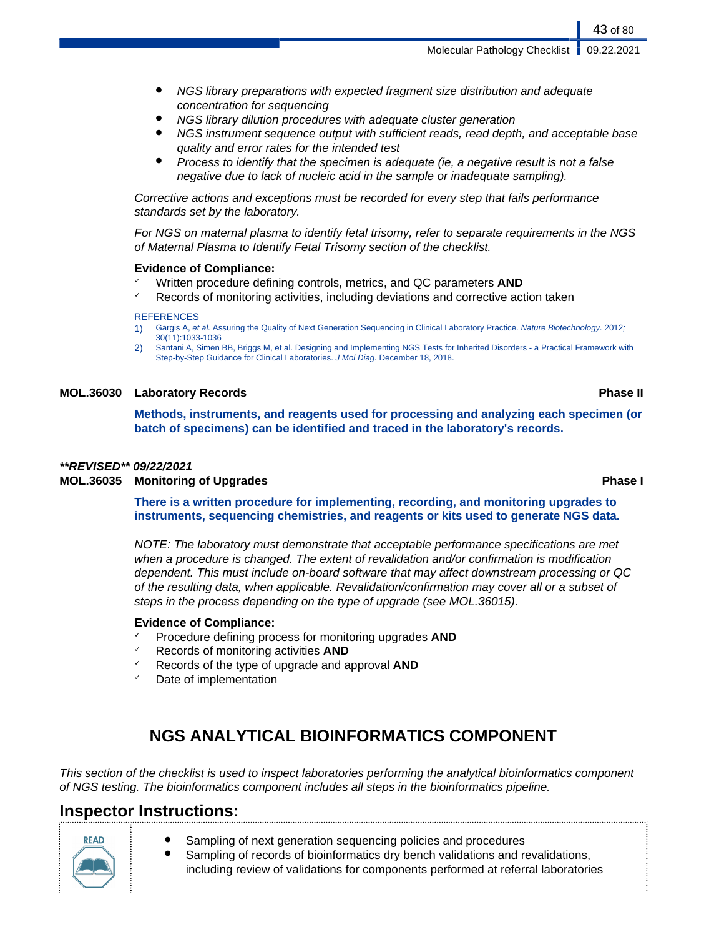- NGS library preparations with expected fragment size distribution and adequate concentration for sequencing
- NGS library dilution procedures with adequate cluster generation
- NGS instrument sequence output with sufficient reads, read depth, and acceptable base quality and error rates for the intended test
- Process to identify that the specimen is adequate (ie, a negative result is not a false negative due to lack of nucleic acid in the sample or inadequate sampling).

Corrective actions and exceptions must be recorded for every step that fails performance standards set by the laboratory.

For NGS on maternal plasma to identify fetal trisomy, refer to separate requirements in the NGS of Maternal Plasma to Identify Fetal Trisomy section of the checklist.

#### **Evidence of Compliance:**

- ✓ Written procedure defining controls, metrics, and QC parameters **AND**
- $\checkmark$  Records of monitoring activities, including deviations and corrective action taken

#### **REFERENCES**

- 1) Gargis A, et al. Assuring the Quality of Next Generation Sequencing in Clinical Laboratory Practice. Nature Biotechnology. 2012; 30(11):1033-1036
- 2) Santani A, Simen BB, Briggs M, et al. Designing and Implementing NGS Tests for Inherited Disorders a Practical Framework with Step-by-Step Guidance for Clinical Laboratories. J Mol Diag. December 18, 2018.

#### **MOL.36030 Laboratory Records Phase II**

**Methods, instruments, and reagents used for processing and analyzing each specimen (or batch of specimens) can be identified and traced in the laboratory's records.**

#### **\*\*REVISED\*\* 09/22/2021**

#### **MOL.36035 Monitoring of Upgrades Phase I**

**There is a written procedure for implementing, recording, and monitoring upgrades to instruments, sequencing chemistries, and reagents or kits used to generate NGS data.**

NOTE: The laboratory must demonstrate that acceptable performance specifications are met when a procedure is changed. The extent of revalidation and/or confirmation is modification dependent. This must include on-board software that may affect downstream processing or QC of the resulting data, when applicable. Revalidation/confirmation may cover all or a subset of steps in the process depending on the type of upgrade (see MOL.36015).

#### **Evidence of Compliance:**

- ✓ Procedure defining process for monitoring upgrades **AND**
- ✓ Records of monitoring activities **AND**
- Records of the type of upgrade and approval **AND**
- Date of implementation

# **NGS ANALYTICAL BIOINFORMATICS COMPONENT**

This section of the checklist is used to inspect laboratories performing the analytical bioinformatics component of NGS testing. The bioinformatics component includes all steps in the bioinformatics pipeline.

## **Inspector Instructions:**

- Sampling of next generation sequencing policies and procedures
	- Sampling of records of bioinformatics dry bench validations and revalidations, including review of validations for components performed at referral laboratories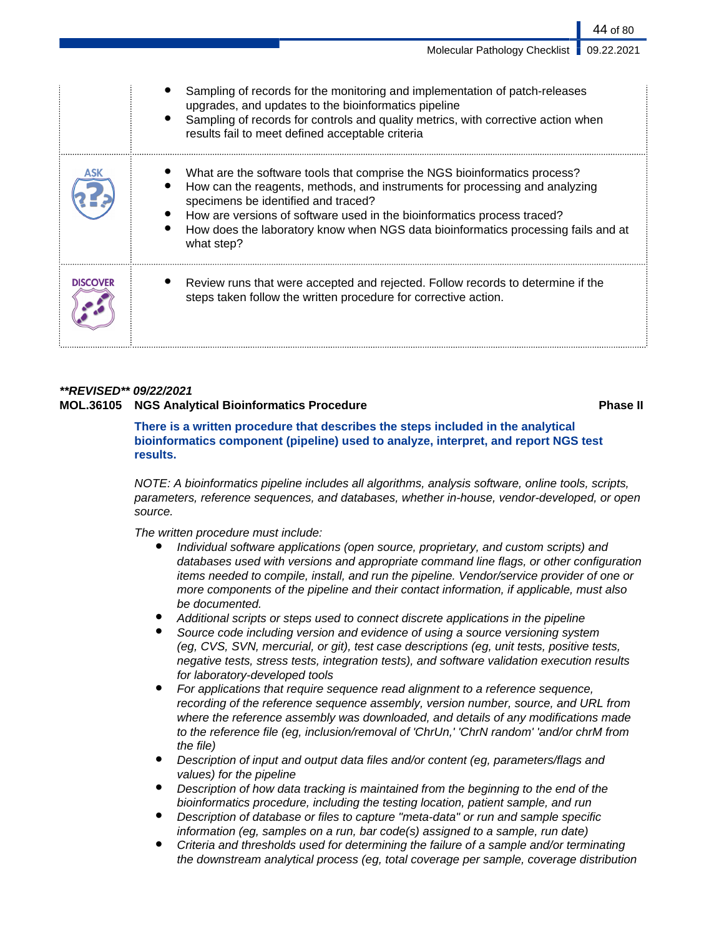|                 | Sampling of records for the monitoring and implementation of patch-releases<br>upgrades, and updates to the bioinformatics pipeline<br>Sampling of records for controls and quality metrics, with corrective action when<br>results fail to meet defined acceptable criteria                                                                                                  |
|-----------------|-------------------------------------------------------------------------------------------------------------------------------------------------------------------------------------------------------------------------------------------------------------------------------------------------------------------------------------------------------------------------------|
|                 | What are the software tools that comprise the NGS bioinformatics process?<br>How can the reagents, methods, and instruments for processing and analyzing<br>specimens be identified and traced?<br>How are versions of software used in the bioinformatics process traced?<br>How does the laboratory know when NGS data bioinformatics processing fails and at<br>what step? |
| <b>DISCOVER</b> | Review runs that were accepted and rejected. Follow records to determine if the<br>steps taken follow the written procedure for corrective action.                                                                                                                                                                                                                            |

### **\*\*REVISED\*\* 09/22/2021 MOL.36105 NGS Analytical Bioinformatics Procedure Phase II**

**There is a written procedure that describes the steps included in the analytical bioinformatics component (pipeline) used to analyze, interpret, and report NGS test results.**

NOTE: A bioinformatics pipeline includes all algorithms, analysis software, online tools, scripts, parameters, reference sequences, and databases, whether in-house, vendor-developed, or open source.

The written procedure must include:

- Individual software applications (open source, proprietary, and custom scripts) and databases used with versions and appropriate command line flags, or other configuration items needed to compile, install, and run the pipeline. Vendor/service provider of one or more components of the pipeline and their contact information, if applicable, must also be documented.
- Additional scripts or steps used to connect discrete applications in the pipeline
- Source code including version and evidence of using a source versioning system (eg, CVS, SVN, mercurial, or git), test case descriptions (eg, unit tests, positive tests, negative tests, stress tests, integration tests), and software validation execution results for laboratory-developed tools
- For applications that require sequence read alignment to a reference sequence, recording of the reference sequence assembly, version number, source, and URL from where the reference assembly was downloaded, and details of any modifications made to the reference file (eg, inclusion/removal of 'ChrUn,' 'ChrN random' 'and/or chrM from the file)
- Description of input and output data files and/or content (eg, parameters/flags and values) for the pipeline
- Description of how data tracking is maintained from the beginning to the end of the bioinformatics procedure, including the testing location, patient sample, and run
- Description of database or files to capture "meta-data" or run and sample specific information (eg, samples on a run, bar code(s) assigned to a sample, run date)
- Criteria and thresholds used for determining the failure of a sample and/or terminating the downstream analytical process (eg, total coverage per sample, coverage distribution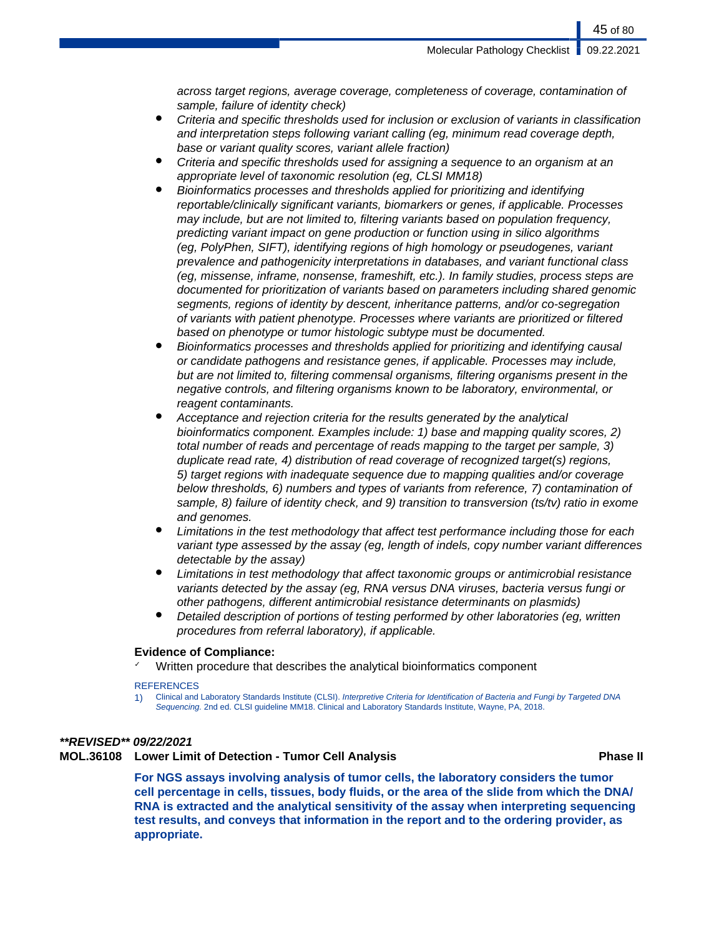across target regions, average coverage, completeness of coverage, contamination of sample, failure of identity check)

- Criteria and specific thresholds used for inclusion or exclusion of variants in classification and interpretation steps following variant calling (eg, minimum read coverage depth, base or variant quality scores, variant allele fraction)
- Criteria and specific thresholds used for assigning a sequence to an organism at an appropriate level of taxonomic resolution (eg, CLSI MM18)
- Bioinformatics processes and thresholds applied for prioritizing and identifying reportable/clinically significant variants, biomarkers or genes, if applicable. Processes may include, but are not limited to, filtering variants based on population frequency, predicting variant impact on gene production or function using in silico algorithms (eg, PolyPhen, SIFT), identifying regions of high homology or pseudogenes, variant prevalence and pathogenicity interpretations in databases, and variant functional class (eg, missense, inframe, nonsense, frameshift, etc.). In family studies, process steps are documented for prioritization of variants based on parameters including shared genomic segments, regions of identity by descent, inheritance patterns, and/or co-segregation of variants with patient phenotype. Processes where variants are prioritized or filtered based on phenotype or tumor histologic subtype must be documented.
- Bioinformatics processes and thresholds applied for prioritizing and identifying causal or candidate pathogens and resistance genes, if applicable. Processes may include, but are not limited to, filtering commensal organisms, filtering organisms present in the negative controls, and filtering organisms known to be laboratory, environmental, or reagent contaminants.
- Acceptance and rejection criteria for the results generated by the analytical bioinformatics component. Examples include: 1) base and mapping quality scores, 2) total number of reads and percentage of reads mapping to the target per sample, 3) duplicate read rate, 4) distribution of read coverage of recognized target(s) regions, 5) target regions with inadequate sequence due to mapping qualities and/or coverage below thresholds, 6) numbers and types of variants from reference, 7) contamination of sample, 8) failure of identity check, and 9) transition to transversion (ts/tv) ratio in exome and genomes.
- Limitations in the test methodology that affect test performance including those for each variant type assessed by the assay (eg, length of indels, copy number variant differences detectable by the assay)
- Limitations in test methodology that affect taxonomic groups or antimicrobial resistance variants detected by the assay (eg, RNA versus DNA viruses, bacteria versus fungi or other pathogens, different antimicrobial resistance determinants on plasmids)
- Detailed description of portions of testing performed by other laboratories (eg, written procedures from referral laboratory), if applicable.

#### **Evidence of Compliance:**

Written procedure that describes the analytical bioinformatics component

#### **REFERENCES**

1) Clinical and Laboratory Standards Institute (CLSI). Interpretive Criteria for Identification of Bacteria and Fungi by Targeted DNA Sequencing. 2nd ed. CLSI quideline MM18. Clinical and Laboratory Standards Institute, Wayne, PA, 2018.

#### **\*\*REVISED\*\* 09/22/2021**

**MOL.36108 Lower Limit of Detection - Tumor Cell Analysis Phase II**

**For NGS assays involving analysis of tumor cells, the laboratory considers the tumor cell percentage in cells, tissues, body fluids, or the area of the slide from which the DNA/ RNA is extracted and the analytical sensitivity of the assay when interpreting sequencing test results, and conveys that information in the report and to the ordering provider, as appropriate.**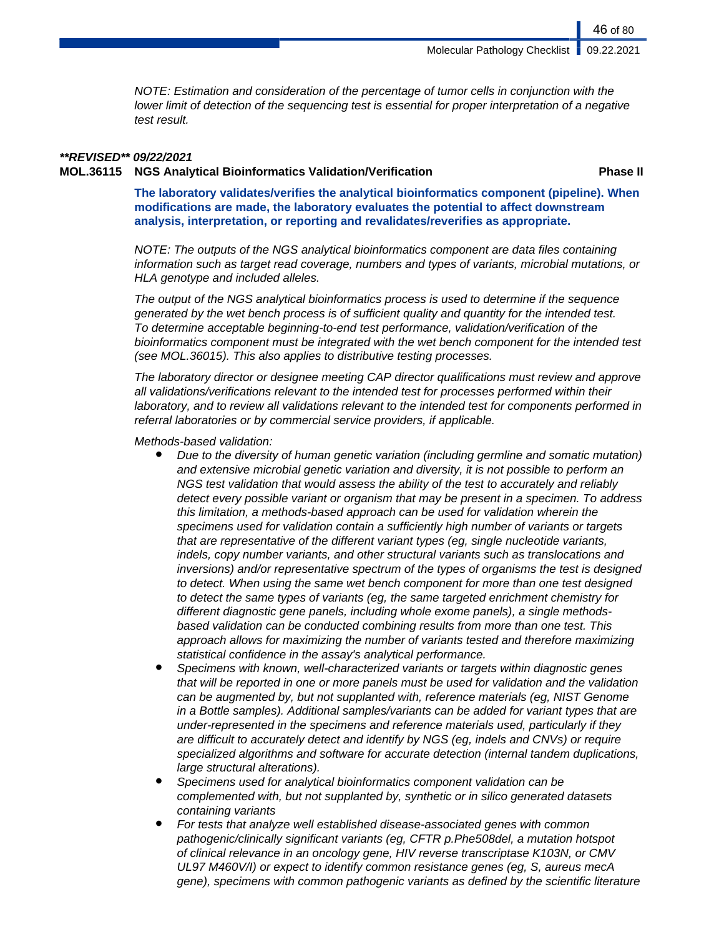NOTE: Estimation and consideration of the percentage of tumor cells in conjunction with the lower limit of detection of the sequencing test is essential for proper interpretation of a negative test result.

#### **\*\*REVISED\*\* 09/22/2021**

**MOL.36115 NGS Analytical Bioinformatics Validation/Verification Phase II**

46 of 80

**The laboratory validates/verifies the analytical bioinformatics component (pipeline). When modifications are made, the laboratory evaluates the potential to affect downstream analysis, interpretation, or reporting and revalidates/reverifies as appropriate.**

NOTE: The outputs of the NGS analytical bioinformatics component are data files containing information such as target read coverage, numbers and types of variants, microbial mutations, or HLA genotype and included alleles.

The output of the NGS analytical bioinformatics process is used to determine if the sequence generated by the wet bench process is of sufficient quality and quantity for the intended test. To determine acceptable beginning-to-end test performance, validation/verification of the bioinformatics component must be integrated with the wet bench component for the intended test (see MOL.36015). This also applies to distributive testing processes.

The laboratory director or designee meeting CAP director qualifications must review and approve all validations/verifications relevant to the intended test for processes performed within their laboratory, and to review all validations relevant to the intended test for components performed in referral laboratories or by commercial service providers, if applicable.

Methods-based validation:

- Due to the diversity of human genetic variation (including germline and somatic mutation) and extensive microbial genetic variation and diversity, it is not possible to perform an NGS test validation that would assess the ability of the test to accurately and reliably detect every possible variant or organism that may be present in a specimen. To address this limitation, a methods-based approach can be used for validation wherein the specimens used for validation contain a sufficiently high number of variants or targets that are representative of the different variant types (eg, single nucleotide variants, indels, copy number variants, and other structural variants such as translocations and inversions) and/or representative spectrum of the types of organisms the test is designed to detect. When using the same wet bench component for more than one test designed to detect the same types of variants (eg, the same targeted enrichment chemistry for different diagnostic gene panels, including whole exome panels), a single methodsbased validation can be conducted combining results from more than one test. This approach allows for maximizing the number of variants tested and therefore maximizing statistical confidence in the assay's analytical performance.
- Specimens with known, well-characterized variants or targets within diagnostic genes that will be reported in one or more panels must be used for validation and the validation can be augmented by, but not supplanted with, reference materials (eg, NIST Genome in a Bottle samples). Additional samples/variants can be added for variant types that are under-represented in the specimens and reference materials used, particularly if they are difficult to accurately detect and identify by NGS (eg, indels and CNVs) or require specialized algorithms and software for accurate detection (internal tandem duplications, large structural alterations).
- Specimens used for analytical bioinformatics component validation can be complemented with, but not supplanted by, synthetic or in silico generated datasets containing variants
- For tests that analyze well established disease-associated genes with common pathogenic/clinically significant variants (eg, CFTR p.Phe508del, a mutation hotspot of clinical relevance in an oncology gene, HIV reverse transcriptase K103N, or CMV UL97 M460V/I) or expect to identify common resistance genes (eg, S, aureus mecA gene), specimens with common pathogenic variants as defined by the scientific literature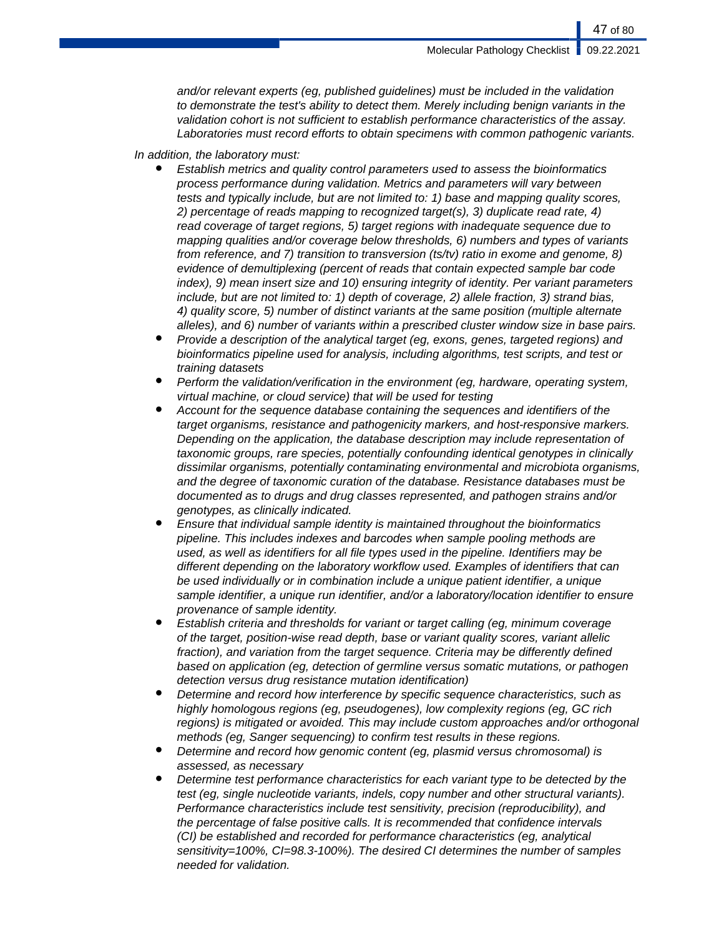and/or relevant experts (eg, published guidelines) must be included in the validation to demonstrate the test's ability to detect them. Merely including benign variants in the validation cohort is not sufficient to establish performance characteristics of the assay. Laboratories must record efforts to obtain specimens with common pathogenic variants.

### In addition, the laboratory must:

- Establish metrics and quality control parameters used to assess the bioinformatics process performance during validation. Metrics and parameters will vary between tests and typically include, but are not limited to: 1) base and mapping quality scores, 2) percentage of reads mapping to recognized target(s), 3) duplicate read rate, 4) read coverage of target regions, 5) target regions with inadequate sequence due to mapping qualities and/or coverage below thresholds, 6) numbers and types of variants from reference, and 7) transition to transversion (ts/tv) ratio in exome and genome, 8) evidence of demultiplexing (percent of reads that contain expected sample bar code index), 9) mean insert size and 10) ensuring integrity of identity. Per variant parameters include, but are not limited to: 1) depth of coverage, 2) allele fraction, 3) strand bias, 4) quality score, 5) number of distinct variants at the same position (multiple alternate alleles), and 6) number of variants within a prescribed cluster window size in base pairs.
- Provide a description of the analytical target (eg, exons, genes, targeted regions) and bioinformatics pipeline used for analysis, including algorithms, test scripts, and test or training datasets
- Perform the validation/verification in the environment (eg, hardware, operating system, virtual machine, or cloud service) that will be used for testing
- Account for the sequence database containing the sequences and identifiers of the target organisms, resistance and pathogenicity markers, and host-responsive markers. Depending on the application, the database description may include representation of taxonomic groups, rare species, potentially confounding identical genotypes in clinically dissimilar organisms, potentially contaminating environmental and microbiota organisms, and the degree of taxonomic curation of the database. Resistance databases must be documented as to drugs and drug classes represented, and pathogen strains and/or genotypes, as clinically indicated.
- Ensure that individual sample identity is maintained throughout the bioinformatics pipeline. This includes indexes and barcodes when sample pooling methods are used, as well as identifiers for all file types used in the pipeline. Identifiers may be different depending on the laboratory workflow used. Examples of identifiers that can be used individually or in combination include a unique patient identifier, a unique sample identifier, a unique run identifier, and/or a laboratory/location identifier to ensure provenance of sample identity.
- Establish criteria and thresholds for variant or target calling (eg, minimum coverage of the target, position-wise read depth, base or variant quality scores, variant allelic fraction), and variation from the target sequence. Criteria may be differently defined based on application (eg, detection of germline versus somatic mutations, or pathogen detection versus drug resistance mutation identification)
- Determine and record how interference by specific sequence characteristics, such as highly homologous regions (eg, pseudogenes), low complexity regions (eg, GC rich regions) is mitigated or avoided. This may include custom approaches and/or orthogonal methods (eg, Sanger sequencing) to confirm test results in these regions.
- Determine and record how genomic content (eq, plasmid versus chromosomal) is assessed, as necessary
- Determine test performance characteristics for each variant type to be detected by the test (eg, single nucleotide variants, indels, copy number and other structural variants). Performance characteristics include test sensitivity, precision (reproducibility), and the percentage of false positive calls. It is recommended that confidence intervals (CI) be established and recorded for performance characteristics (eg, analytical sensitivity=100%, CI=98.3-100%). The desired CI determines the number of samples needed for validation.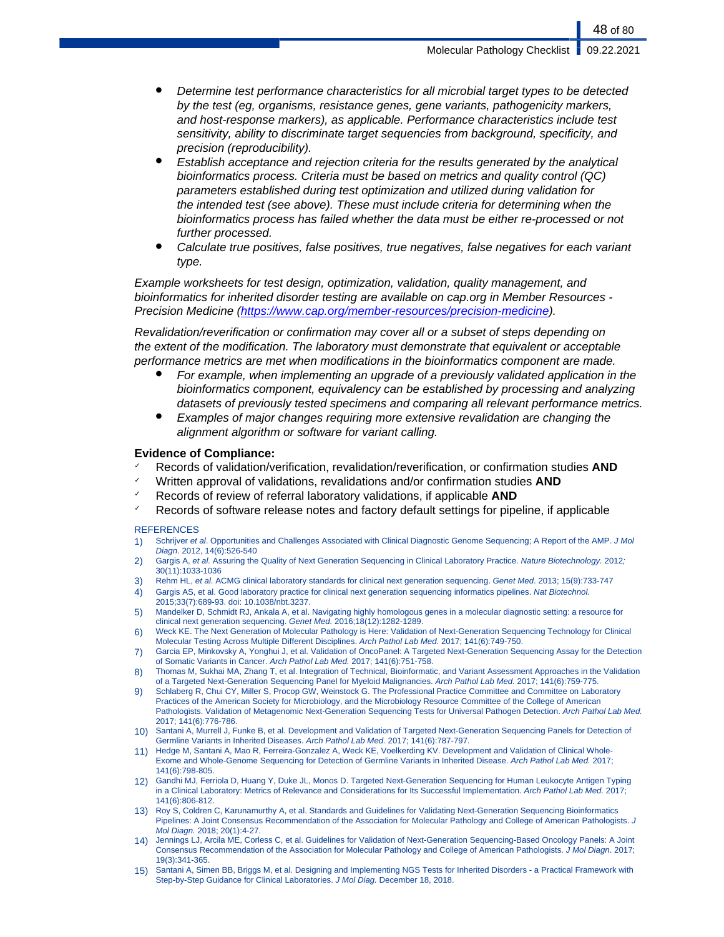- Determine test performance characteristics for all microbial target types to be detected by the test (eg, organisms, resistance genes, gene variants, pathogenicity markers, and host-response markers), as applicable. Performance characteristics include test sensitivity, ability to discriminate target sequencies from background, specificity, and precision (reproducibility).
- Establish acceptance and rejection criteria for the results generated by the analytical bioinformatics process. Criteria must be based on metrics and quality control (QC) parameters established during test optimization and utilized during validation for the intended test (see above). These must include criteria for determining when the bioinformatics process has failed whether the data must be either re-processed or not further processed.
- Calculate true positives, false positives, true negatives, false negatives for each variant type.

Example worksheets for test design, optimization, validation, quality management, and bioinformatics for inherited disorder testing are available on cap.org in Member Resources Precision Medicine (<https://www.cap.org/member-resources/precision-medicine>).

Revalidation/reverification or confirmation may cover all or a subset of steps depending on the extent of the modification. The laboratory must demonstrate that equivalent or acceptable performance metrics are met when modifications in the bioinformatics component are made.

- For example, when implementing an upgrade of a previously validated application in the bioinformatics component, equivalency can be established by processing and analyzing datasets of previously tested specimens and comparing all relevant performance metrics.
- Examples of major changes requiring more extensive revalidation are changing the alignment algorithm or software for variant calling.

#### **Evidence of Compliance:**

- ✓ Records of validation/verification, revalidation/reverification, or confirmation studies **AND**
- Written approval of validations, revalidations and/or confirmation studies **AND**
- ✓ Records of review of referral laboratory validations, if applicable **AND**
- $\checkmark$  Records of software release notes and factory default settings for pipeline, if applicable

#### **REFERENCES**

- 1) Schrijver et al. Opportunities and Challenges Associated with Clinical Diagnostic Genome Sequencing; A Report of the AMP. J Mol Diagn. 2012, 14(6):526-540
- 2) Gargis A, et al. Assuring the Quality of Next Generation Sequencing in Clinical Laboratory Practice. Nature Biotechnology. 2012; 30(11):1033-1036
- 3) Rehm HL, et al. ACMG clinical laboratory standards for clinical next generation sequencing. Genet Med. 2013; 15(9):733-747
- 4) Gargis AS, et al. Good laboratory practice for clinical next generation sequencing informatics pipelines. Nat Biotechnol. 2015;33(7):689-93. doi: 10.1038/nbt.3237.
- 5) Mandelker D, Schmidt RJ, Ankala A, et al. Navigating highly homologous genes in a molecular diagnostic setting: a resource for clinical next generation sequencing. Genet Med. 2016;18(12):1282-1289.
- 6) Weck KE. The Next Generation of Molecular Pathology is Here: Validation of Next-Generation Sequencing Technology for Clinical Molecular Testing Across Multiple Different Disciplines. Arch Pathol Lab Med. 2017; 141(6):749-750.
- 7) Garcia EP, Minkovsky A, Yonghui J, et al. Validation of OncoPanel: A Targeted Next-Generation Sequencing Assay for the Detection of Somatic Variants in Cancer. Arch Pathol Lab Med. 2017; 141(6):751-758.
- 8) Thomas M, Sukhai MA, Zhang T, et al. Integration of Technical, Bioinformatic, and Variant Assessment Approaches in the Validation of a Targeted Next-Generation Sequencing Panel for Myeloid Malignancies. Arch Pathol Lab Med. 2017; 141(6):759-775.
- 9) Schlaberg R, Chui CY, Miller S, Procop GW, Weinstock G. The Professional Practice Committee and Committee on Laboratory Practices of the American Society for Microbiology, and the Microbiology Resource Committee of the College of American Pathologists. Validation of Metagenomic Next-Generation Sequencing Tests for Universal Pathogen Detection. Arch Pathol Lab Med. 2017; 141(6):776-786.
- 10) Santani A, Murrell J, Funke B, et al. Development and Validation of Targeted Next-Generation Sequencing Panels for Detection of Germline Variants in Inherited Diseases. Arch Pathol Lab Med. 2017; 141(6):787-797.
- 11) Hedge M, Santani A, Mao R, Ferreira-Gonzalez A, Weck KE, Voelkerding KV. Development and Validation of Clinical Whole-Exome and Whole-Genome Sequencing for Detection of Germline Variants in Inherited Disease. Arch Pathol Lab Med. 2017; 141(6):798-805.
- 12) Gandhi MJ, Ferriola D, Huang Y, Duke JL, Monos D. Targeted Next-Generation Sequencing for Human Leukocyte Antigen Typing in a Clinical Laboratory: Metrics of Relevance and Considerations for Its Successful Implementation. Arch Pathol Lab Med. 2017; 141(6):806-812.
- 13) Roy S, Coldren C, Karunamurthy A, et al. Standards and Guidelines for Validating Next-Generation Sequencing Bioinformatics Pipelines: A Joint Consensus Recommendation of the Association for Molecular Pathology and College of American Pathologists. J Mol Diagn. 2018; 20(1):4-27.
- 14) Jennings LJ, Arcila ME, Corless C, et al. Guidelines for Validation of Next-Generation Sequencing-Based Oncology Panels: A Joint Consensus Recommendation of the Association for Molecular Pathology and College of American Pathologists. J Mol Diagn. 2017; 19(3):341-365.
- 15) Santani A, Simen BB, Briggs M, et al. Designing and Implementing NGS Tests for Inherited Disorders a Practical Framework with Step-by-Step Guidance for Clinical Laboratories. J Mol Diag. December 18, 2018.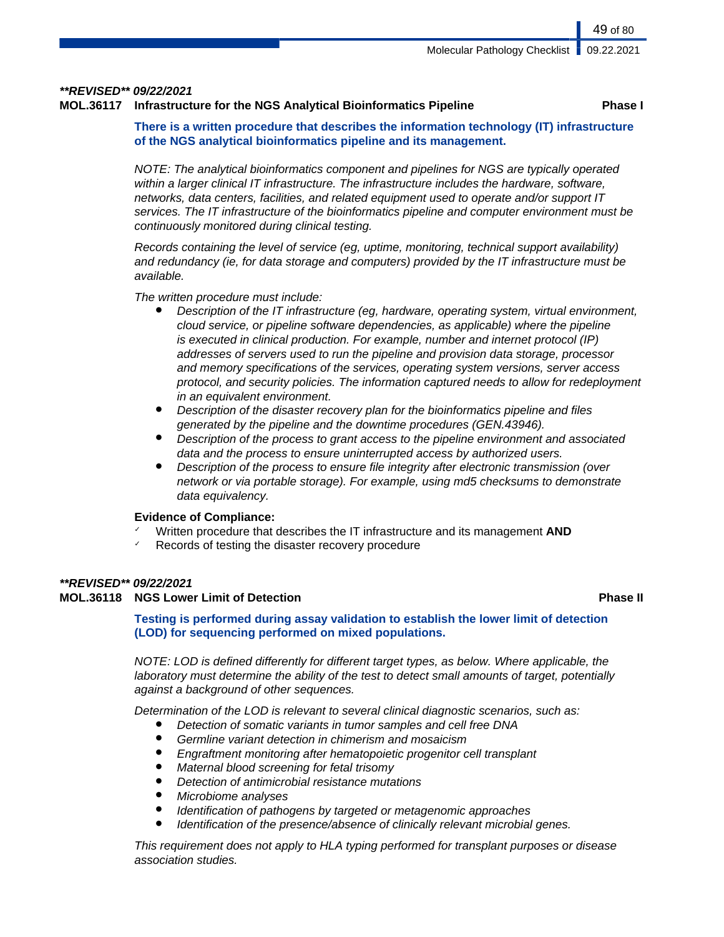#### **\*\*REVISED\*\* 09/22/2021**

#### **MOL.36117 Infrastructure for the NGS Analytical Bioinformatics Pipeline Phase I**

**There is a written procedure that describes the information technology (IT) infrastructure of the NGS analytical bioinformatics pipeline and its management.**

NOTE: The analytical bioinformatics component and pipelines for NGS are typically operated within a larger clinical IT infrastructure. The infrastructure includes the hardware, software, networks, data centers, facilities, and related equipment used to operate and/or support IT services. The IT infrastructure of the bioinformatics pipeline and computer environment must be continuously monitored during clinical testing.

Records containing the level of service (eg, uptime, monitoring, technical support availability) and redundancy (ie, for data storage and computers) provided by the IT infrastructure must be available.

The written procedure must include:

- Description of the IT infrastructure (eg, hardware, operating system, virtual environment, cloud service, or pipeline software dependencies, as applicable) where the pipeline is executed in clinical production. For example, number and internet protocol (IP) addresses of servers used to run the pipeline and provision data storage, processor and memory specifications of the services, operating system versions, server access protocol, and security policies. The information captured needs to allow for redeployment in an equivalent environment.
- Description of the disaster recovery plan for the bioinformatics pipeline and files generated by the pipeline and the downtime procedures (GEN.43946).
- Description of the process to grant access to the pipeline environment and associated data and the process to ensure uninterrupted access by authorized users.
- Description of the process to ensure file integrity after electronic transmission (over network or via portable storage). For example, using md5 checksums to demonstrate data equivalency.

#### **Evidence of Compliance:**

- ✓ Written procedure that describes the IT infrastructure and its management **AND**
- Records of testing the disaster recovery procedure

#### **\*\*REVISED\*\* 09/22/2021**

#### **MOL.36118 NGS Lower Limit of Detection Phase II**

**Testing is performed during assay validation to establish the lower limit of detection (LOD) for sequencing performed on mixed populations.**

NOTE: LOD is defined differently for different target types, as below. Where applicable, the laboratory must determine the ability of the test to detect small amounts of target, potentially against a background of other sequences.

Determination of the LOD is relevant to several clinical diagnostic scenarios, such as:

- Detection of somatic variants in tumor samples and cell free DNA
- Germline variant detection in chimerism and mosaicism
- Engraftment monitoring after hematopoietic progenitor cell transplant
- Maternal blood screening for fetal trisomy
- Detection of antimicrobial resistance mutations
- Microbiome analyses
- Identification of pathogens by targeted or metagenomic approaches
- Identification of the presence/absence of clinically relevant microbial genes.

This requirement does not apply to HLA typing performed for transplant purposes or disease association studies.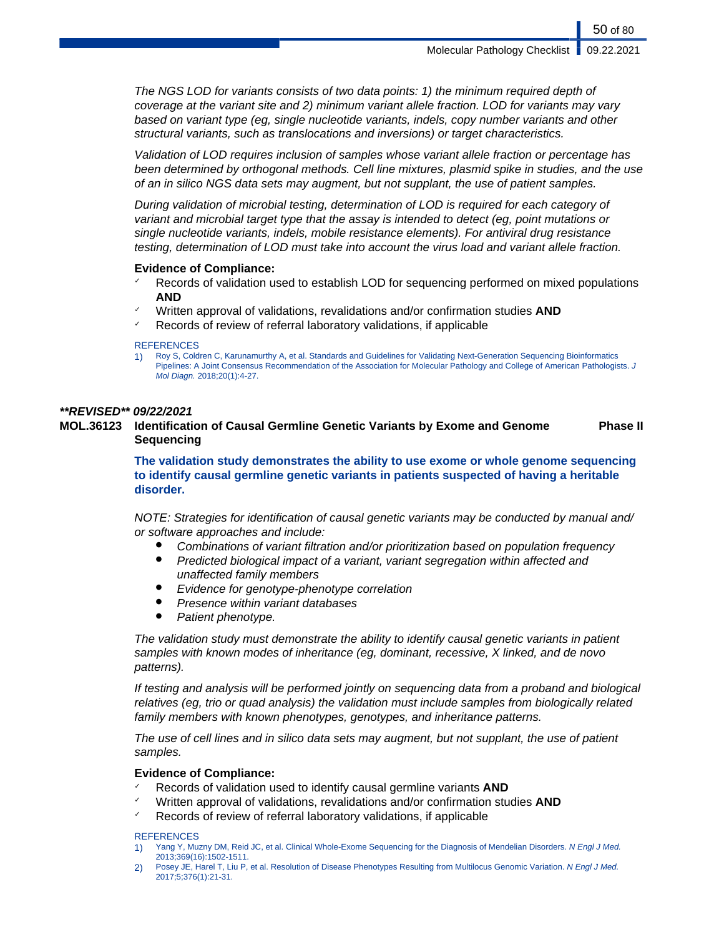The NGS LOD for variants consists of two data points: 1) the minimum required depth of coverage at the variant site and 2) minimum variant allele fraction. LOD for variants may vary based on variant type (eg, single nucleotide variants, indels, copy number variants and other structural variants, such as translocations and inversions) or target characteristics.

Validation of LOD requires inclusion of samples whose variant allele fraction or percentage has been determined by orthogonal methods. Cell line mixtures, plasmid spike in studies, and the use of an in silico NGS data sets may augment, but not supplant, the use of patient samples.

During validation of microbial testing, determination of LOD is required for each category of variant and microbial target type that the assay is intended to detect (eg, point mutations or single nucleotide variants, indels, mobile resistance elements). For antiviral drug resistance testing, determination of LOD must take into account the virus load and variant allele fraction.

#### **Evidence of Compliance:**

- $\sim$  Records of validation used to establish LOD for sequencing performed on mixed populations **AND**
- ✓ Written approval of validations, revalidations and/or confirmation studies **AND**
- Records of review of referral laboratory validations, if applicable

#### **REFERENCES**

1) Roy S, Coldren C, Karunamurthy A, et al. Standards and Guidelines for Validating Next-Generation Sequencing Bioinformatics Pipelines: A Joint Consensus Recommendation of the Association for Molecular Pathology and College of American Pathologists. J Mol Diagn. 2018;20(1):4-27.

#### **\*\*REVISED\*\* 09/22/2021**

**MOL.36123 Identification of Causal Germline Genetic Variants by Exome and Genome Sequencing Phase II**

> **The validation study demonstrates the ability to use exome or whole genome sequencing to identify causal germline genetic variants in patients suspected of having a heritable disorder.**

> NOTE: Strategies for identification of causal genetic variants may be conducted by manual and/ or software approaches and include:

- Combinations of variant filtration and/or prioritization based on population frequency
- Predicted biological impact of a variant, variant segregation within affected and unaffected family members
- Evidence for genotype-phenotype correlation
- Presence within variant databases
- Patient phenotype.

The validation study must demonstrate the ability to identify causal genetic variants in patient samples with known modes of inheritance (eg, dominant, recessive, X linked, and de novo patterns).

If testing and analysis will be performed jointly on sequencing data from a proband and biological relatives (eg, trio or quad analysis) the validation must include samples from biologically related family members with known phenotypes, genotypes, and inheritance patterns.

The use of cell lines and in silico data sets may augment, but not supplant, the use of patient samples.

### **Evidence of Compliance:**

- ✓ Records of validation used to identify causal germline variants **AND**
- ✓ Written approval of validations, revalidations and/or confirmation studies **AND**
- Records of review of referral laboratory validations, if applicable

#### **REFERENCES**

- 1) Yang Y, Muzny DM, Reid JC, et al. Clinical Whole-Exome Sequencing for the Diagnosis of Mendelian Disorders. N Engl J Med. 2013;369(16):1502-1511.
- 2) Posey JE, Harel T, Liu P, et al. Resolution of Disease Phenotypes Resulting from Multilocus Genomic Variation. N Engl J Med. 2017;5;376(1):21-31.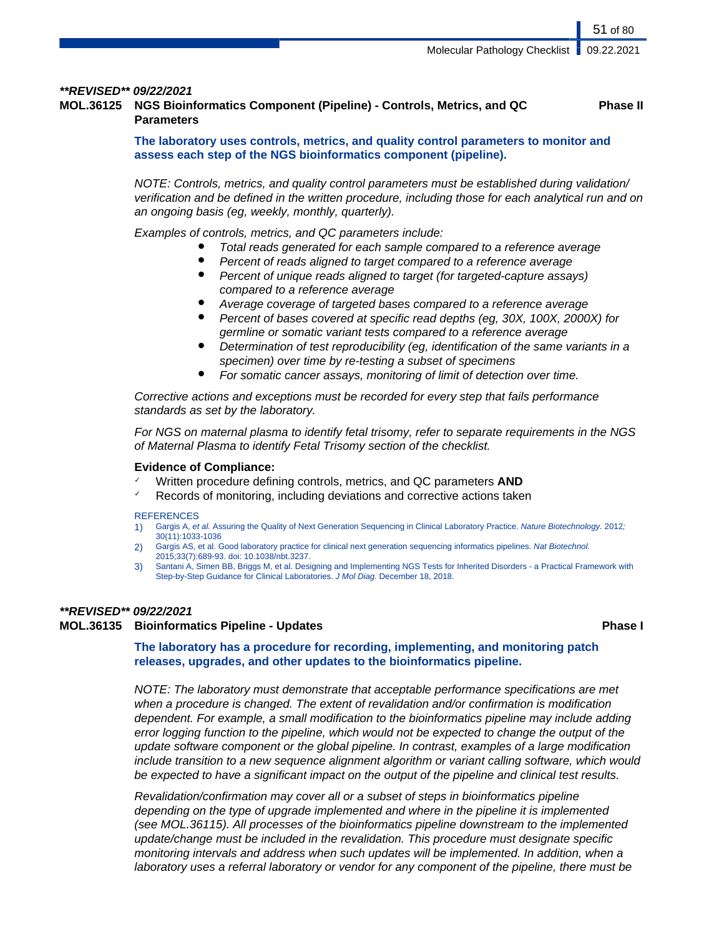#### **\*\*REVISED\*\* 09/22/2021**

**MOL.36125 NGS Bioinformatics Component (Pipeline) - Controls, Metrics, and QC Parameters Phase II**

> **The laboratory uses controls, metrics, and quality control parameters to monitor and assess each step of the NGS bioinformatics component (pipeline).**

NOTE: Controls, metrics, and quality control parameters must be established during validation/ verification and be defined in the written procedure, including those for each analytical run and on an ongoing basis (eg, weekly, monthly, quarterly).

Examples of controls, metrics, and QC parameters include:

- Total reads generated for each sample compared to a reference average
- Percent of reads aligned to target compared to a reference average
- Percent of unique reads aligned to target (for targeted-capture assays) compared to a reference average
- Average coverage of targeted bases compared to a reference average
- Percent of bases covered at specific read depths (eq, 30X, 100X, 2000X) for germline or somatic variant tests compared to a reference average
- Determination of test reproducibility (eq. identification of the same variants in a specimen) over time by re-testing a subset of specimens
- For somatic cancer assays, monitoring of limit of detection over time.

Corrective actions and exceptions must be recorded for every step that fails performance standards as set by the laboratory.

For NGS on maternal plasma to identify fetal trisomy, refer to separate requirements in the NGS of Maternal Plasma to identify Fetal Trisomy section of the checklist.

#### **Evidence of Compliance:**

- ✓ Written procedure defining controls, metrics, and QC parameters **AND**
- ✓ Records of monitoring, including deviations and corrective actions taken

#### **REFERENCES**

- 1) Gargis A, et al. Assuring the Quality of Next Generation Sequencing in Clinical Laboratory Practice. Nature Biotechnology. 2012; 30(11):1033-1036
- 2) Gargis AS, et al. Good laboratory practice for clinical next generation sequencing informatics pipelines. Nat Biotechnol. 2015;33(7):689-93. doi: 10.1038/nbt.3237.
- 3) Santani A, Simen BB, Briggs M, et al. Designing and Implementing NGS Tests for Inherited Disorders a Practical Framework with Step-by-Step Guidance for Clinical Laboratories. J Mol Diag. December 18, 2018.

#### **\*\*REVISED\*\* 09/22/2021**

### **MOL.36135 Bioinformatics Pipeline - Updates Phase I**

**The laboratory has a procedure for recording, implementing, and monitoring patch releases, upgrades, and other updates to the bioinformatics pipeline.**

NOTE: The laboratory must demonstrate that acceptable performance specifications are met when a procedure is changed. The extent of revalidation and/or confirmation is modification dependent. For example, a small modification to the bioinformatics pipeline may include adding error logging function to the pipeline, which would not be expected to change the output of the update software component or the global pipeline. In contrast, examples of a large modification include transition to a new sequence alignment algorithm or variant calling software, which would be expected to have a significant impact on the output of the pipeline and clinical test results.

Revalidation/confirmation may cover all or a subset of steps in bioinformatics pipeline depending on the type of upgrade implemented and where in the pipeline it is implemented (see MOL.36115). All processes of the bioinformatics pipeline downstream to the implemented update/change must be included in the revalidation. This procedure must designate specific monitoring intervals and address when such updates will be implemented. In addition, when a laboratory uses a referral laboratory or vendor for any component of the pipeline, there must be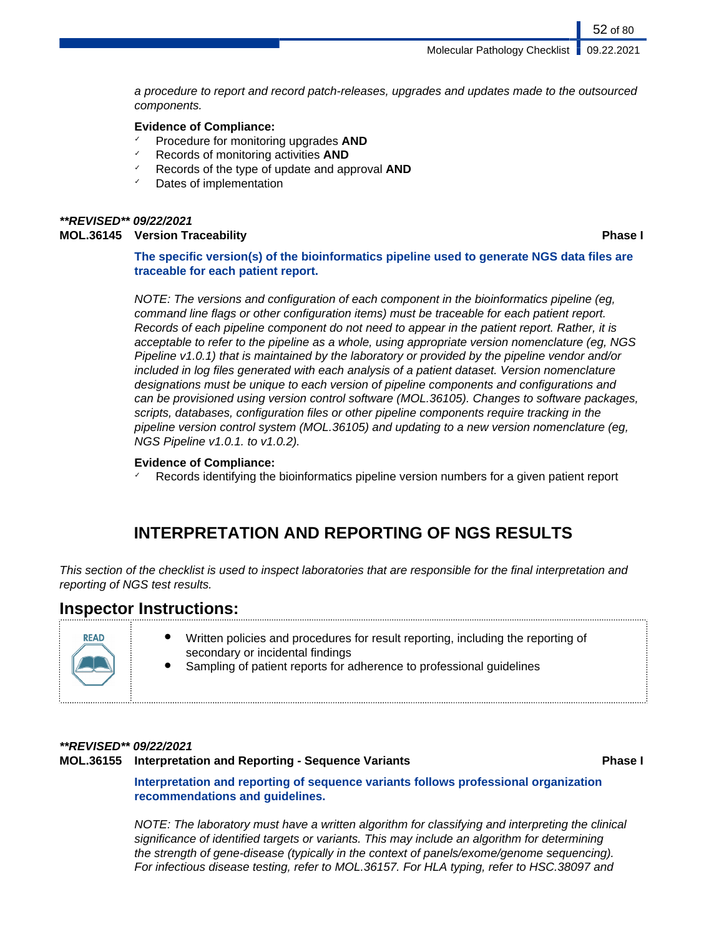a procedure to report and record patch-releases, upgrades and updates made to the outsourced components.

### **Evidence of Compliance:**

- ✓ Procedure for monitoring upgrades **AND**
- ✓ Records of monitoring activities **AND**
- Records of the type of update and approval **AND**
- Dates of implementation

#### **\*\*REVISED\*\* 09/22/2021 MOL.36145 Version Traceability Phase I**

52 of 80

**The specific version(s) of the bioinformatics pipeline used to generate NGS data files are traceable for each patient report.**

NOTE: The versions and configuration of each component in the bioinformatics pipeline (eg, command line flags or other configuration items) must be traceable for each patient report. Records of each pipeline component do not need to appear in the patient report. Rather, it is acceptable to refer to the pipeline as a whole, using appropriate version nomenclature (eg, NGS Pipeline v1.0.1) that is maintained by the laboratory or provided by the pipeline vendor and/or included in log files generated with each analysis of a patient dataset. Version nomenclature designations must be unique to each version of pipeline components and configurations and can be provisioned using version control software (MOL.36105). Changes to software packages, scripts, databases, configuration files or other pipeline components require tracking in the pipeline version control system (MOL.36105) and updating to a new version nomenclature (eg, NGS Pipeline v1.0.1. to v1.0.2).

### **Evidence of Compliance:**

Records identifying the bioinformatics pipeline version numbers for a given patient report

# **INTERPRETATION AND REPORTING OF NGS RESULTS**

This section of the checklist is used to inspect laboratories that are responsible for the final interpretation and reporting of NGS test results.

## **Inspector Instructions:**

| <b>READ</b><br><b>ALAM</b> | Written policies and procedures for result reporting, including the reporting of<br>secondary or incidental findings<br>Sampling of patient reports for adherence to professional guidelines<br>٠ |
|----------------------------|---------------------------------------------------------------------------------------------------------------------------------------------------------------------------------------------------|
|----------------------------|---------------------------------------------------------------------------------------------------------------------------------------------------------------------------------------------------|

### **\*\*REVISED\*\* 09/22/2021**

#### **MOL.36155 Interpretation and Reporting - Sequence Variants Phase I**

**Interpretation and reporting of sequence variants follows professional organization recommendations and guidelines.**

NOTE: The laboratory must have a written algorithm for classifying and interpreting the clinical significance of identified targets or variants. This may include an algorithm for determining the strength of gene-disease (typically in the context of panels/exome/genome sequencing). For infectious disease testing, refer to MOL.36157. For HLA typing, refer to HSC.38097 and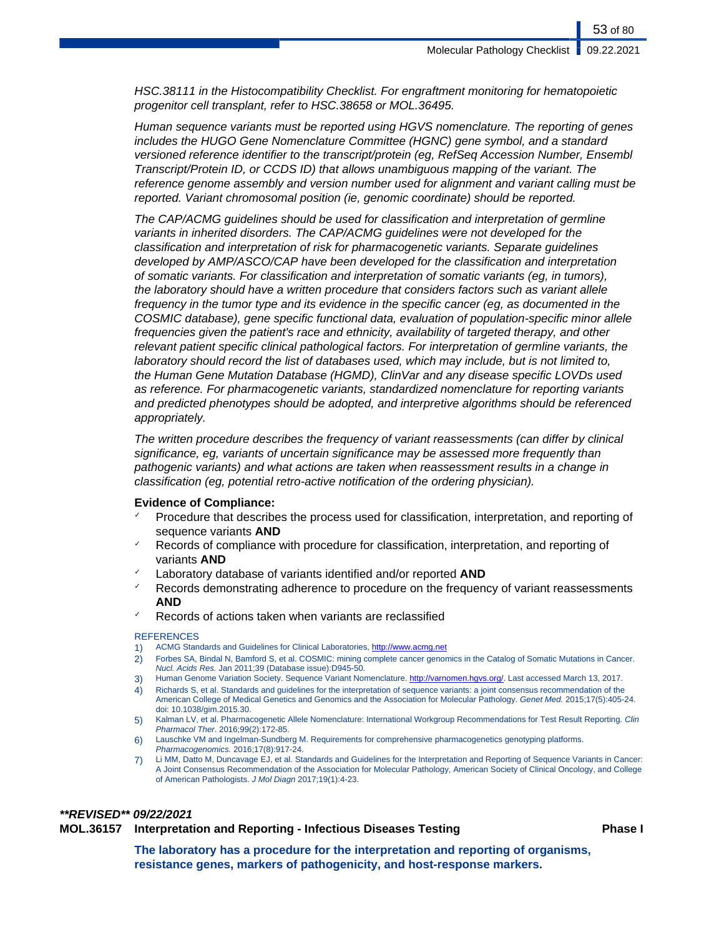HSC.38111 in the Histocompatibility Checklist. For engraftment monitoring for hematopoietic progenitor cell transplant, refer to HSC.38658 or MOL.36495.

Human sequence variants must be reported using HGVS nomenclature. The reporting of genes includes the HUGO Gene Nomenclature Committee (HGNC) gene symbol, and a standard versioned reference identifier to the transcript/protein (eg, RefSeq Accession Number, Ensembl Transcript/Protein ID, or CCDS ID) that allows unambiguous mapping of the variant. The reference genome assembly and version number used for alignment and variant calling must be reported. Variant chromosomal position (ie, genomic coordinate) should be reported.

The CAP/ACMG guidelines should be used for classification and interpretation of germline variants in inherited disorders. The CAP/ACMG guidelines were not developed for the classification and interpretation of risk for pharmacogenetic variants. Separate guidelines developed by AMP/ASCO/CAP have been developed for the classification and interpretation of somatic variants. For classification and interpretation of somatic variants (eg, in tumors), the laboratory should have a written procedure that considers factors such as variant allele frequency in the tumor type and its evidence in the specific cancer (eg, as documented in the COSMIC database), gene specific functional data, evaluation of population-specific minor allele frequencies given the patient's race and ethnicity, availability of targeted therapy, and other relevant patient specific clinical pathological factors. For interpretation of germline variants, the laboratory should record the list of databases used, which may include, but is not limited to, the Human Gene Mutation Database (HGMD), ClinVar and any disease specific LOVDs used as reference. For pharmacogenetic variants, standardized nomenclature for reporting variants and predicted phenotypes should be adopted, and interpretive algorithms should be referenced appropriately.

The written procedure describes the frequency of variant reassessments (can differ by clinical significance, eg, variants of uncertain significance may be assessed more frequently than pathogenic variants) and what actions are taken when reassessment results in a change in classification (eg, potential retro-active notification of the ordering physician).

#### **Evidence of Compliance:**

- Procedure that describes the process used for classification, interpretation, and reporting of sequence variants **AND**
- Records of compliance with procedure for classification, interpretation, and reporting of variants **AND**
- Laboratory database of variants identified and/or reported **AND**
- Records demonstrating adherence to procedure on the frequency of variant reassessments **AND**
- Records of actions taken when variants are reclassified

#### **REFERENCES**

- 1) ACMG Standards and Guidelines for Clinical Laboratories, <http://www.acmg.net>
- 2) Forbes SA, Bindal N, Bamford S, et al. COSMIC: mining complete cancer genomics in the Catalog of Somatic Mutations in Cancer. Nucl. Acids Res. Jan 2011;39 (Database issue):D945-50.
- 3) Human Genome Variation Society. Sequence Variant Nomenclature. [http://varnomen.hgvs.org/.](http://varnomen.hgvs.org/) Last accessed March 13, 2017.
- 4) Richards S, et al. Standards and guidelines for the interpretation of sequence variants: a joint consensus recommendation of the American College of Medical Genetics and Genomics and the Association for Molecular Pathology. Genet Med. 2015;17(5):405-24. doi: 10.1038/gim.2015.30.
- 5) Kalman LV, et al. Pharmacogenetic Allele Nomenclature: International Workgroup Recommendations for Test Result Reporting. Clin Pharmacol Ther. 2016;99(2):172-85.
- 6) Lauschke VM and Ingelman-Sundberg M. Requirements for comprehensive pharmacogenetics genotyping platforms. Pharmacogenomics. 2016;17(8):917-24.
- 7) Li MM, Datto M, Duncavage EJ, et al. Standards and Guidelines for the Interpretation and Reporting of Sequence Variants in Cancer: A Joint Consensus Recommendation of the Association for Molecular Pathology, American Society of Clinical Oncology, and College of American Pathologists. J Mol Diagn 2017;19(1):4-23.

#### **\*\*REVISED\*\* 09/22/2021**

**MOL.36157 Interpretation and Reporting - Infectious Diseases Testing Phase I**

**The laboratory has a procedure for the interpretation and reporting of organisms, resistance genes, markers of pathogenicity, and host-response markers.**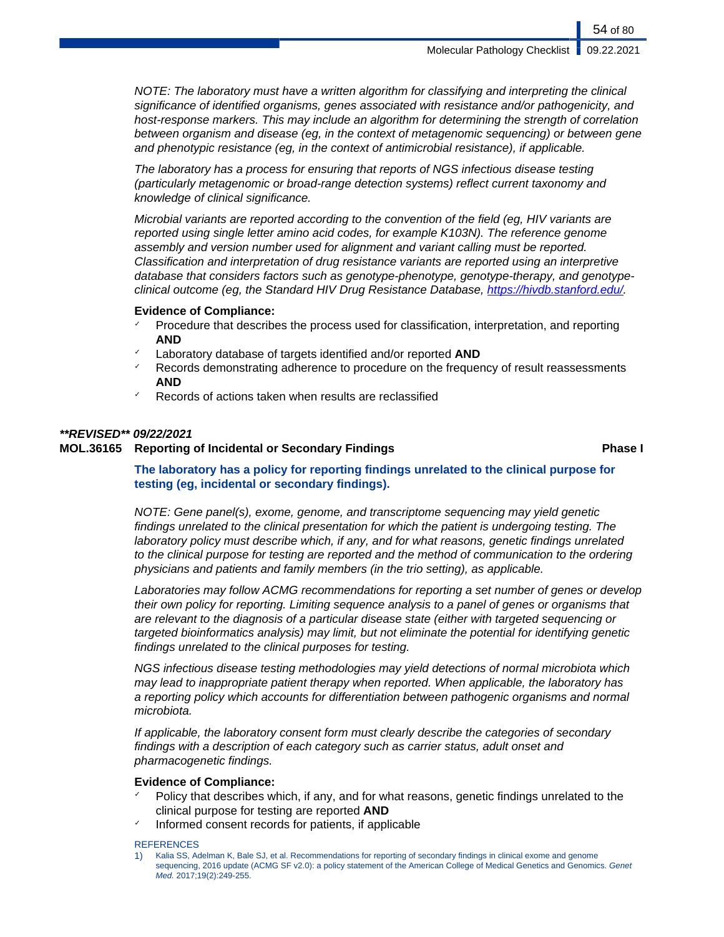NOTE: The laboratory must have a written algorithm for classifying and interpreting the clinical significance of identified organisms, genes associated with resistance and/or pathogenicity, and host-response markers. This may include an algorithm for determining the strength of correlation between organism and disease (eg, in the context of metagenomic sequencing) or between gene and phenotypic resistance (eg, in the context of antimicrobial resistance), if applicable.

The laboratory has a process for ensuring that reports of NGS infectious disease testing (particularly metagenomic or broad-range detection systems) reflect current taxonomy and knowledge of clinical significance.

Microbial variants are reported according to the convention of the field (eg, HIV variants are reported using single letter amino acid codes, for example K103N). The reference genome assembly and version number used for alignment and variant calling must be reported. Classification and interpretation of drug resistance variants are reported using an interpretive database that considers factors such as genotype-phenotype, genotype-therapy, and genotypeclinical outcome (eg, the Standard HIV Drug Resistance Database,<https://hivdb.stanford.edu/>.

#### **Evidence of Compliance:**

- Procedure that describes the process used for classification, interpretation, and reporting **AND**
- Laboratory database of targets identified and/or reported **AND**
- Records demonstrating adherence to procedure on the frequency of result reassessments **AND**
- Records of actions taken when results are reclassified

#### **\*\*REVISED\*\* 09/22/2021**

### **MOL.36165 Reporting of Incidental or Secondary Findings Phase I**

### **The laboratory has a policy for reporting findings unrelated to the clinical purpose for testing (eg, incidental or secondary findings).**

NOTE: Gene panel(s), exome, genome, and transcriptome sequencing may yield genetic findings unrelated to the clinical presentation for which the patient is undergoing testing. The laboratory policy must describe which, if any, and for what reasons, genetic findings unrelated to the clinical purpose for testing are reported and the method of communication to the ordering physicians and patients and family members (in the trio setting), as applicable.

Laboratories may follow ACMG recommendations for reporting a set number of genes or develop their own policy for reporting. Limiting sequence analysis to a panel of genes or organisms that are relevant to the diagnosis of a particular disease state (either with targeted sequencing or targeted bioinformatics analysis) may limit, but not eliminate the potential for identifying genetic findings unrelated to the clinical purposes for testing.

NGS infectious disease testing methodologies may yield detections of normal microbiota which may lead to inappropriate patient therapy when reported. When applicable, the laboratory has a reporting policy which accounts for differentiation between pathogenic organisms and normal microbiota.

If applicable, the laboratory consent form must clearly describe the categories of secondary findings with a description of each category such as carrier status, adult onset and pharmacogenetic findings.

### **Evidence of Compliance:**

- Policy that describes which, if any, and for what reasons, genetic findings unrelated to the clinical purpose for testing are reported **AND**
- Informed consent records for patients, if applicable

#### **REFERENCES**

1) Kalia SS, Adelman K, Bale SJ, et al. Recommendations for reporting of secondary findings in clinical exome and genome sequencing, 2016 update (ACMG SF v2.0): a policy statement of the American College of Medical Genetics and Genomics. Genet Med. 2017:19(2):249-255.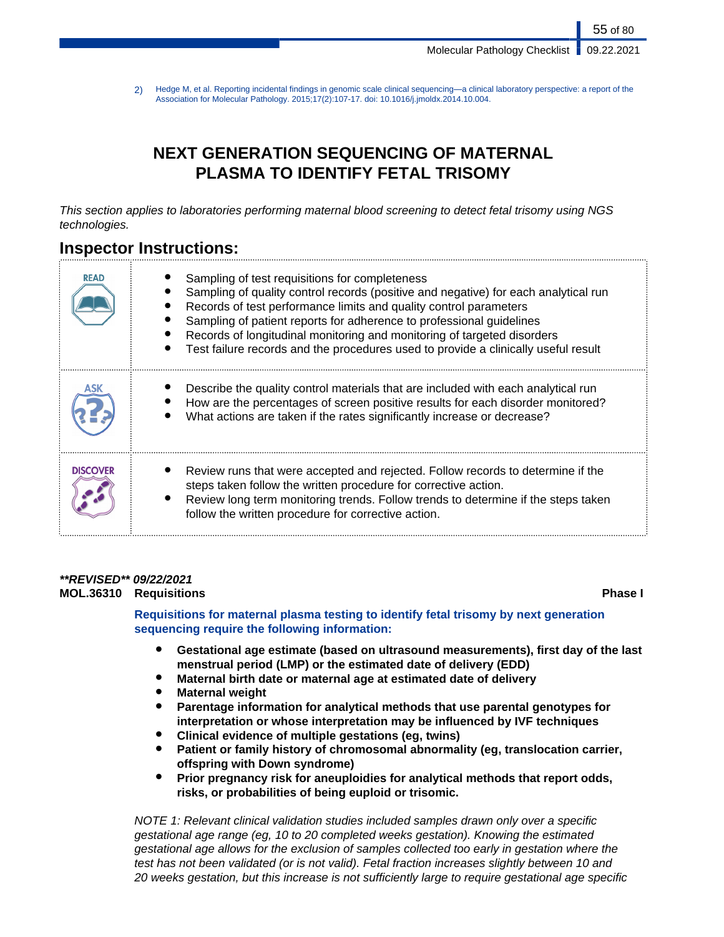2) Hedge M, et al. Reporting incidental findings in genomic scale clinical sequencing—a clinical laboratory perspective: a report of the Association for Molecular Pathology. 2015;17(2):107-17. doi: 10.1016/j.jmoldx.2014.10.004.

# **NEXT GENERATION SEQUENCING OF MATERNAL PLASMA TO IDENTIFY FETAL TRISOMY**

This section applies to laboratories performing maternal blood screening to detect fetal trisomy using NGS technologies.

## **Inspector Instructions:**

| <b>READ</b> | Sampling of test requisitions for completeness<br>Sampling of quality control records (positive and negative) for each analytical run<br>Records of test performance limits and quality control parameters<br>Sampling of patient reports for adherence to professional guidelines<br>Records of longitudinal monitoring and monitoring of targeted disorders<br>Test failure records and the procedures used to provide a clinically useful result |
|-------------|-----------------------------------------------------------------------------------------------------------------------------------------------------------------------------------------------------------------------------------------------------------------------------------------------------------------------------------------------------------------------------------------------------------------------------------------------------|
|             | Describe the quality control materials that are included with each analytical run<br>How are the percentages of screen positive results for each disorder monitored?<br>What actions are taken if the rates significantly increase or decrease?                                                                                                                                                                                                     |
| DISCOVER    | Review runs that were accepted and rejected. Follow records to determine if the<br>steps taken follow the written procedure for corrective action.<br>Review long term monitoring trends. Follow trends to determine if the steps taken<br>follow the written procedure for corrective action.                                                                                                                                                      |

## **\*\*REVISED\*\* 09/22/2021**

**MOL.36310 Requisitions Phase I**

**Requisitions for maternal plasma testing to identify fetal trisomy by next generation sequencing require the following information:**

- Gestational age estimate (based on ultrasound measurements), first day of the last **menstrual period (LMP) or the estimated date of delivery (EDD)**
- **Maternal birth date or maternal age at estimated date of delivery**
- **Maternal weight**
- Parentage information for analytical methods that use parental genotypes for **interpretation or whose interpretation may be influenced by IVF techniques**
- **Clinical evidence of multiple gestations (eg, twins)**
- Patient or family history of chromosomal abnormality (eg, translocation carrier, **offspring with Down syndrome)**
- **Prior pregnancy risk for aneuploidies for analytical methods that report odds, risks, or probabilities of being euploid or trisomic.**

NOTE 1: Relevant clinical validation studies included samples drawn only over a specific gestational age range (eg, 10 to 20 completed weeks gestation). Knowing the estimated gestational age allows for the exclusion of samples collected too early in gestation where the test has not been validated (or is not valid). Fetal fraction increases slightly between 10 and 20 weeks gestation, but this increase is not sufficiently large to require gestational age specific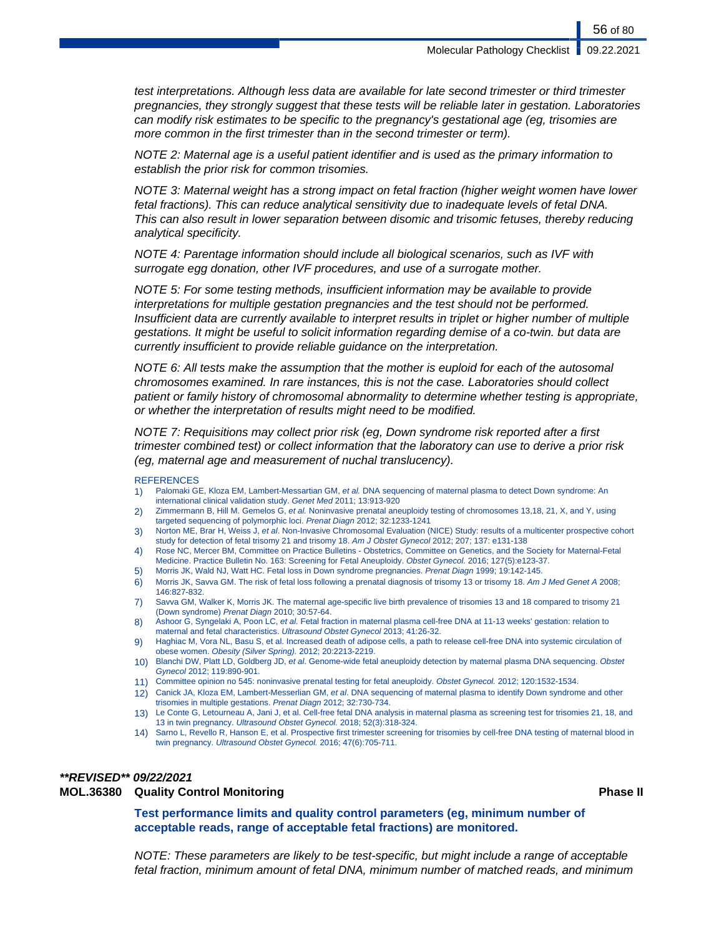test interpretations. Although less data are available for late second trimester or third trimester pregnancies, they strongly suggest that these tests will be reliable later in gestation. Laboratories can modify risk estimates to be specific to the pregnancy's gestational age (eg, trisomies are more common in the first trimester than in the second trimester or term).

NOTE 2: Maternal age is a useful patient identifier and is used as the primary information to establish the prior risk for common trisomies.

NOTE 3: Maternal weight has a strong impact on fetal fraction (higher weight women have lower fetal fractions). This can reduce analytical sensitivity due to inadequate levels of fetal DNA. This can also result in lower separation between disomic and trisomic fetuses, thereby reducing analytical specificity.

NOTE 4: Parentage information should include all biological scenarios, such as IVF with surrogate egg donation, other IVF procedures, and use of a surrogate mother.

NOTE 5: For some testing methods, insufficient information may be available to provide interpretations for multiple gestation pregnancies and the test should not be performed. Insufficient data are currently available to interpret results in triplet or higher number of multiple gestations. It might be useful to solicit information regarding demise of a co-twin. but data are currently insufficient to provide reliable guidance on the interpretation.

NOTE 6: All tests make the assumption that the mother is euploid for each of the autosomal chromosomes examined. In rare instances, this is not the case. Laboratories should collect patient or family history of chromosomal abnormality to determine whether testing is appropriate, or whether the interpretation of results might need to be modified.

NOTE 7: Requisitions may collect prior risk (eg, Down syndrome risk reported after a first trimester combined test) or collect information that the laboratory can use to derive a prior risk (eg, maternal age and measurement of nuchal translucency).

#### **REFERENCES**

- 1) Palomaki GE, Kloza EM, Lambert-Messartian GM, et al. DNA sequencing of maternal plasma to detect Down syndrome: An international clinical validation study. Genet Med 2011; 13:913-920
- 2) Zimmermann B, Hill M. Gemelos G, et al. Noninvasive prenatal aneuploidy testing of chromosomes 13,18, 21, X, and Y, using targeted sequencing of polymorphic loci. Prenat Diagn 2012; 32:1233-1241
- 3) Norton ME, Brar H, Weiss J, et al. Non-Invasive Chromosomal Evaluation (NICE) Study: results of a multicenter prospective cohort study for detection of fetal trisomy 21 and trisomy 18. Am J Obstet Gynecol 2012; 207; 137: e131-138
- 4) Rose NC, Mercer BM, Committee on Practice Bulletins Obstetrics, Committee on Genetics, and the Society for Maternal-Fetal Medicine. Practice Bulletin No. 163: Screening for Fetal Aneuploidy. Obstet Gynecol. 2016; 127(5):e123-37.
- 5) Morris JK, Wald NJ, Watt HC. Fetal loss in Down syndrome pregnancies. Prenat Diagn 1999; 19:142-145.
- 6) Morris JK, Savva GM. The risk of fetal loss following a prenatal diagnosis of trisomy 13 or trisomy 18. Am J Med Genet A 2008; 146:827-832.
- 7) Savva GM, Walker K, Morris JK. The maternal age-specific live birth prevalence of trisomies 13 and 18 compared to trisomy 21 (Down syndrome) Prenat Diagn 2010; 30:57-64.
- 8) Ashoor G, Syngelaki A, Poon LC, et al. Fetal fraction in maternal plasma cell-free DNA at 11-13 weeks' gestation: relation to maternal and fetal characteristics. Ultrasound Obstet Gynecol 2013; 41:26-32.
- Haghiac M, Vora NL, Basu S, et al. Increased death of adipose cells, a path to release cell-free DNA into systemic circulation of obese women. Obesity (Silver Spring). 2012; 20:2213-2219.
- 10) Blanchi DW, Platt LD, Goldberg JD, et al. Genome-wide fetal aneuploidy detection by maternal plasma DNA sequencing. Obstet Gynecol 2012; 119:890-901.
- 11) Committee opinion no 545: noninvasive prenatal testing for fetal aneuploidy. Obstet Gynecol. 2012; 120:1532-1534.
- 12) Canick JA, Kloza EM, Lambert-Messerlian GM, et al. DNA sequencing of maternal plasma to identify Down syndrome and other trisomies in multiple gestations. Prenat Diagn 2012; 32:730-734.
- 13) Le Conte G, Letourneau A, Jani J, et al. Cell-free fetal DNA analysis in maternal plasma as screening test for trisomies 21, 18, and 13 in twin pregnancy. Ultrasound Obstet Gynecol. 2018; 52(3):318-324.
- 14) Sarno L, Revello R, Hanson E, et al. Prospective first trimester screening for trisomies by cell-free DNA testing of maternal blood in twin pregnancy. Ultrasound Obstet Gynecol. 2016; 47(6):705-711.

#### **\*\*REVISED\*\* 09/22/2021**

#### **MOL.36380 Quality Control Monitoring Phase II**

**Test performance limits and quality control parameters (eg, minimum number of acceptable reads, range of acceptable fetal fractions) are monitored.**

NOTE: These parameters are likely to be test-specific, but might include a range of acceptable fetal fraction, minimum amount of fetal DNA, minimum number of matched reads, and minimum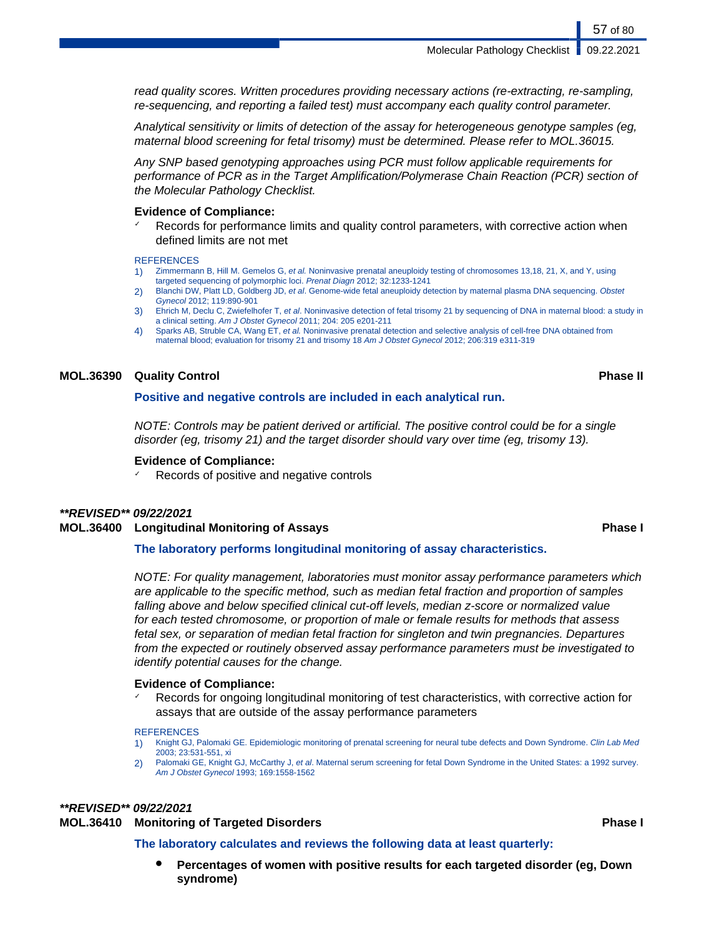read quality scores. Written procedures providing necessary actions (re-extracting, re-sampling, re-sequencing, and reporting a failed test) must accompany each quality control parameter.

Analytical sensitivity or limits of detection of the assay for heterogeneous genotype samples (eg, maternal blood screening for fetal trisomy) must be determined. Please refer to MOL.36015.

Any SNP based genotyping approaches using PCR must follow applicable requirements for performance of PCR as in the Target Amplification/Polymerase Chain Reaction (PCR) section of the Molecular Pathology Checklist.

#### **Evidence of Compliance:**

Records for performance limits and quality control parameters, with corrective action when defined limits are not met

#### **REFERENCES**

- 1) Zimmermann B, Hill M. Gemelos G, et al. Noninvasive prenatal aneuploidy testing of chromosomes 13,18, 21, X, and Y, using targeted sequencing of polymorphic loci. Prenat Diagn 2012; 32:1233-1241
- 2) Blanchi DW, Platt LD, Goldberg JD, et al. Genome-wide fetal aneuploidy detection by maternal plasma DNA sequencing. Obstet Gynecol 2012; 119:890-901
- 3) Ehrich M, Declu C, Zwiefelhofer T, et al. Noninvasive detection of fetal trisomy 21 by sequencing of DNA in maternal blood: a study in a clinical setting. Am J Obstet Gynecol 2011; 204: 205 e201-211
- 4) Sparks AB, Struble CA, Wang ET, et al. Noninvasive prenatal detection and selective analysis of cell-free DNA obtained from maternal blood; evaluation for trisomy 21 and trisomy 18 Am J Obstet Gynecol 2012; 206:319 e311-319

### **MOL.36390 Quality Control Phase II**

### **Positive and negative controls are included in each analytical run.**

NOTE: Controls may be patient derived or artificial. The positive control could be for a single disorder (eg, trisomy 21) and the target disorder should vary over time (eg, trisomy 13).

#### **Evidence of Compliance:**

Records of positive and negative controls

### **\*\*REVISED\*\* 09/22/2021**

#### **MOL.36400 Longitudinal Monitoring of Assays Phase I**

### **The laboratory performs longitudinal monitoring of assay characteristics.**

NOTE: For quality management, laboratories must monitor assay performance parameters which are applicable to the specific method, such as median fetal fraction and proportion of samples falling above and below specified clinical cut-off levels, median z-score or normalized value for each tested chromosome, or proportion of male or female results for methods that assess fetal sex, or separation of median fetal fraction for singleton and twin pregnancies. Departures from the expected or routinely observed assay performance parameters must be investigated to identify potential causes for the change.

#### **Evidence of Compliance:**

Records for ongoing longitudinal monitoring of test characteristics, with corrective action for assays that are outside of the assay performance parameters

#### **REFERENCES**

- 1) Knight GJ, Palomaki GE. Epidemiologic monitoring of prenatal screening for neural tube defects and Down Syndrome. Clin Lab Med 2003; 23:531-551, xi
- 2) Palomaki GE, Knight GJ, McCarthy J, et al. Maternal serum screening for fetal Down Syndrome in the United States: a 1992 survey. Am J Obstet Gynecol 1993; 169:1558-1562

### **\*\*REVISED\*\* 09/22/2021**

#### **MOL.36410 Monitoring of Targeted Disorders Phase I**

#### **The laboratory calculates and reviews the following data at least quarterly:**

Percentages of women with positive results for each targeted disorder (eg, Down **syndrome)**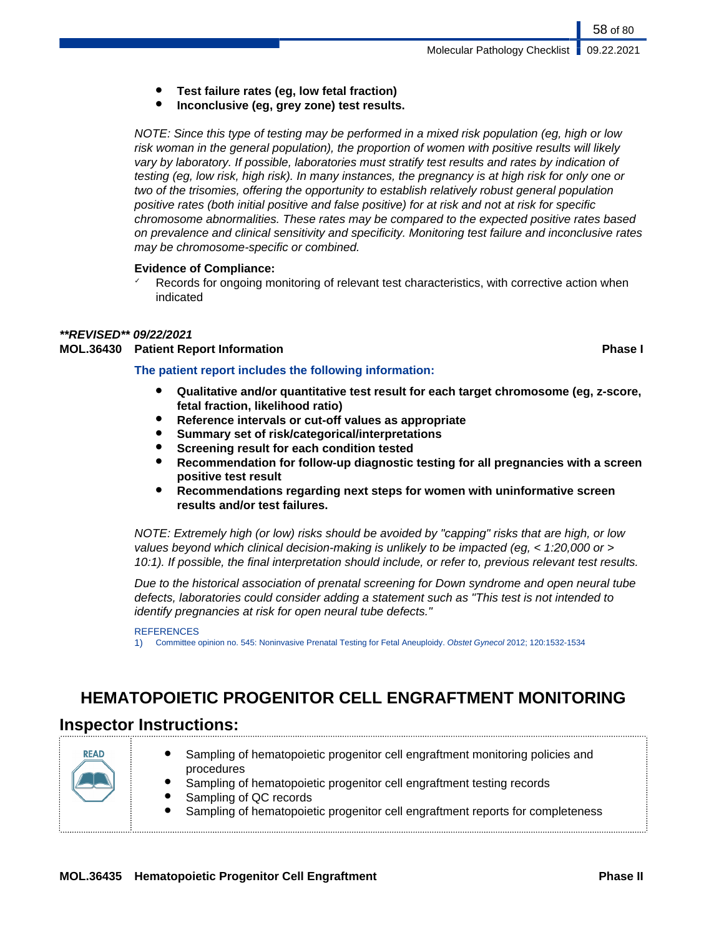- **Test failure rates (eg, low fetal fraction)**
- **Inconclusive (eg, grey zone) test results.**

NOTE: Since this type of testing may be performed in a mixed risk population (eg, high or low risk woman in the general population), the proportion of women with positive results will likely vary by laboratory. If possible, laboratories must stratify test results and rates by indication of testing (eg, low risk, high risk). In many instances, the pregnancy is at high risk for only one or two of the trisomies, offering the opportunity to establish relatively robust general population positive rates (both initial positive and false positive) for at risk and not at risk for specific chromosome abnormalities. These rates may be compared to the expected positive rates based on prevalence and clinical sensitivity and specificity. Monitoring test failure and inconclusive rates may be chromosome-specific or combined.

### **Evidence of Compliance:**

 $\checkmark$  Records for ongoing monitoring of relevant test characteristics, with corrective action when indicated

## **\*\*REVISED\*\* 09/22/2021**

## **MOL.36430 Patient Report Information Phase I**

- **The patient report includes the following information:**
	- **Qualitative and/or quantitative test result for each target chromosome (eg, z-score, fetal fraction, likelihood ratio)**
	- Reference intervals or cut-off values as appropriate
	- **Summary set of risk/categorical/interpretations**
	- **Screening result for each condition tested**
	- **Recommendation for follow-up diagnostic testing for all pregnancies with a screen positive test result**
	- **Recommendations regarding next steps for women with uninformative screen results and/or test failures.**

NOTE: Extremely high (or low) risks should be avoided by "capping" risks that are high, or low values beyond which clinical decision-making is unlikely to be impacted (eg, < 1:20,000 or > 10:1). If possible, the final interpretation should include, or refer to, previous relevant test results.

Due to the historical association of prenatal screening for Down syndrome and open neural tube defects, laboratories could consider adding a statement such as "This test is not intended to identify pregnancies at risk for open neural tube defects."

### **REFERENCES**

1) Committee opinion no. 545: Noninvasive Prenatal Testing for Fetal Aneuploidy. Obstet Gynecol 2012; 120:1532-1534

# **HEMATOPOIETIC PROGENITOR CELL ENGRAFTMENT MONITORING**

## **Inspector Instructions:**

| <b>READ</b> | Sampling of hematopoietic progenitor cell engraftment monitoring policies and<br>procedures<br>Sampling of hematopoietic progenitor cell engraftment testing records<br>Sampling of QC records<br>Sampling of hematopoietic progenitor cell engraftment reports for completeness |
|-------------|----------------------------------------------------------------------------------------------------------------------------------------------------------------------------------------------------------------------------------------------------------------------------------|
|-------------|----------------------------------------------------------------------------------------------------------------------------------------------------------------------------------------------------------------------------------------------------------------------------------|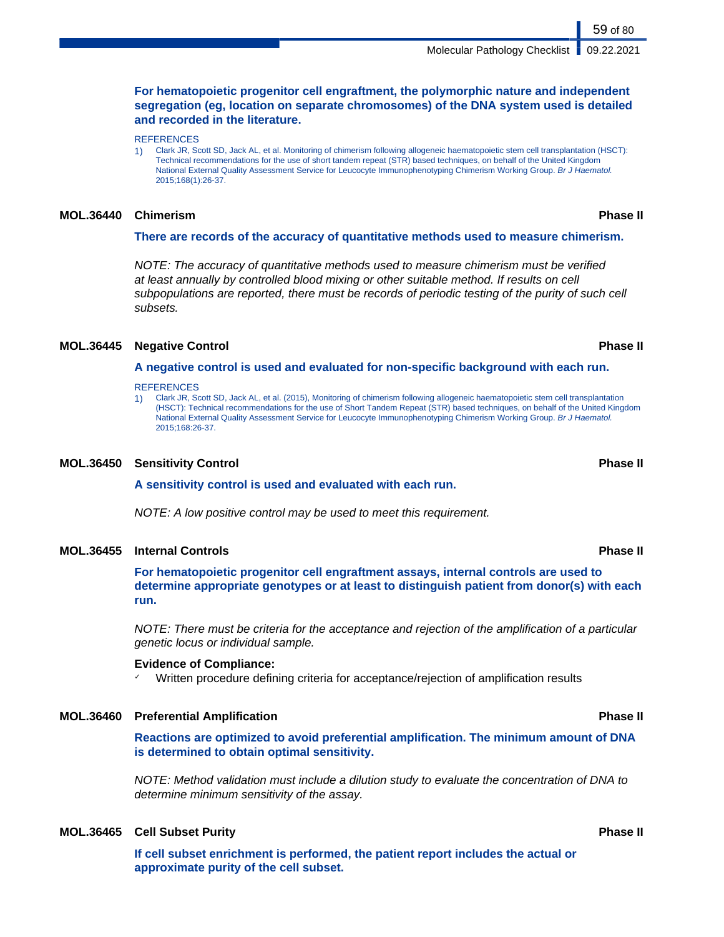**For hematopoietic progenitor cell engraftment, the polymorphic nature and independent segregation (eg, location on separate chromosomes) of the DNA system used is detailed and recorded in the literature.**

**REFERENCES** 

1) Clark JR, Scott SD, Jack AL, et al. Monitoring of chimerism following allogeneic haematopoietic stem cell transplantation (HSCT): Technical recommendations for the use of short tandem repeat (STR) based techniques, on behalf of the United Kingdom National External Quality Assessment Service for Leucocyte Immunophenotyping Chimerism Working Group. Br J Haematol. 2015;168(1):26-37.

#### **MOL.36440 Chimerism Phase II**

#### **There are records of the accuracy of quantitative methods used to measure chimerism.**

NOTE: The accuracy of quantitative methods used to measure chimerism must be verified at least annually by controlled blood mixing or other suitable method. If results on cell subpopulations are reported, there must be records of periodic testing of the purity of such cell subsets.

#### **MOL.36445 Negative Control Phase II**

#### **A negative control is used and evaluated for non-specific background with each run.**

#### **REFERENCES**

1) Clark JR, Scott SD, Jack AL, et al. (2015), Monitoring of chimerism following allogeneic haematopoietic stem cell transplantation (HSCT): Technical recommendations for the use of Short Tandem Repeat (STR) based techniques, on behalf of the United Kingdom National External Quality Assessment Service for Leucocyte Immunophenotyping Chimerism Working Group. Br J Haematol. 2015;168:26-37.

#### **MOL.36450 Sensitivity Control Phase II**

**A sensitivity control is used and evaluated with each run.**

NOTE: A low positive control may be used to meet this requirement.

#### **MOL.36455 Internal Controls Phase II**

**For hematopoietic progenitor cell engraftment assays, internal controls are used to determine appropriate genotypes or at least to distinguish patient from donor(s) with each run.**

NOTE: There must be criteria for the acceptance and rejection of the amplification of a particular genetic locus or individual sample.

#### **Evidence of Compliance:**

Written procedure defining criteria for acceptance/rejection of amplification results

#### **MOL.36460 Preferential Amplification Phase II**

**Reactions are optimized to avoid preferential amplification. The minimum amount of DNA is determined to obtain optimal sensitivity.**

NOTE: Method validation must include a dilution study to evaluate the concentration of DNA to determine minimum sensitivity of the assay.

### **MOL.36465 Cell Subset Purity Phase II**

**If cell subset enrichment is performed, the patient report includes the actual or approximate purity of the cell subset.**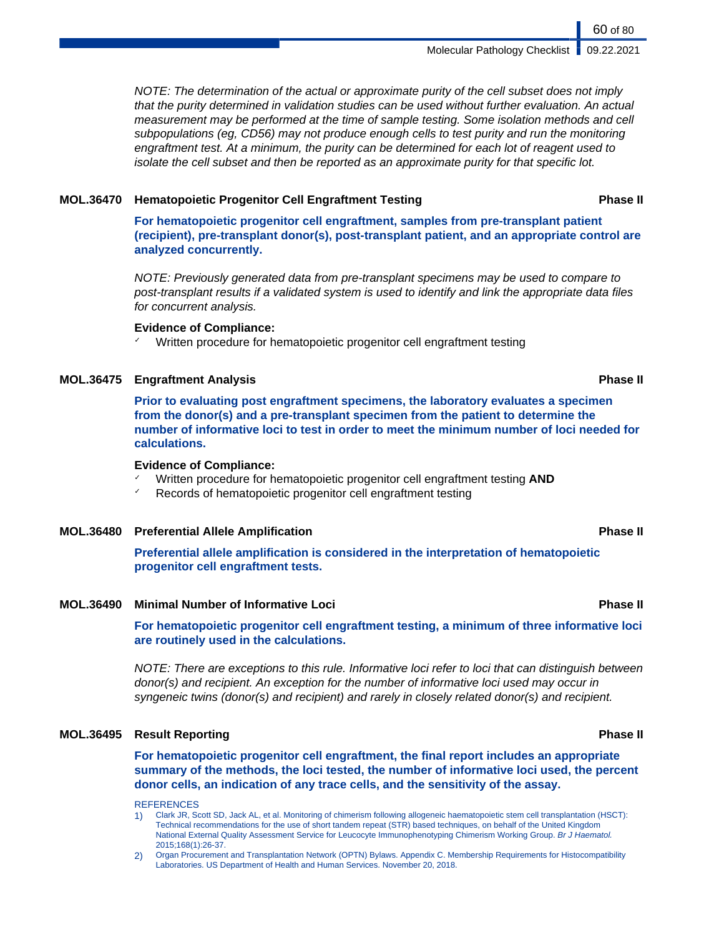NOTE: The determination of the actual or approximate purity of the cell subset does not imply that the purity determined in validation studies can be used without further evaluation. An actual measurement may be performed at the time of sample testing. Some isolation methods and cell subpopulations (eg, CD56) may not produce enough cells to test purity and run the monitoring engraftment test. At a minimum, the purity can be determined for each lot of reagent used to isolate the cell subset and then be reported as an approximate purity for that specific lot.

#### **MOL.36470 Hematopoietic Progenitor Cell Engraftment Testing Phase II**

**For hematopoietic progenitor cell engraftment, samples from pre-transplant patient (recipient), pre-transplant donor(s), post-transplant patient, and an appropriate control are analyzed concurrently.**

NOTE: Previously generated data from pre-transplant specimens may be used to compare to post-transplant results if a validated system is used to identify and link the appropriate data files for concurrent analysis.

#### **Evidence of Compliance:**

Written procedure for hematopoietic progenitor cell engraftment testing

### **MOL.36475 Engraftment Analysis Phase II**

**Prior to evaluating post engraftment specimens, the laboratory evaluates a specimen from the donor(s) and a pre-transplant specimen from the patient to determine the number of informative loci to test in order to meet the minimum number of loci needed for calculations.**

#### **Evidence of Compliance:**

- ✓ Written procedure for hematopoietic progenitor cell engraftment testing **AND**
- ✓ Records of hematopoietic progenitor cell engraftment testing

#### **MOL.36480 Preferential Allele Amplification Phase II**

**Preferential allele amplification is considered in the interpretation of hematopoietic progenitor cell engraftment tests.**

**MOL.36490 Minimal Number of Informative Loci Phase II**

**For hematopoietic progenitor cell engraftment testing, a minimum of three informative loci are routinely used in the calculations.**

NOTE: There are exceptions to this rule. Informative loci refer to loci that can distinguish between donor(s) and recipient. An exception for the number of informative loci used may occur in syngeneic twins (donor(s) and recipient) and rarely in closely related donor(s) and recipient.

#### **MOL.36495 Result Reporting Phase II**

**For hematopoietic progenitor cell engraftment, the final report includes an appropriate summary of the methods, the loci tested, the number of informative loci used, the percent donor cells, an indication of any trace cells, and the sensitivity of the assay.**

#### **REFERENCES**

1) Clark JR, Scott SD, Jack AL, et al. Monitoring of chimerism following allogeneic haematopoietic stem cell transplantation (HSCT): Technical recommendations for the use of short tandem repeat (STR) based techniques, on behalf of the United Kingdom National External Quality Assessment Service for Leucocyte Immunophenotyping Chimerism Working Group. Br J Haematol. 2015;168(1):26-37.

2) Organ Procurement and Transplantation Network (OPTN) Bylaws. Appendix C. Membership Requirements for Histocompatibility Laboratories. US Department of Health and Human Services. November 20, 2018.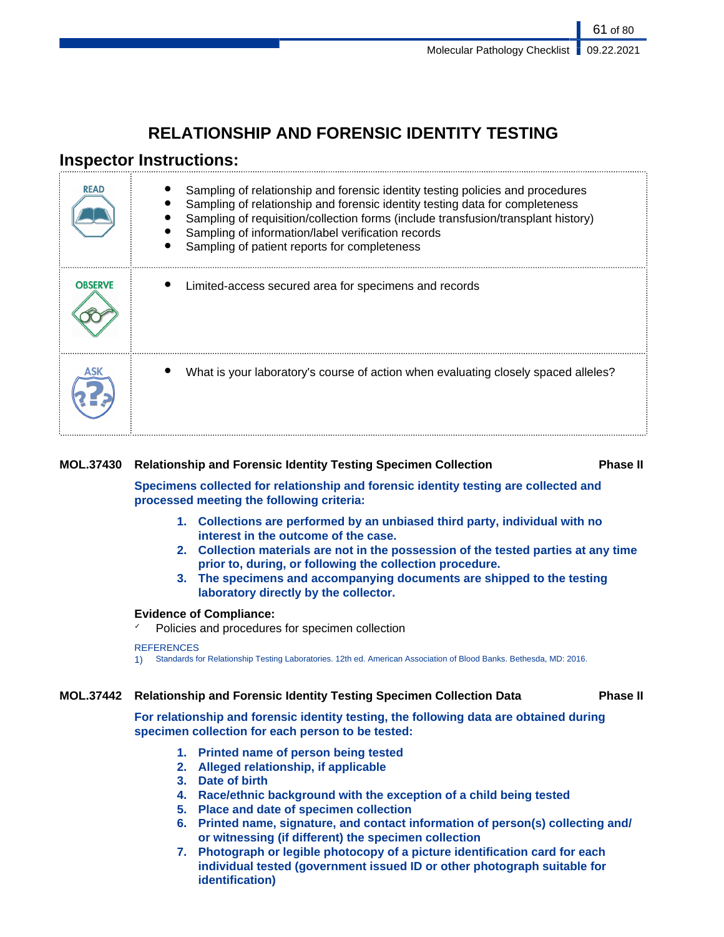# **RELATIONSHIP AND FORENSIC IDENTITY TESTING**

## **Inspector Instructions:**

| <b>READ</b>    | Sampling of relationship and forensic identity testing policies and procedures<br>Sampling of relationship and forensic identity testing data for completeness<br>Sampling of requisition/collection forms (include transfusion/transplant history)<br>Sampling of information/label verification records<br>Sampling of patient reports for completeness |
|----------------|-----------------------------------------------------------------------------------------------------------------------------------------------------------------------------------------------------------------------------------------------------------------------------------------------------------------------------------------------------------|
| <b>OBSERVE</b> | Limited-access secured area for specimens and records                                                                                                                                                                                                                                                                                                     |
|                | What is your laboratory's course of action when evaluating closely spaced alleles?                                                                                                                                                                                                                                                                        |

### **MOL.37430 Relationship and Forensic Identity Testing Specimen Collection Phase II**

**Specimens collected for relationship and forensic identity testing are collected and processed meeting the following criteria:**

- **1. Collections are performed by an unbiased third party, individual with no interest in the outcome of the case.**
- **2. Collection materials are not in the possession of the tested parties at any time prior to, during, or following the collection procedure.**
- **3. The specimens and accompanying documents are shipped to the testing laboratory directly by the collector.**

### **Evidence of Compliance:**

Policies and procedures for specimen collection

#### **REFERENCES**

1) Standards for Relationship Testing Laboratories. 12th ed. American Association of Blood Banks. Bethesda, MD: 2016.

### **MOL.37442 Relationship and Forensic Identity Testing Specimen Collection Data Phase II**

**For relationship and forensic identity testing, the following data are obtained during specimen collection for each person to be tested:**

- **1. Printed name of person being tested**
- **2. Alleged relationship, if applicable**
- **3. Date of birth**
- **4. Race/ethnic background with the exception of a child being tested**
- **5. Place and date of specimen collection**
- **6. Printed name, signature, and contact information of person(s) collecting and/ or witnessing (if different) the specimen collection**
- **7. Photograph or legible photocopy of a picture identification card for each individual tested (government issued ID or other photograph suitable for identification)**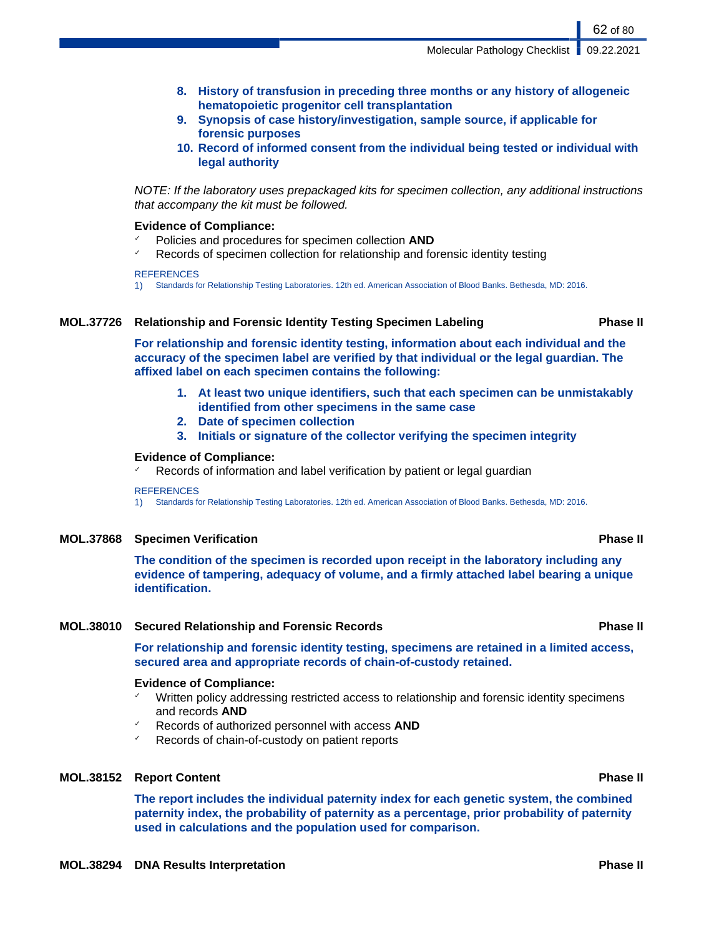- **8. History of transfusion in preceding three months or any history of allogeneic hematopoietic progenitor cell transplantation**
- **9. Synopsis of case history/investigation, sample source, if applicable for forensic purposes**
- **10. Record of informed consent from the individual being tested or individual with legal authority**

NOTE: If the laboratory uses prepackaged kits for specimen collection, any additional instructions that accompany the kit must be followed.

#### **Evidence of Compliance:**

- ✓ Policies and procedures for specimen collection **AND**
- Records of specimen collection for relationship and forensic identity testing

**REFERENCES** 

1) Standards for Relationship Testing Laboratories. 12th ed. American Association of Blood Banks. Bethesda, MD: 2016.

#### **MOL.37726 Relationship and Forensic Identity Testing Specimen Labeling Phase II**

**For relationship and forensic identity testing, information about each individual and the accuracy of the specimen label are verified by that individual or the legal guardian. The affixed label on each specimen contains the following:**

- **1. At least two unique identifiers, such that each specimen can be unmistakably identified from other specimens in the same case**
- **2. Date of specimen collection**
- **3. Initials or signature of the collector verifying the specimen integrity**

#### **Evidence of Compliance:**

Records of information and label verification by patient or legal guardian

#### **REFERENCES**

1) Standards for Relationship Testing Laboratories. 12th ed. American Association of Blood Banks. Bethesda, MD: 2016.

#### **MOL.37868 Specimen Verification Phase II**

**The condition of the specimen is recorded upon receipt in the laboratory including any evidence of tampering, adequacy of volume, and a firmly attached label bearing a unique identification.**

#### **MOL.38010 Secured Relationship and Forensic Records Phase II**

**For relationship and forensic identity testing, specimens are retained in a limited access, secured area and appropriate records of chain-of-custody retained.**

#### **Evidence of Compliance:**

- Written policy addressing restricted access to relationship and forensic identity specimens and records **AND**
- ✓ Records of authorized personnel with access **AND**
- ✓ Records of chain-of-custody on patient reports

#### **MOL.38152 Report Content Phase II**

**The report includes the individual paternity index for each genetic system, the combined paternity index, the probability of paternity as a percentage, prior probability of paternity used in calculations and the population used for comparison.**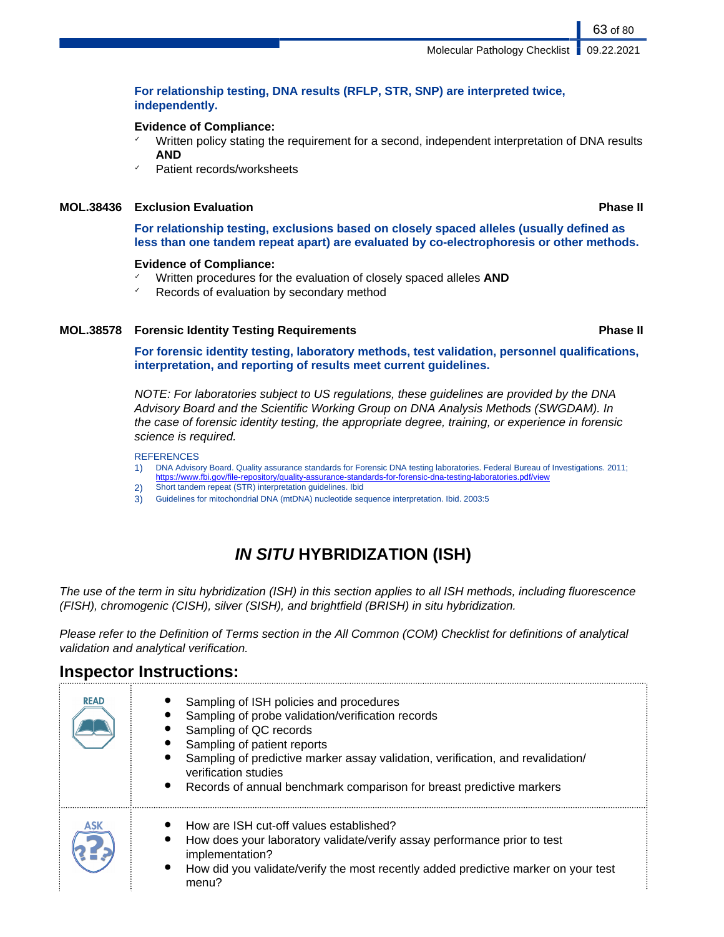### **For relationship testing, DNA results (RFLP, STR, SNP) are interpreted twice, independently.**

### **Evidence of Compliance:**

- $\checkmark$  Written policy stating the requirement for a second, independent interpretation of DNA results **AND**
- Patient records/worksheets

### **MOL.38436 Exclusion Evaluation Phase II**

**For relationship testing, exclusions based on closely spaced alleles (usually defined as less than one tandem repeat apart) are evaluated by co-electrophoresis or other methods.**

#### **Evidence of Compliance:**

- ✓ Written procedures for the evaluation of closely spaced alleles **AND**
- ✓ Records of evaluation by secondary method

### **MOL.38578 Forensic Identity Testing Requirements Phase II**

**For forensic identity testing, laboratory methods, test validation, personnel qualifications, interpretation, and reporting of results meet current guidelines.**

NOTE: For laboratories subject to US regulations, these guidelines are provided by the DNA Advisory Board and the Scientific Working Group on DNA Analysis Methods (SWGDAM). In the case of forensic identity testing, the appropriate degree, training, or experience in forensic science is required.

#### **REFERENCES**

- 1) DNA Advisory Board. Quality assurance standards for Forensic DNA testing laboratories. Federal Bureau of Investigations. 2011; <https://www.fbi.gov/file-repository/quality-assurance-standards-for-forensic-dna-testing-laboratories.pdf/view>
- 2) Short tandem repeat (STR) interpretation guidelines. Ibid
- 3) Guidelines for mitochondrial DNA (mtDNA) nucleotide sequence interpretation. Ibid. 2003:5

# **IN SITU HYBRIDIZATION (ISH)**

The use of the term in situ hybridization (ISH) in this section applies to all ISH methods, including fluorescence (FISH), chromogenic (CISH), silver (SISH), and brightfield (BRISH) in situ hybridization.

Please refer to the Definition of Terms section in the All Common (COM) Checklist for definitions of analytical validation and analytical verification.

## **Inspector Instructions:**

| <b>READ</b> | Sampling of ISH policies and procedures<br>Sampling of probe validation/verification records<br>Sampling of QC records<br>Sampling of patient reports<br>Sampling of predictive marker assay validation, verification, and revalidation/<br>verification studies<br>Records of annual benchmark comparison for breast predictive markers<br>$\bullet$ |
|-------------|-------------------------------------------------------------------------------------------------------------------------------------------------------------------------------------------------------------------------------------------------------------------------------------------------------------------------------------------------------|
| ASK         | How are ISH cut-off values established?<br>How does your laboratory validate/verify assay performance prior to test<br>implementation?<br>How did you validate/verify the most recently added predictive marker on your test<br>menu?                                                                                                                 |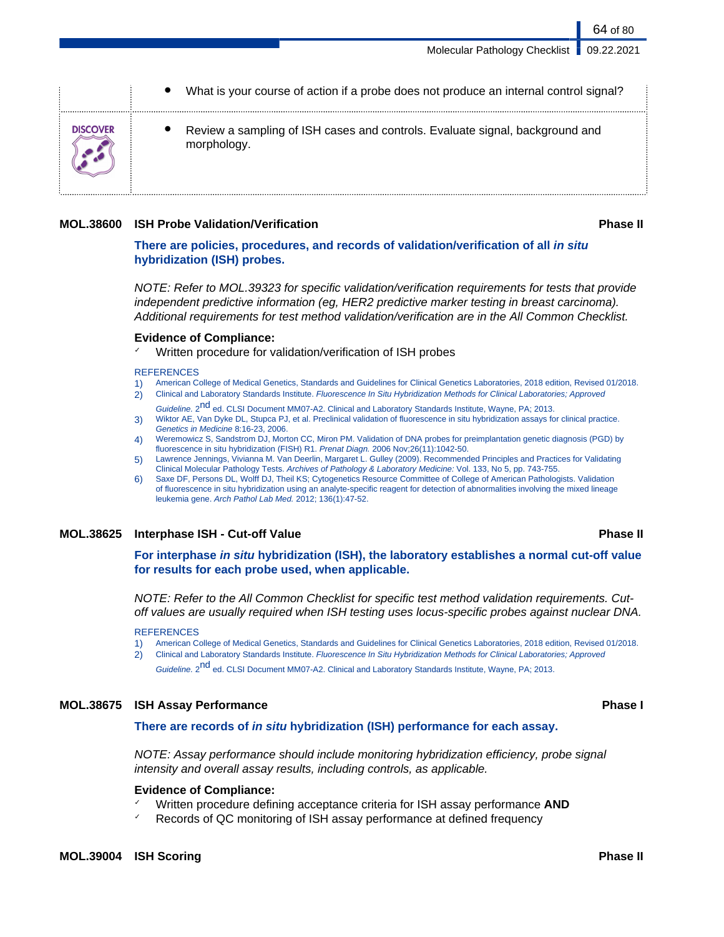|                 | What is your course of action if a probe does not produce an internal control signal?       |
|-----------------|---------------------------------------------------------------------------------------------|
| <b>DISCOVER</b> | Review a sampling of ISH cases and controls. Evaluate signal, background and<br>morphology. |

#### **MOL.38600 ISH Probe Validation/Verification Phase II**

**There are policies, procedures, and records of validation/verification of all in situ hybridization (ISH) probes.**

NOTE: Refer to MOL.39323 for specific validation/verification requirements for tests that provide independent predictive information (eg, HER2 predictive marker testing in breast carcinoma). Additional requirements for test method validation/verification are in the All Common Checklist.

#### **Evidence of Compliance:**

Written procedure for validation/verification of ISH probes

#### **REFERENCES**

- 1) American College of Medical Genetics, Standards and Guidelines for Clinical Genetics Laboratories, 2018 edition, Revised 01/2018.
- 2) Clinical and Laboratory Standards Institute. Fluorescence In Situ Hybridization Methods for Clinical Laboratories; Approved Guideline. 2<sup>nd</sup> ed. CLSI Document MM07-A2. Clinical and Laboratory Standards Institute, Wayne, PA; 2013.
- 3) Wiktor AE, Van Dyke DL, Stupca PJ, et al. Preclinical validation of fluorescence in situ hybridization assays for clinical practice. Genetics in Medicine 8:16-23, 2006.
- 4) Weremowicz S, Sandstrom DJ, Morton CC, Miron PM. Validation of DNA probes for preimplantation genetic diagnosis (PGD) by fluorescence in situ hybridization (FISH) R1. Prenat Diagn. 2006 Nov;26(11):1042-50.
- 5) Lawrence Jennings, Vivianna M. Van Deerlin, Margaret L. Gulley (2009). Recommended Principles and Practices for Validating Clinical Molecular Pathology Tests. Archives of Pathology & Laboratory Medicine: Vol. 133, No 5, pp. 743-755.
- 6) Saxe DF, Persons DL, Wolff DJ, Theil KS; Cytogenetics Resource Committee of College of American Pathologists. Validation of fluorescence in situ hybridization using an analyte-specific reagent for detection of abnormalities involving the mixed lineage leukemia gene. Arch Pathol Lab Med. 2012; 136(1):47-52.

#### **MOL.38625 Interphase ISH - Cut-off Value Phase II**

**For interphase in situ hybridization (ISH), the laboratory establishes a normal cut-off value for results for each probe used, when applicable.**

NOTE: Refer to the All Common Checklist for specific test method validation requirements. Cutoff values are usually required when ISH testing uses locus-specific probes against nuclear DNA.

#### **REFERENCES**

1) American College of Medical Genetics, Standards and Guidelines for Clinical Genetics Laboratories, 2018 edition, Revised 01/2018.

2) Clinical and Laboratory Standards Institute. Fluorescence In Situ Hybridization Methods for Clinical Laboratories; Approved Guideline. 2<sup>nd</sup> ed. CLSI Document MM07-A2. Clinical and Laboratory Standards Institute, Wayne, PA; 2013.

#### **MOL.38675 ISH Assay Performance Phase I**

#### **There are records of in situ hybridization (ISH) performance for each assay.**

NOTE: Assay performance should include monitoring hybridization efficiency, probe signal intensity and overall assay results, including controls, as applicable.

#### **Evidence of Compliance:**

- ✓ Written procedure defining acceptance criteria for ISH assay performance **AND**
- ✓ Records of QC monitoring of ISH assay performance at defined frequency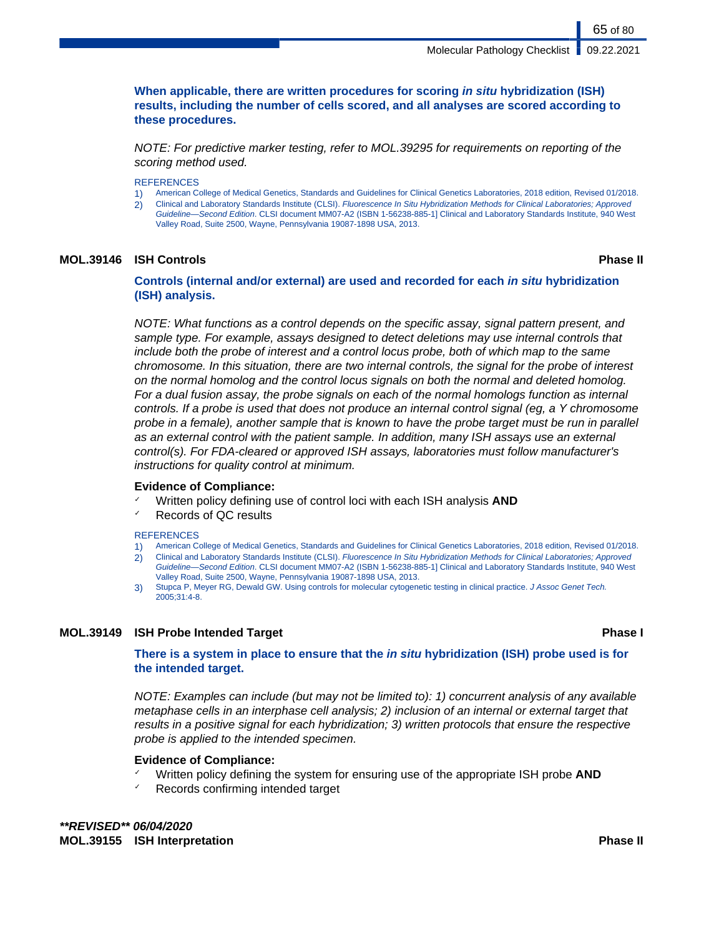**When applicable, there are written procedures for scoring in situ hybridization (ISH) results, including the number of cells scored, and all analyses are scored according to these procedures.**

NOTE: For predictive marker testing, refer to MOL.39295 for requirements on reporting of the scoring method used.

#### **REFERENCES**

- 1) American College of Medical Genetics, Standards and Guidelines for Clinical Genetics Laboratories, 2018 edition, Revised 01/2018.
- 2) Clinical and Laboratory Standards Institute (CLSI). Fluorescence In Situ Hybridization Methods for Clinical Laboratories; Approved Guideline—Second Edition. CLSI document MM07-A2 (ISBN 1-56238-885-1] Clinical and Laboratory Standards Institute, 940 West Valley Road, Suite 2500, Wayne, Pennsylvania 19087-1898 USA, 2013.

#### **MOL.39146 ISH Controls Phase II**

65 of 80

**Controls (internal and/or external) are used and recorded for each in situ hybridization (ISH) analysis.**

NOTE: What functions as a control depends on the specific assay, signal pattern present, and sample type. For example, assays designed to detect deletions may use internal controls that include both the probe of interest and a control locus probe, both of which map to the same chromosome. In this situation, there are two internal controls, the signal for the probe of interest on the normal homolog and the control locus signals on both the normal and deleted homolog. For a dual fusion assay, the probe signals on each of the normal homologs function as internal controls. If a probe is used that does not produce an internal control signal (eg, a Y chromosome probe in a female), another sample that is known to have the probe target must be run in parallel as an external control with the patient sample. In addition, many ISH assays use an external control(s). For FDA-cleared or approved ISH assays, laboratories must follow manufacturer's instructions for quality control at minimum.

#### **Evidence of Compliance:**

- Written policy defining use of control loci with each ISH analysis **AND**
- Records of QC results

#### **REFERENCES**

- 1) American College of Medical Genetics, Standards and Guidelines for Clinical Genetics Laboratories, 2018 edition, Revised 01/2018.
- 2) Clinical and Laboratory Standards Institute (CLSI). Fluorescence In Situ Hybridization Methods for Clinical Laboratories; Approved Guideline—Second Edition. CLSI document MM07-A2 (ISBN 1-56238-885-1] Clinical and Laboratory Standards Institute, 940 West
- Valley Road, Suite 2500, Wayne, Pennsylvania 19087-1898 USA, 2013. 3) Stupca P, Meyer RG, Dewald GW. Using controls for molecular cytogenetic testing in clinical practice. J Assoc Genet Tech. 2005;31:4-8.

#### **MOL.39149 ISH Probe Intended Target Phase I**

**There is a system in place to ensure that the in situ hybridization (ISH) probe used is for the intended target.**

NOTE: Examples can include (but may not be limited to): 1) concurrent analysis of any available metaphase cells in an interphase cell analysis; 2) inclusion of an internal or external target that results in a positive signal for each hybridization; 3) written protocols that ensure the respective probe is applied to the intended specimen.

#### **Evidence of Compliance:**

- ✓ Written policy defining the system for ensuring use of the appropriate ISH probe **AND**
- $\sqrt{ }$  Records confirming intended target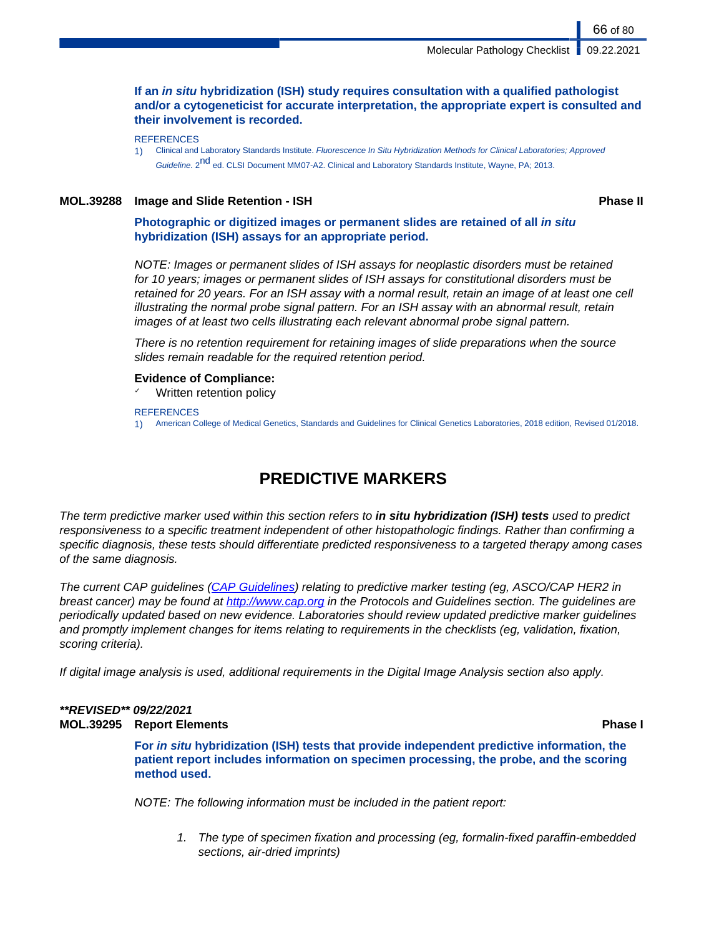### **If an in situ hybridization (ISH) study requires consultation with a qualified pathologist and/or a cytogeneticist for accurate interpretation, the appropriate expert is consulted and their involvement is recorded.**

1) Clinical and Laboratory Standards Institute. Fluorescence In Situ Hybridization Methods for Clinical Laboratories; Approved Guideline. 2<sup>nd</sup> ed. CLSI Document MM07-A2. Clinical and Laboratory Standards Institute, Wayne, PA; 2013.

### **MOL.39288 Image and Slide Retention - ISH Phase II**

66 of 80

**Photographic or digitized images or permanent slides are retained of all in situ hybridization (ISH) assays for an appropriate period.**

NOTE: Images or permanent slides of ISH assays for neoplastic disorders must be retained for 10 years; images or permanent slides of ISH assays for constitutional disorders must be retained for 20 years. For an ISH assay with a normal result, retain an image of at least one cell illustrating the normal probe signal pattern. For an ISH assay with an abnormal result, retain images of at least two cells illustrating each relevant abnormal probe signal pattern.

There is no retention requirement for retaining images of slide preparations when the source slides remain readable for the required retention period.

### **Evidence of Compliance:**

Written retention policy

**REFERENCES** 

1) American College of Medical Genetics, Standards and Guidelines for Clinical Genetics Laboratories, 2018 edition, Revised 01/2018.

# **PREDICTIVE MARKERS**

The term predictive marker used within this section refers to **in situ hybridization (ISH) tests** used to predict responsiveness to a specific treatment independent of other histopathologic findings. Rather than confirming a specific diagnosis, these tests should differentiate predicted responsiveness to a targeted therapy among cases of the same diagnosis.

The current CAP guidelines ([CAP Guidelines](https://www.cap.org/protocols-and-guidelines/current-cap-guidelines)) relating to predictive marker testing (eg, ASCO/CAP HER2 in breast cancer) may be found at <http://www.cap.org> in the Protocols and Guidelines section. The guidelines are periodically updated based on new evidence. Laboratories should review updated predictive marker guidelines and promptly implement changes for items relating to requirements in the checklists (eg, validation, fixation, scoring criteria).

If digital image analysis is used, additional requirements in the Digital Image Analysis section also apply.

### **\*\*REVISED\*\* 09/22/2021 MOL.39295 Report Elements Phase I**

**For in situ hybridization (ISH) tests that provide independent predictive information, the patient report includes information on specimen processing, the probe, and the scoring method used.**

NOTE: The following information must be included in the patient report:

1. The type of specimen fixation and processing (eg, formalin-fixed paraffin-embedded sections, air-dried imprints)

**REFERENCES**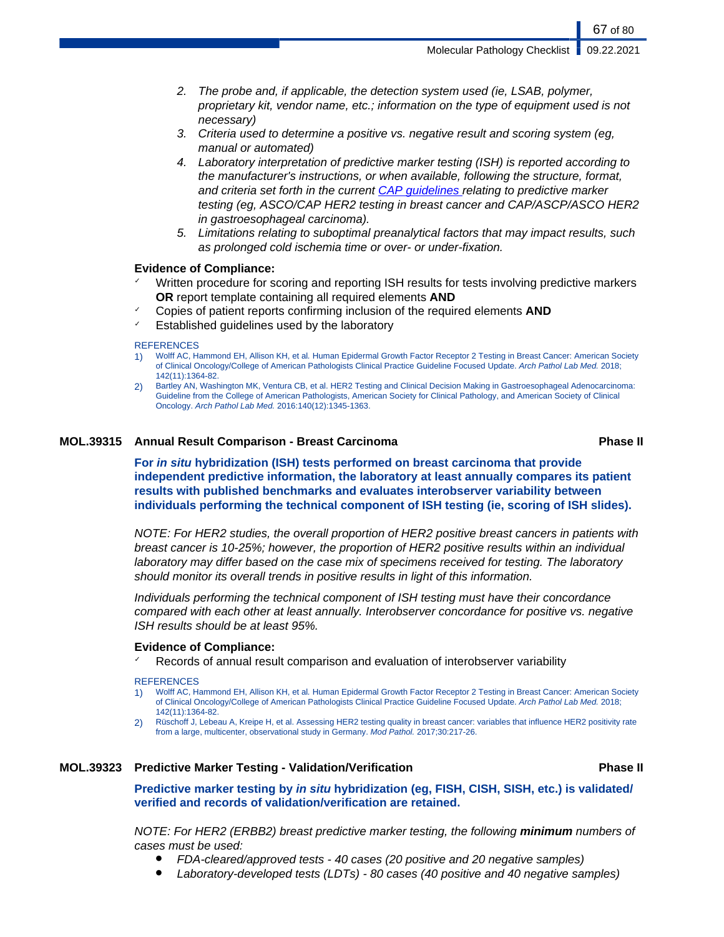- 2. The probe and, if applicable, the detection system used (ie, LSAB, polymer, proprietary kit, vendor name, etc.; information on the type of equipment used is not necessary)
- 3. Criteria used to determine a positive vs. negative result and scoring system (eg, manual or automated)
- 4. Laboratory interpretation of predictive marker testing (ISH) is reported according to the manufacturer's instructions, or when available, following the structure, format, and criteria set forth in the current [CAP guidelines](https://www.cap.org/protocols-and-guidelines/current-cap-guidelines) relating to predictive marker testing (eg, ASCO/CAP HER2 testing in breast cancer and CAP/ASCP/ASCO HER2 in gastroesophageal carcinoma).
- 5. Limitations relating to suboptimal preanalytical factors that may impact results, such as prolonged cold ischemia time or over- or under-fixation.

#### **Evidence of Compliance:**

- Written procedure for scoring and reporting ISH results for tests involving predictive markers **OR** report template containing all required elements **AND**
- ✓ Copies of patient reports confirming inclusion of the required elements **AND**
- Established guidelines used by the laboratory

#### **REFERENCES**

- 1) Wolff AC, Hammond EH, Allison KH, et al. Human Epidermal Growth Factor Receptor 2 Testing in Breast Cancer: American Society of Clinical Oncology/College of American Pathologists Clinical Practice Guideline Focused Update. Arch Pathol Lab Med. 2018; 142(11):1364-82.
- 2) Bartley AN, Washington MK, Ventura CB, et al. HER2 Testing and Clinical Decision Making in Gastroesophageal Adenocarcinoma: Guideline from the College of American Pathologists, American Society for Clinical Pathology, and American Society of Clinical Oncology. Arch Pathol Lab Med. 2016:140(12):1345-1363.

#### **MOL.39315 Annual Result Comparison - Breast Carcinoma Phase II**

**For in situ hybridization (ISH) tests performed on breast carcinoma that provide independent predictive information, the laboratory at least annually compares its patient results with published benchmarks and evaluates interobserver variability between individuals performing the technical component of ISH testing (ie, scoring of ISH slides).**

NOTE: For HER2 studies, the overall proportion of HER2 positive breast cancers in patients with breast cancer is 10-25%; however, the proportion of HER2 positive results within an individual laboratory may differ based on the case mix of specimens received for testing. The laboratory should monitor its overall trends in positive results in light of this information.

Individuals performing the technical component of ISH testing must have their concordance compared with each other at least annually. Interobserver concordance for positive vs. negative ISH results should be at least 95%.

#### **Evidence of Compliance:**

Records of annual result comparison and evaluation of interobserver variability

#### **REFERENCES**

- 1) Wolff AC, Hammond EH, Allison KH, et al. Human Epidermal Growth Factor Receptor 2 Testing in Breast Cancer: American Society of Clinical Oncology/College of American Pathologists Clinical Practice Guideline Focused Update. Arch Pathol Lab Med. 2018; 142(11):1364-82.
- 2) Rüschoff J, Lebeau A, Kreipe H, et al. Assessing HER2 testing quality in breast cancer: variables that influence HER2 positivity rate from a large, multicenter, observational study in Germany. Mod Pathol. 2017;30:217-26.

#### **MOL.39323 Predictive Marker Testing - Validation/Verification Phase II**

**Predictive marker testing by in situ hybridization (eg, FISH, CISH, SISH, etc.) is validated/ verified and records of validation/verification are retained.**

NOTE: For HER2 (ERBB2) breast predictive marker testing, the following **minimum** numbers of cases must be used:

- FDA-cleared/approved tests 40 cases (20 positive and 20 negative samples)
- Laboratory-developed tests (LDTs) 80 cases (40 positive and 40 negative samples)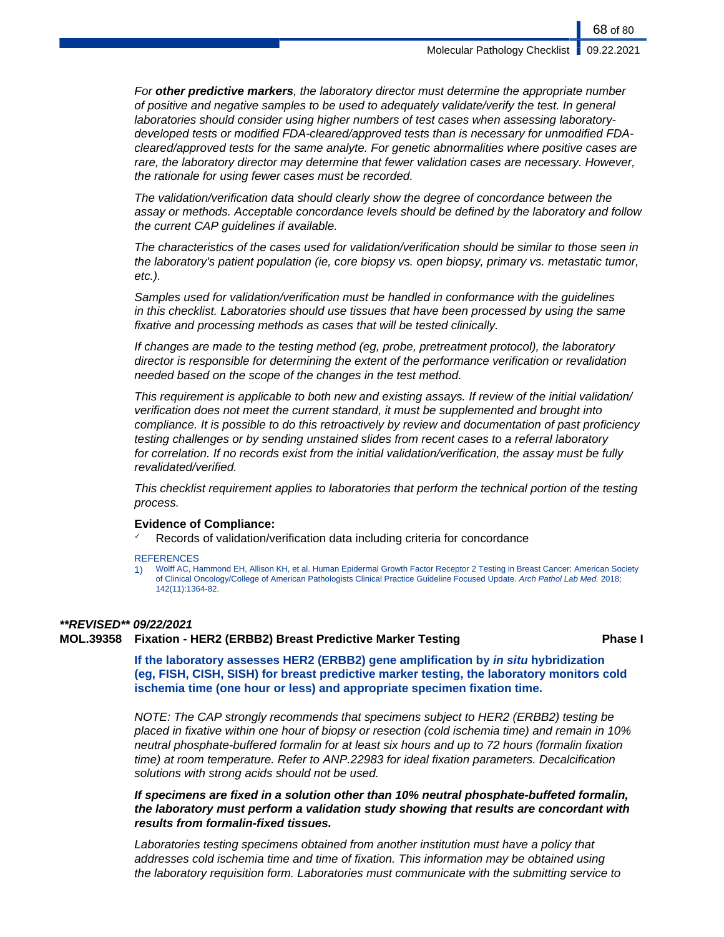For **other predictive markers**, the laboratory director must determine the appropriate number of positive and negative samples to be used to adequately validate/verify the test. In general laboratories should consider using higher numbers of test cases when assessing laboratorydeveloped tests or modified FDA-cleared/approved tests than is necessary for unmodified FDAcleared/approved tests for the same analyte. For genetic abnormalities where positive cases are rare, the laboratory director may determine that fewer validation cases are necessary. However, the rationale for using fewer cases must be recorded.

The validation/verification data should clearly show the degree of concordance between the assay or methods. Acceptable concordance levels should be defined by the laboratory and follow the current CAP guidelines if available.

The characteristics of the cases used for validation/verification should be similar to those seen in the laboratory's patient population (ie, core biopsy vs. open biopsy, primary vs. metastatic tumor, etc.).

Samples used for validation/verification must be handled in conformance with the guidelines in this checklist. Laboratories should use tissues that have been processed by using the same fixative and processing methods as cases that will be tested clinically.

If changes are made to the testing method (eg, probe, pretreatment protocol), the laboratory director is responsible for determining the extent of the performance verification or revalidation needed based on the scope of the changes in the test method.

This requirement is applicable to both new and existing assays. If review of the initial validation/ verification does not meet the current standard, it must be supplemented and brought into compliance. It is possible to do this retroactively by review and documentation of past proficiency testing challenges or by sending unstained slides from recent cases to a referral laboratory for correlation. If no records exist from the initial validation/verification, the assay must be fully revalidated/verified.

This checklist requirement applies to laboratories that perform the technical portion of the testing process.

### **Evidence of Compliance:**

Records of validation/verification data including criteria for concordance

**REFERENCES** 

1) Wolff AC, Hammond EH, Allison KH, et al. Human Epidermal Growth Factor Receptor 2 Testing in Breast Cancer: American Society of Clinical Oncology/College of American Pathologists Clinical Practice Guideline Focused Update. Arch Pathol Lab Med. 2018; 142(11):1364-82.

#### **\*\*REVISED\*\* 09/22/2021**

**MOL.39358 Fixation - HER2 (ERBB2) Breast Predictive Marker Testing Phase I**

**If the laboratory assesses HER2 (ERBB2) gene amplification by in situ hybridization (eg, FISH, CISH, SISH) for breast predictive marker testing, the laboratory monitors cold ischemia time (one hour or less) and appropriate specimen fixation time.**

NOTE: The CAP strongly recommends that specimens subject to HER2 (ERBB2) testing be placed in fixative within one hour of biopsy or resection (cold ischemia time) and remain in 10% neutral phosphate-buffered formalin for at least six hours and up to 72 hours (formalin fixation time) at room temperature. Refer to ANP.22983 for ideal fixation parameters. Decalcification solutions with strong acids should not be used.

**If specimens are fixed in a solution other than 10% neutral phosphate-buffeted formalin, the laboratory must perform a validation study showing that results are concordant with results from formalin-fixed tissues.**

Laboratories testing specimens obtained from another institution must have a policy that addresses cold ischemia time and time of fixation. This information may be obtained using the laboratory requisition form. Laboratories must communicate with the submitting service to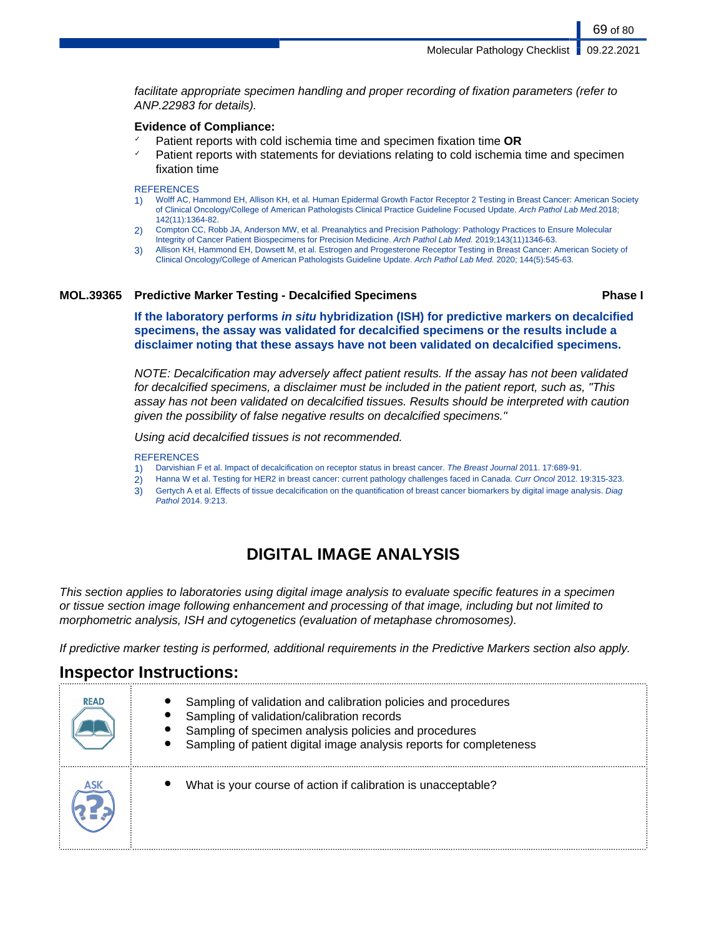facilitate appropriate specimen handling and proper recording of fixation parameters (refer to ANP.22983 for details).

### **Evidence of Compliance:**

- ✓ Patient reports with cold ischemia time and specimen fixation time **OR**
- $\gamma$  Patient reports with statements for deviations relating to cold ischemia time and specimen fixation time

**REFERENCES** 

- 1) Wolff AC, Hammond EH, Allison KH, et al. Human Epidermal Growth Factor Receptor 2 Testing in Breast Cancer: American Society of Clinical Oncology/College of American Pathologists Clinical Practice Guideline Focused Update. Arch Pathol Lab Med.2018; 142(11):1364-82.
- 2) Compton CC, Robb JA, Anderson MW, et al. Preanalytics and Precision Pathology: Pathology Practices to Ensure Molecular
- Integrity of Cancer Patient Biospecimens for Precision Medicine. Arch Pathol Lab Med. 2019;143(11)1346-63.
- 3) Allison KH, Hammond EH, Dowsett M, et al. Estrogen and Progesterone Receptor Testing in Breast Cancer: American Society of Clinical Oncology/College of American Pathologists Guideline Update. Arch Pathol Lab Med. 2020; 144(5):545-63.

### **MOL.39365 Predictive Marker Testing - Decalcified Specimens Phase I**

69 of 80

**If the laboratory performs in situ hybridization (ISH) for predictive markers on decalcified specimens, the assay was validated for decalcified specimens or the results include a disclaimer noting that these assays have not been validated on decalcified specimens.**

NOTE: Decalcification may adversely affect patient results. If the assay has not been validated for decalcified specimens, a disclaimer must be included in the patient report, such as, "This assay has not been validated on decalcified tissues. Results should be interpreted with caution given the possibility of false negative results on decalcified specimens."

Using acid decalcified tissues is not recommended.

#### **REFERENCES**

- 1) Darvishian F et al. Impact of decalcification on receptor status in breast cancer. The Breast Journal 2011. 17:689-91.
- 2) Hanna W et al. Testing for HER2 in breast cancer: current pathology challenges faced in Canada. Curr Oncol 2012. 19:315-323.
- 3) Gertych A et al. Effects of tissue decalcification on the quantification of breast cancer biomarkers by digital image analysis. Diag Pathol 2014. 9:213.

# **DIGITAL IMAGE ANALYSIS**

This section applies to laboratories using digital image analysis to evaluate specific features in a specimen or tissue section image following enhancement and processing of that image, including but not limited to morphometric analysis, ISH and cytogenetics (evaluation of metaphase chromosomes).

If predictive marker testing is performed, additional requirements in the Predictive Markers section also apply.

# **Inspector Instructions:**

| <b>READ</b> | Sampling of validation and calibration policies and procedures<br>Sampling of validation/calibration records<br>Sampling of specimen analysis policies and procedures<br>Sampling of patient digital image analysis reports for completeness |
|-------------|----------------------------------------------------------------------------------------------------------------------------------------------------------------------------------------------------------------------------------------------|
|             | What is your course of action if calibration is unacceptable?                                                                                                                                                                                |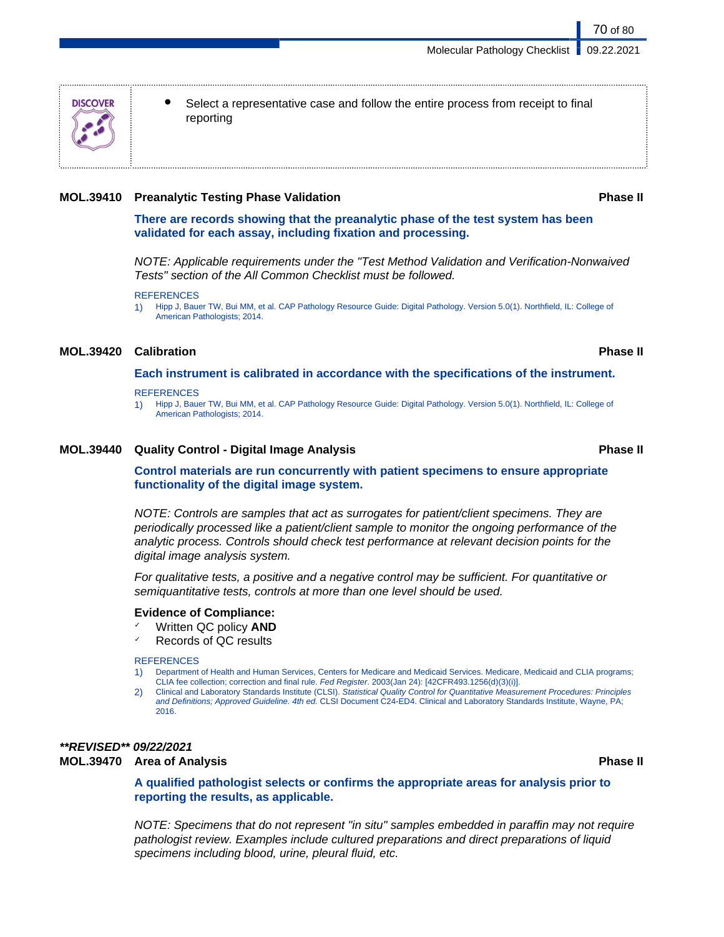Select a representative case and follow the entire process from receipt to final reporting

#### **MOL.39410 Preanalytic Testing Phase Validation Phase II**

**There are records showing that the preanalytic phase of the test system has been validated for each assay, including fixation and processing.**

NOTE: Applicable requirements under the "Test Method Validation and Verification-Nonwaived Tests" section of the All Common Checklist must be followed.

1) Hipp J, Bauer TW, Bui MM, et al. CAP Pathology Resource Guide: Digital Pathology. Version 5.0(1). Northfield, IL: College of American Pathologists; 2014.

### **MOL.39420 Calibration Phase II**

**Each instrument is calibrated in accordance with the specifications of the instrument.**

**REFERENCES** 

1) Hipp J, Bauer TW, Bui MM, et al. CAP Pathology Resource Guide: Digital Pathology. Version 5.0(1). Northfield, IL: College of American Pathologists; 2014.

#### **MOL.39440 Quality Control - Digital Image Analysis Phase II**

**Control materials are run concurrently with patient specimens to ensure appropriate functionality of the digital image system.**

NOTE: Controls are samples that act as surrogates for patient/client specimens. They are periodically processed like a patient/client sample to monitor the ongoing performance of the analytic process. Controls should check test performance at relevant decision points for the digital image analysis system.

For qualitative tests, a positive and a negative control may be sufficient. For quantitative or semiquantitative tests, controls at more than one level should be used.

#### **Evidence of Compliance:**

- ✓ Written QC policy **AND**
- Records of QC results

#### **REFERENCES**

- 1) Department of Health and Human Services, Centers for Medicare and Medicaid Services. Medicare, Medicaid and CLIA programs; CLIA fee collection; correction and final rule. Fed Register. 2003(Jan 24): [42CFR493.1256(d)(3)(i)].
- 2) Clinical and Laboratory Standards Institute (CLSI). Statistical Quality Control for Quantitative Measurement Procedures: Principles and Definitions; Approved Guideline. 4th ed. CLSI Document C24-ED4. Clinical and Laboratory Standards Institute, Wayne, PA; 2016.

## **\*\*REVISED\*\* 09/22/2021**

#### **MOL.39470 Area of Analysis Phase II**

**A qualified pathologist selects or confirms the appropriate areas for analysis prior to reporting the results, as applicable.**

NOTE: Specimens that do not represent "in situ" samples embedded in paraffin may not require pathologist review. Examples include cultured preparations and direct preparations of liquid specimens including blood, urine, pleural fluid, etc.

**REFERENCES**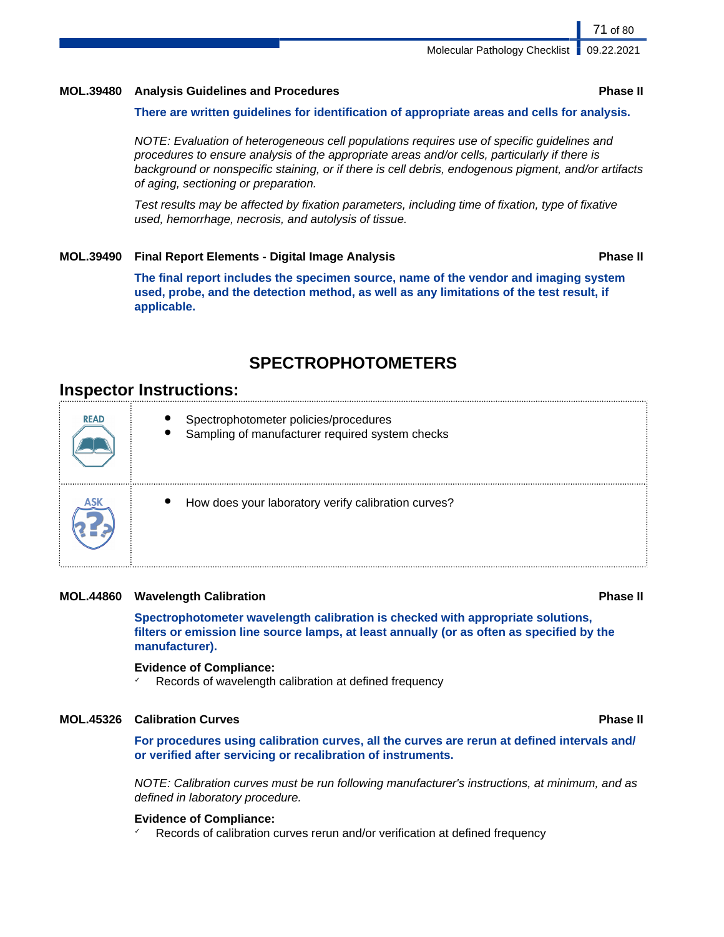#### **MOL.39480 Analysis Guidelines and Procedures Phase II**

#### **There are written guidelines for identification of appropriate areas and cells for analysis.**

NOTE: Evaluation of heterogeneous cell populations requires use of specific guidelines and procedures to ensure analysis of the appropriate areas and/or cells, particularly if there is background or nonspecific staining, or if there is cell debris, endogenous pigment, and/or artifacts of aging, sectioning or preparation.

Test results may be affected by fixation parameters, including time of fixation, type of fixative used, hemorrhage, necrosis, and autolysis of tissue.

#### **MOL.39490 Final Report Elements - Digital Image Analysis Phase II**

**The final report includes the specimen source, name of the vendor and imaging system used, probe, and the detection method, as well as any limitations of the test result, if applicable.**

## **SPECTROPHOTOMETERS**

## **Inspector Instructions:**

| <b>READ</b> | Spectrophotometer policies/procedures<br>Sampling of manufacturer required system checks |
|-------------|------------------------------------------------------------------------------------------|
|             | How does your laboratory verify calibration curves?                                      |

#### **MOL.44860 Wavelength Calibration Phase II**

**Spectrophotometer wavelength calibration is checked with appropriate solutions, filters or emission line source lamps, at least annually (or as often as specified by the manufacturer).**

#### **Evidence of Compliance:**

Records of wavelength calibration at defined frequency

### **MOL.45326 Calibration Curves Phase II**

**For procedures using calibration curves, all the curves are rerun at defined intervals and/ or verified after servicing or recalibration of instruments.**

NOTE: Calibration curves must be run following manufacturer's instructions, at minimum, and as defined in laboratory procedure.

#### **Evidence of Compliance:**

Records of calibration curves rerun and/or verification at defined frequency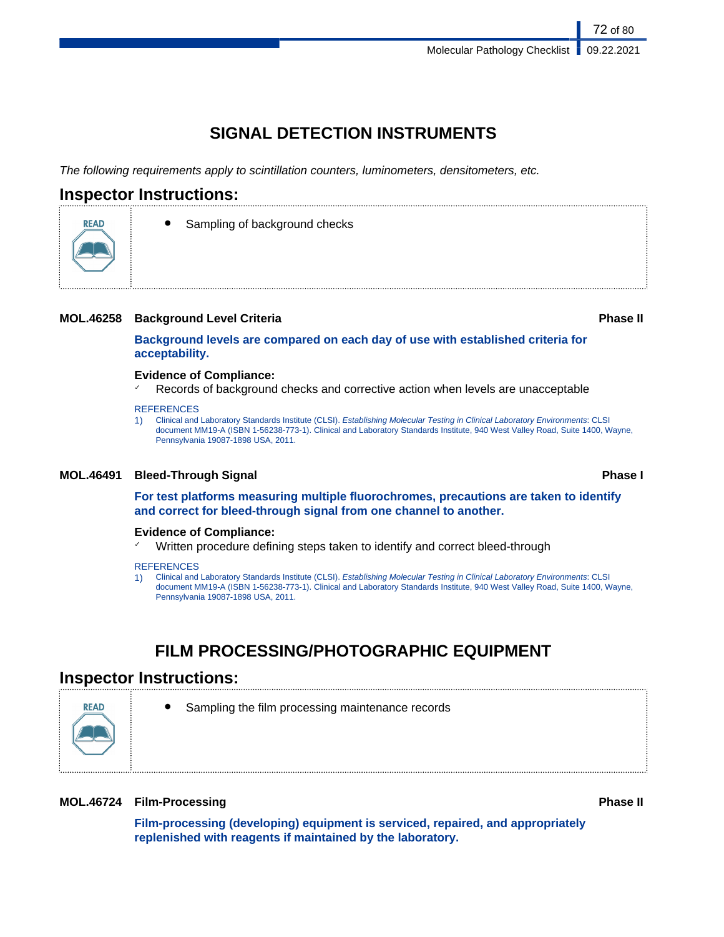# **SIGNAL DETECTION INSTRUMENTS**

The following requirements apply to scintillation counters, luminometers, densitometers, etc.

## **Inspector Instructions:**

**READ** 



### **MOL.46258 Background Level Criteria Phase II**

**Background levels are compared on each day of use with established criteria for acceptability.**

#### **Evidence of Compliance:**

Records of background checks and corrective action when levels are unacceptable

#### **REFERENCES**

1) Clinical and Laboratory Standards Institute (CLSI). Establishing Molecular Testing in Clinical Laboratory Environments: CLSI document MM19-A (ISBN 1-56238-773-1). Clinical and Laboratory Standards Institute, 940 West Valley Road, Suite 1400, Wayne, Pennsylvania 19087-1898 USA, 2011.

### **MOL.46491 Bleed-Through Signal Phase I**

**For test platforms measuring multiple fluorochromes, precautions are taken to identify and correct for bleed-through signal from one channel to another.**

#### **Evidence of Compliance:**

✓ Written procedure defining steps taken to identify and correct bleed-through

#### **REFERENCES**

1) Clinical and Laboratory Standards Institute (CLSI). Establishing Molecular Testing in Clinical Laboratory Environments: CLSI document MM19-A (ISBN 1-56238-773-1). Clinical and Laboratory Standards Institute, 940 West Valley Road, Suite 1400, Wayne, Pennsylvania 19087-1898 USA, 2011.

# **FILM PROCESSING/PHOTOGRAPHIC EQUIPMENT**

## **Inspector Instructions:**



Sampling the film processing maintenance records

### **MOL.46724 Film-Processing Phase II**

**Film-processing (developing) equipment is serviced, repaired, and appropriately replenished with reagents if maintained by the laboratory.**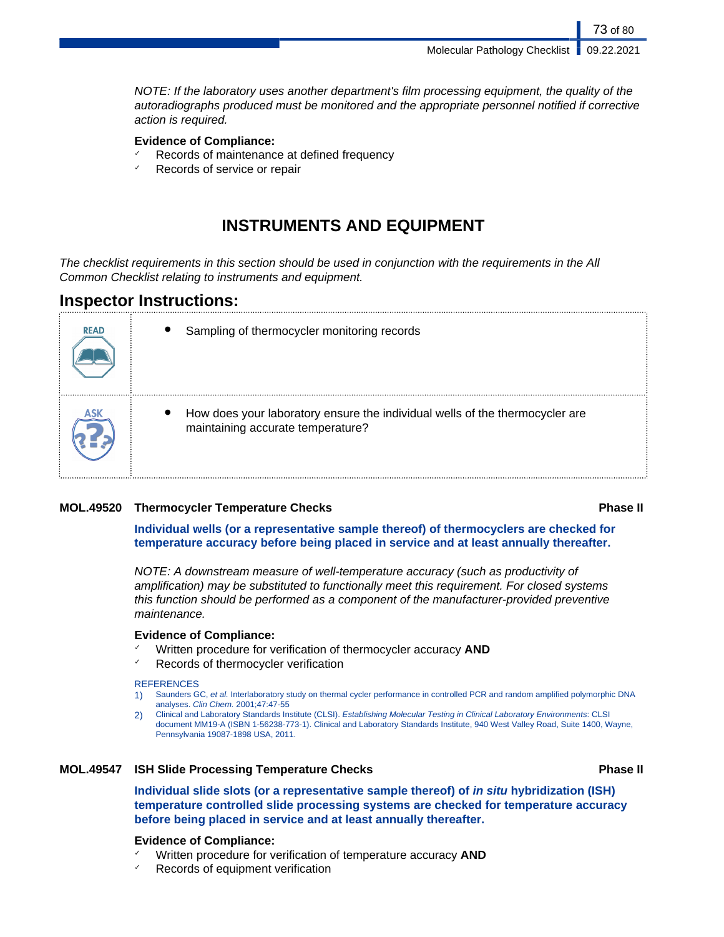Molecular Pathology Checklist | 09.22.2021

73 of 80

NOTE: If the laboratory uses another department's film processing equipment, the quality of the autoradiographs produced must be monitored and the appropriate personnel notified if corrective action is required.

#### **Evidence of Compliance:**

- Records of maintenance at defined frequency
- $\checkmark$  Records of service or repair

## **INSTRUMENTS AND EQUIPMENT**

The checklist requirements in this section should be used in conjunction with the requirements in the All Common Checklist relating to instruments and equipment.

## **Inspector Instructions:**

| <b>READ</b> | Sampling of thermocycler monitoring records                                                                       |
|-------------|-------------------------------------------------------------------------------------------------------------------|
|             | How does your laboratory ensure the individual wells of the thermocycler are<br>maintaining accurate temperature? |

### **MOL.49520 Thermocycler Temperature Checks Phase II**

**Individual wells (or a representative sample thereof) of thermocyclers are checked for temperature accuracy before being placed in service and at least annually thereafter.**

NOTE: A downstream measure of well-temperature accuracy (such as productivity of amplification) may be substituted to functionally meet this requirement. For closed systems this function should be performed as a component of the manufacturer-provided preventive maintenance.

#### **Evidence of Compliance:**

- ✓ Written procedure for verification of thermocycler accuracy **AND**
- Records of thermocycler verification

#### **REFERENCES**

- 1) Saunders GC, et al. Interlaboratory study on thermal cycler performance in controlled PCR and random amplified polymorphic DNA analyses. Clin Chem. 2001;47:47-55
- 2) Clinical and Laboratory Standards Institute (CLSI). Establishing Molecular Testing in Clinical Laboratory Environments: CLSI document MM19-A (ISBN 1-56238-773-1). Clinical and Laboratory Standards Institute, 940 West Valley Road, Suite 1400, Wayne, Pennsylvania 19087-1898 USA, 2011.

#### **MOL.49547 ISH Slide Processing Temperature Checks Phase II**

**Individual slide slots (or a representative sample thereof) of in situ hybridization (ISH) temperature controlled slide processing systems are checked for temperature accuracy before being placed in service and at least annually thereafter.**

#### **Evidence of Compliance:**

- Written procedure for verification of temperature accuracy **AND**
- Records of equipment verification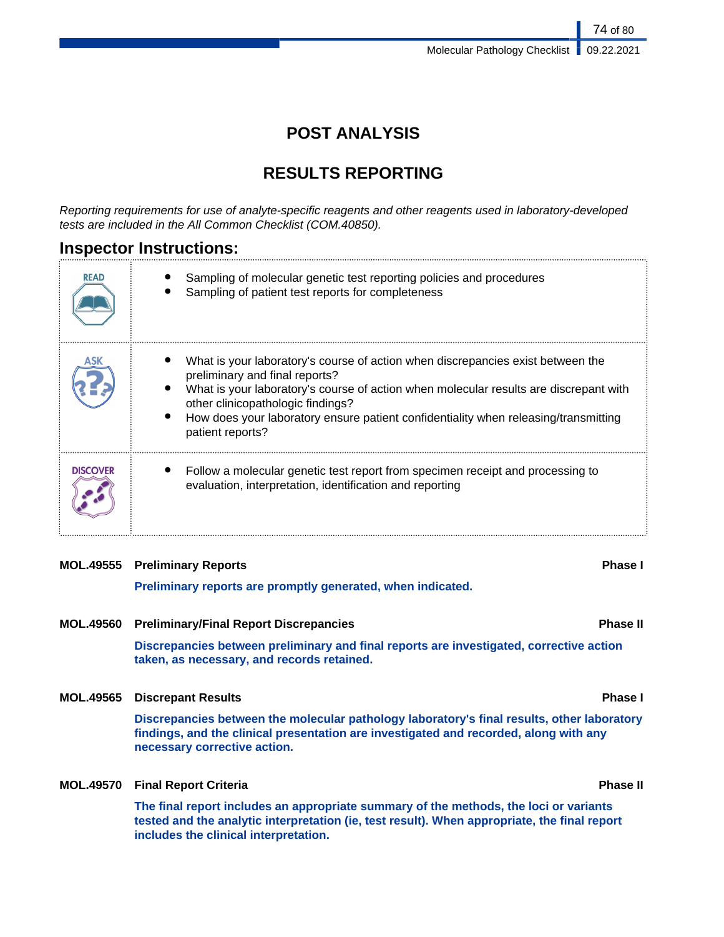## **POST ANALYSIS**

## **RESULTS REPORTING**

Reporting requirements for use of analyte-specific reagents and other reagents used in laboratory-developed tests are included in the All Common Checklist (COM.40850).

## **Inspector Instructions:**

| <b>READ</b>     | Sampling of molecular genetic test reporting policies and procedures<br>Sampling of patient test reports for completeness                                                                                                                                                                                                                                  |
|-----------------|------------------------------------------------------------------------------------------------------------------------------------------------------------------------------------------------------------------------------------------------------------------------------------------------------------------------------------------------------------|
|                 | What is your laboratory's course of action when discrepancies exist between the<br>preliminary and final reports?<br>What is your laboratory's course of action when molecular results are discrepant with<br>other clinicopathologic findings?<br>How does your laboratory ensure patient confidentiality when releasing/transmitting<br>patient reports? |
| <b>DISCOVER</b> | Follow a molecular genetic test report from specimen receipt and processing to<br>evaluation, interpretation, identification and reporting                                                                                                                                                                                                                 |

### **MOL.49555 Preliminary Reports Phase I**

**Preliminary reports are promptly generated, when indicated.**

**MOL.49560 Preliminary/Final Report Discrepancies Phase II**

**Discrepancies between preliminary and final reports are investigated, corrective action taken, as necessary, and records retained.**

### **MOL.49565 Discrepant Results Phase I**

**Discrepancies between the molecular pathology laboratory's final results, other laboratory findings, and the clinical presentation are investigated and recorded, along with any necessary corrective action.**

**MOL.49570 Final Report Criteria Phase II**

**The final report includes an appropriate summary of the methods, the loci or variants tested and the analytic interpretation (ie, test result). When appropriate, the final report includes the clinical interpretation.**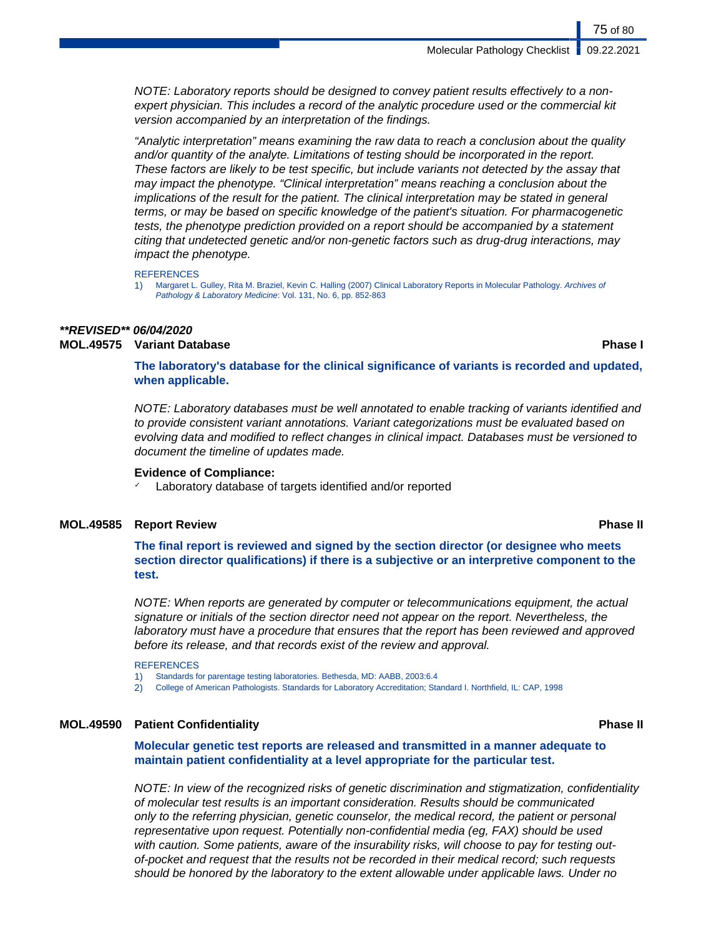NOTE: Laboratory reports should be designed to convey patient results effectively to a nonexpert physician. This includes a record of the analytic procedure used or the commercial kit version accompanied by an interpretation of the findings.

"Analytic interpretation" means examining the raw data to reach a conclusion about the quality and/or quantity of the analyte. Limitations of testing should be incorporated in the report. These factors are likely to be test specific, but include variants not detected by the assay that may impact the phenotype. "Clinical interpretation" means reaching a conclusion about the implications of the result for the patient. The clinical interpretation may be stated in general terms, or may be based on specific knowledge of the patient's situation. For pharmacogenetic tests, the phenotype prediction provided on a report should be accompanied by a statement citing that undetected genetic and/or non-genetic factors such as drug-drug interactions, may impact the phenotype.

**REFERENCES** 

1) Margaret L. Gulley, Rita M. Braziel, Kevin C. Halling (2007) Clinical Laboratory Reports in Molecular Pathology. Archives of Pathology & Laboratory Medicine: Vol. 131, No. 6, pp. 852-863

#### **\*\*REVISED\*\* 06/04/2020 MOL.49575 Variant Database Phase I**

**The laboratory's database for the clinical significance of variants is recorded and updated, when applicable.**

NOTE: Laboratory databases must be well annotated to enable tracking of variants identified and to provide consistent variant annotations. Variant categorizations must be evaluated based on evolving data and modified to reflect changes in clinical impact. Databases must be versioned to document the timeline of updates made.

#### **Evidence of Compliance:**

Laboratory database of targets identified and/or reported

#### **MOL.49585 Report Review Phase II**

### **The final report is reviewed and signed by the section director (or designee who meets section director qualifications) if there is a subjective or an interpretive component to the test.**

NOTE: When reports are generated by computer or telecommunications equipment, the actual signature or initials of the section director need not appear on the report. Nevertheless, the laboratory must have a procedure that ensures that the report has been reviewed and approved before its release, and that records exist of the review and approval.

**REFERENCES** 

1) Standards for parentage testing laboratories. Bethesda, MD: AABB, 2003:6.4

2) College of American Pathologists. Standards for Laboratory Accreditation; Standard I. Northfield, IL: CAP, 1998

#### **MOL.49590 Patient Confidentiality Phase II**

**Molecular genetic test reports are released and transmitted in a manner adequate to maintain patient confidentiality at a level appropriate for the particular test.**

NOTE: In view of the recognized risks of genetic discrimination and stigmatization, confidentiality of molecular test results is an important consideration. Results should be communicated only to the referring physician, genetic counselor, the medical record, the patient or personal representative upon request. Potentially non-confidential media (eg, FAX) should be used with caution. Some patients, aware of the insurability risks, will choose to pay for testing outof-pocket and request that the results not be recorded in their medical record; such requests should be honored by the laboratory to the extent allowable under applicable laws. Under no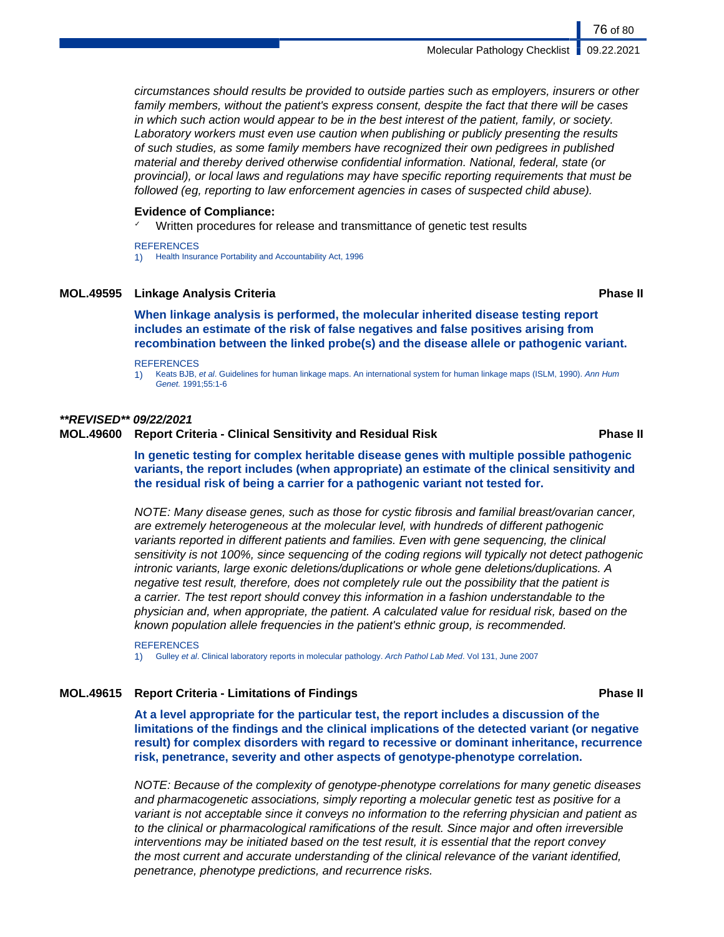circumstances should results be provided to outside parties such as employers, insurers or other family members, without the patient's express consent, despite the fact that there will be cases in which such action would appear to be in the best interest of the patient, family, or society. Laboratory workers must even use caution when publishing or publicly presenting the results of such studies, as some family members have recognized their own pedigrees in published material and thereby derived otherwise confidential information. National, federal, state (or provincial), or local laws and regulations may have specific reporting requirements that must be followed (eg, reporting to law enforcement agencies in cases of suspected child abuse).

#### **Evidence of Compliance:**

Written procedures for release and transmittance of genetic test results

#### **REFERENCES**

1) Health Insurance Portability and Accountability Act, 1996

### **MOL.49595 Linkage Analysis Criteria Phase II**

**When linkage analysis is performed, the molecular inherited disease testing report includes an estimate of the risk of false negatives and false positives arising from recombination between the linked probe(s) and the disease allele or pathogenic variant.**

#### **REFERENCES**

1) Keats BJB, et al. Guidelines for human linkage maps. An international system for human linkage maps (ISLM, 1990). Ann Hum Genet. 1991;55:1-6

#### **\*\*REVISED\*\* 09/22/2021**

### **MOL.49600 Report Criteria - Clinical Sensitivity and Residual Risk Phase II**

**In genetic testing for complex heritable disease genes with multiple possible pathogenic variants, the report includes (when appropriate) an estimate of the clinical sensitivity and the residual risk of being a carrier for a pathogenic variant not tested for.**

NOTE: Many disease genes, such as those for cystic fibrosis and familial breast/ovarian cancer, are extremely heterogeneous at the molecular level, with hundreds of different pathogenic variants reported in different patients and families. Even with gene sequencing, the clinical sensitivity is not 100%, since sequencing of the coding regions will typically not detect pathogenic intronic variants, large exonic deletions/duplications or whole gene deletions/duplications. A negative test result, therefore, does not completely rule out the possibility that the patient is a carrier. The test report should convey this information in a fashion understandable to the physician and, when appropriate, the patient. A calculated value for residual risk, based on the known population allele frequencies in the patient's ethnic group, is recommended.

**REFERENCES** 1) Gulley et al. Clinical laboratory reports in molecular pathology. Arch Pathol Lab Med. Vol 131, June 2007

#### **MOL.49615 Report Criteria - Limitations of Findings Phase II**

**At a level appropriate for the particular test, the report includes a discussion of the limitations of the findings and the clinical implications of the detected variant (or negative result) for complex disorders with regard to recessive or dominant inheritance, recurrence risk, penetrance, severity and other aspects of genotype-phenotype correlation.**

NOTE: Because of the complexity of genotype-phenotype correlations for many genetic diseases and pharmacogenetic associations, simply reporting a molecular genetic test as positive for a variant is not acceptable since it conveys no information to the referring physician and patient as to the clinical or pharmacological ramifications of the result. Since major and often irreversible interventions may be initiated based on the test result, it is essential that the report convey the most current and accurate understanding of the clinical relevance of the variant identified, penetrance, phenotype predictions, and recurrence risks.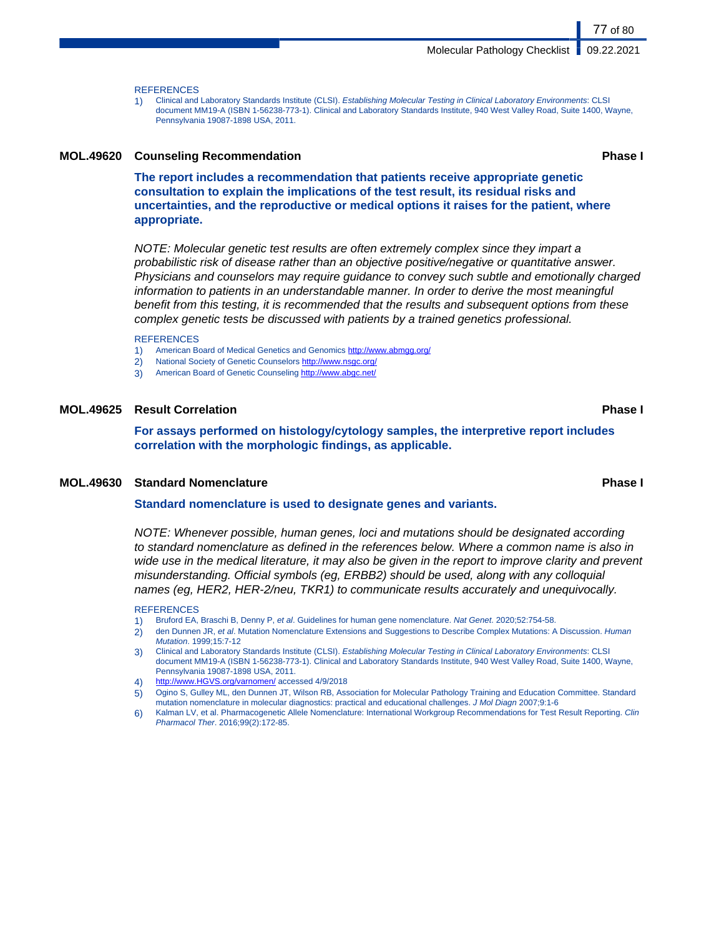**REFERENCES** 

1) Clinical and Laboratory Standards Institute (CLSI). Establishing Molecular Testing in Clinical Laboratory Environments: CLSI document MM19-A (ISBN 1-56238-773-1). Clinical and Laboratory Standards Institute, 940 West Valley Road, Suite 1400, Wayne, Pennsylvania 19087-1898 USA, 2011.

#### **MOL.49620 Counseling Recommendation Phase I**

**The report includes a recommendation that patients receive appropriate genetic consultation to explain the implications of the test result, its residual risks and uncertainties, and the reproductive or medical options it raises for the patient, where appropriate.**

NOTE: Molecular genetic test results are often extremely complex since they impart a probabilistic risk of disease rather than an objective positive/negative or quantitative answer. Physicians and counselors may require guidance to convey such subtle and emotionally charged information to patients in an understandable manner. In order to derive the most meaningful benefit from this testing, it is recommended that the results and subsequent options from these complex genetic tests be discussed with patients by a trained genetics professional.

#### **REFERENCES**

- 1) American Board of Medical Genetics and Genomics<http://www.abmgg.org/>
- 2) National Society of Genetic Counselors http://www.nsgc.org
- 3) American Board of Genetic Counseling <http://www.abgc.net/>

#### **MOL.49625 Result Correlation Phase I**

**For assays performed on histology/cytology samples, the interpretive report includes correlation with the morphologic findings, as applicable.**

#### **MOL.49630 Standard Nomenclature Phase I**

#### **Standard nomenclature is used to designate genes and variants.**

NOTE: Whenever possible, human genes, loci and mutations should be designated according to standard nomenclature as defined in the references below. Where a common name is also in wide use in the medical literature, it may also be given in the report to improve clarity and prevent misunderstanding. Official symbols (eg, ERBB2) should be used, along with any colloquial names (eg, HER2, HER-2/neu, TKR1) to communicate results accurately and unequivocally.

#### REFERENCES

- 1) Bruford EA, Braschi B, Denny P, et al. Guidelines for human gene nomenclature. Nat Genet. 2020;52:754-58.
- 2) den Dunnen JR, et al. Mutation Nomenclature Extensions and Suggestions to Describe Complex Mutations: A Discussion. Human Mutation. 1999;15:7-12
- 3) Clinical and Laboratory Standards Institute (CLSI). Establishing Molecular Testing in Clinical Laboratory Environments: CLSI document MM19-A (ISBN 1-56238-773-1). Clinical and Laboratory Standards Institute, 940 West Valley Road, Suite 1400, Wayne, Pennsylvania 19087-1898 USA, 2011.
- 4) <http://www.HGVS.org/varnomen/> accessed 4/9/2018
- 5) Ogino S, Gulley ML, den Dunnen JT, Wilson RB, Association for Molecular Pathology Training and Education Committee. Standard mutation nomenclature in molecular diagnostics: practical and educational challenges. J Mol Diagn 2007;9:1-6
- 6) Kalman LV, et al. Pharmacogenetic Allele Nomenclature: International Workgroup Recommendations for Test Result Reporting. Clin Pharmacol Ther. 2016;99(2):172-85.

77 of 80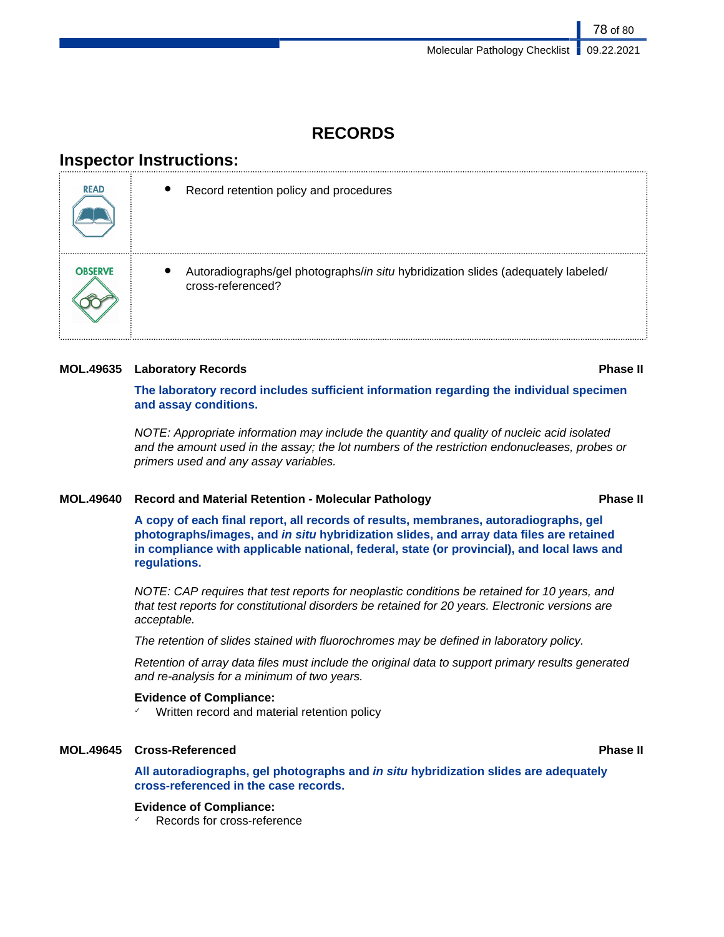## **RECORDS**

## **Inspector Instructions:**

| <b>READ</b>    | Record retention policy and procedures                                                                 |
|----------------|--------------------------------------------------------------------------------------------------------|
| <b>OBSERVE</b> | Autoradiographs/gel photographs/in situ hybridization slides (adequately labeled/<br>cross-referenced? |

### **MOL.49635 Laboratory Records Phase II**

**The laboratory record includes sufficient information regarding the individual specimen and assay conditions.**

NOTE: Appropriate information may include the quantity and quality of nucleic acid isolated and the amount used in the assay; the lot numbers of the restriction endonucleases, probes or primers used and any assay variables.

### **MOL.49640 Record and Material Retention - Molecular Pathology Phase II**

**A copy of each final report, all records of results, membranes, autoradiographs, gel photographs/images, and in situ hybridization slides, and array data files are retained in compliance with applicable national, federal, state (or provincial), and local laws and regulations.**

NOTE: CAP requires that test reports for neoplastic conditions be retained for 10 years, and that test reports for constitutional disorders be retained for 20 years. Electronic versions are acceptable.

The retention of slides stained with fluorochromes may be defined in laboratory policy.

Retention of array data files must include the original data to support primary results generated and re-analysis for a minimum of two years.

### **Evidence of Compliance:**

✓ Written record and material retention policy

### **MOL.49645 Cross-Referenced Phase II**

**All autoradiographs, gel photographs and in situ hybridization slides are adequately cross-referenced in the case records.**

### **Evidence of Compliance:**

Records for cross-reference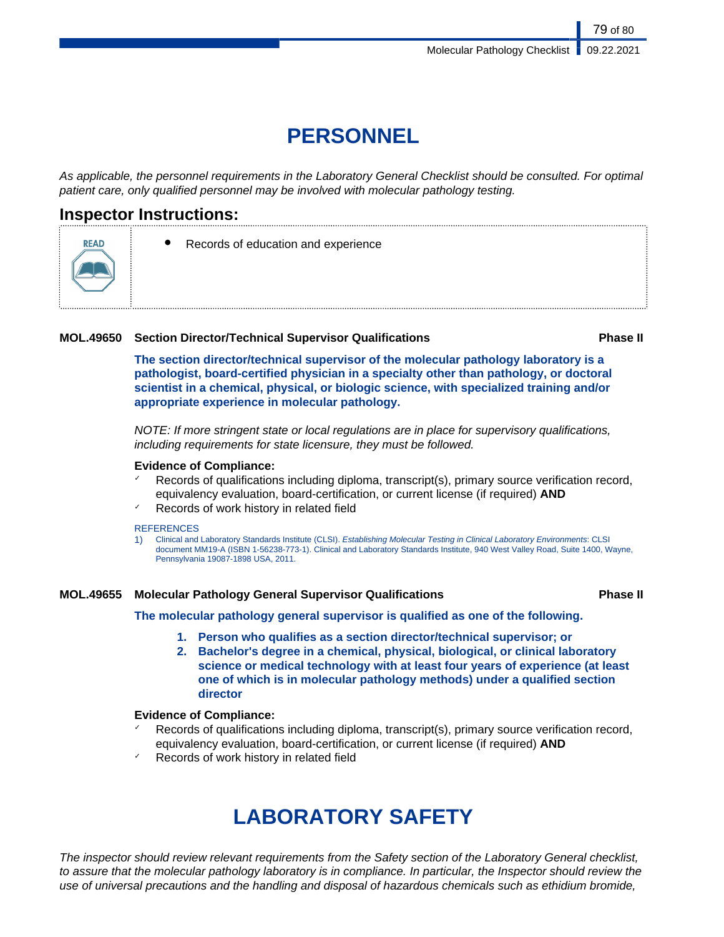# **PERSONNEL**

As applicable, the personnel requirements in the Laboratory General Checklist should be consulted. For optimal patient care, only qualified personnel may be involved with molecular pathology testing.

## **Inspector Instructions:**

READ



### **MOL.49650 Section Director/Technical Supervisor Qualifications Phase II**

**The section director/technical supervisor of the molecular pathology laboratory is a pathologist, board-certified physician in a specialty other than pathology, or doctoral scientist in a chemical, physical, or biologic science, with specialized training and/or appropriate experience in molecular pathology.**

NOTE: If more stringent state or local regulations are in place for supervisory qualifications, including requirements for state licensure, they must be followed.

#### **Evidence of Compliance:**

- $\checkmark$  Records of qualifications including diploma, transcript(s), primary source verification record, equivalency evaluation, board-certification, or current license (if required) **AND**
- Records of work history in related field

#### **REFERENCES**

1) Clinical and Laboratory Standards Institute (CLSI). Establishing Molecular Testing in Clinical Laboratory Environments: CLSI document MM19-A (ISBN 1-56238-773-1). Clinical and Laboratory Standards Institute, 940 West Valley Road, Suite 1400, Wayne, Pennsylvania 19087-1898 USA, 2011.

### **MOL.49655 Molecular Pathology General Supervisor Qualifications Phase II**

**The molecular pathology general supervisor is qualified as one of the following.**

- **1. Person who qualifies as a section director/technical supervisor; or**
- **2. Bachelor's degree in a chemical, physical, biological, or clinical laboratory science or medical technology with at least four years of experience (at least one of which is in molecular pathology methods) under a qualified section director**

### **Evidence of Compliance:**

- Records of qualifications including diploma, transcript(s), primary source verification record, equivalency evaluation, board-certification, or current license (if required) **AND**
- Records of work history in related field

# **LABORATORY SAFETY**

The inspector should review relevant requirements from the Safety section of the Laboratory General checklist, to assure that the molecular pathology laboratory is in compliance. In particular, the Inspector should review the use of universal precautions and the handling and disposal of hazardous chemicals such as ethidium bromide,